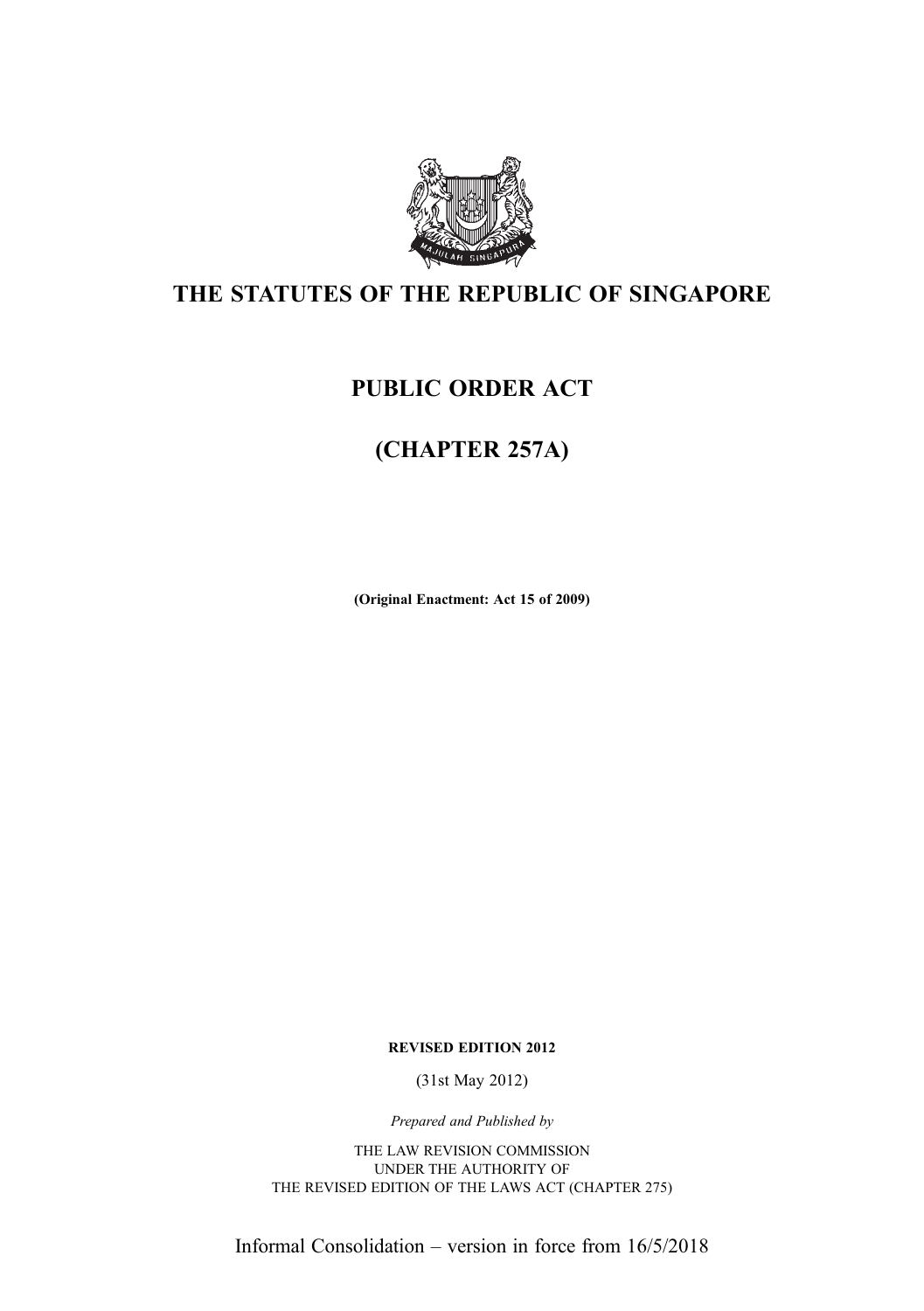

## THE STATUTES OF THE REPUBLIC OF SINGAPORE

## PUBLIC ORDER ACT

## (CHAPTER 257A)

(Original Enactment: Act 15 of 2009)

REVISED EDITION 2012

(31st May 2012)

Prepared and Published by

THE LAW REVISION COMMISSION UNDER THE AUTHORITY OF THE REVISED EDITION OF THE LAWS ACT (CHAPTER 275)

Informal Consolidation – version in force from 16/5/2018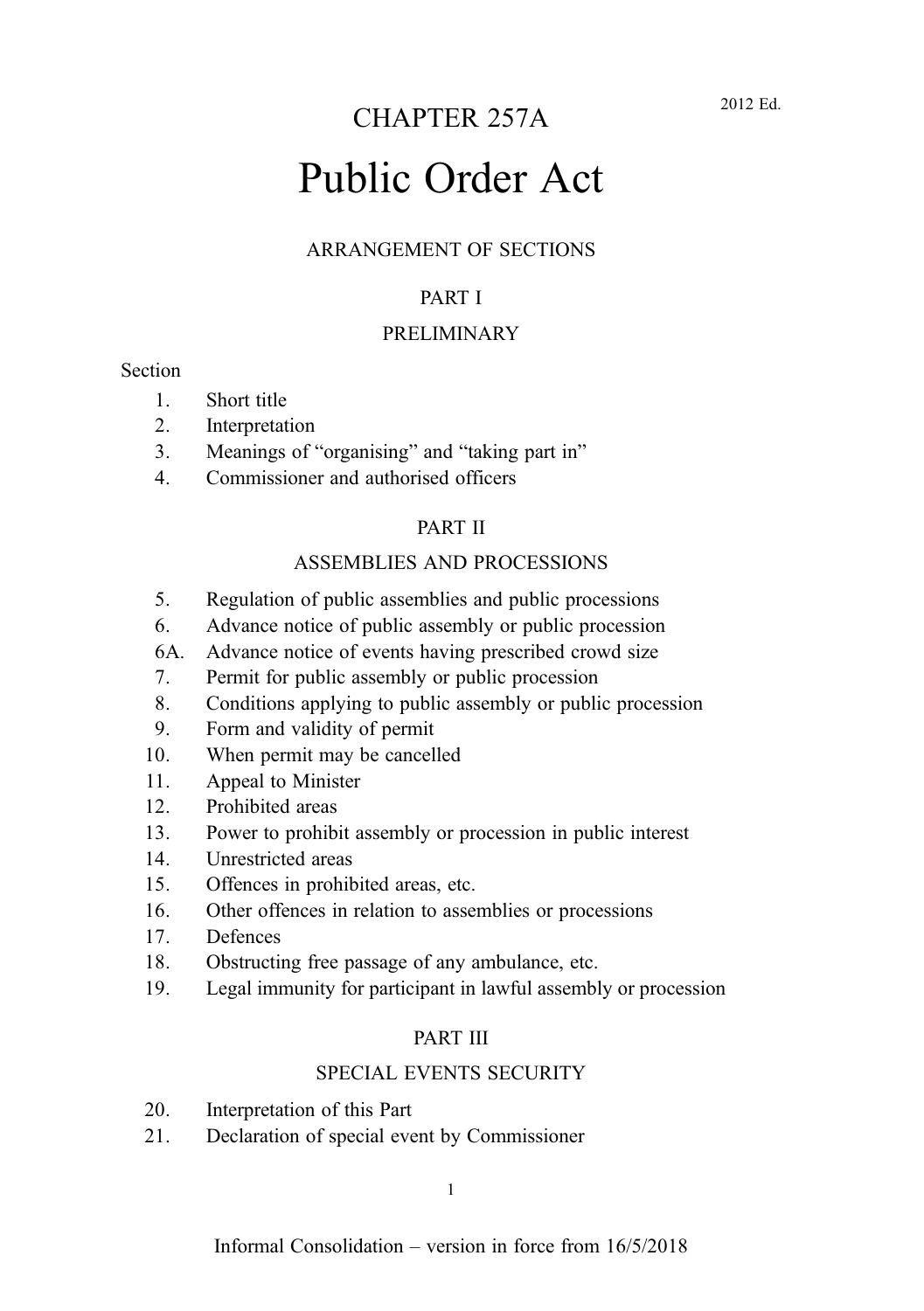# Public Order Act

#### ARRANGEMENT OF SECTIONS

#### PART I

#### PRELIMINARY

#### **Section**

- 1. Short title
- 2. Interpretation
- 3. Meanings of "organising" and "taking part in"
- 4. Commissioner and authorised officers

#### PART II

#### ASSEMBLIES AND PROCESSIONS

- 5. Regulation of public assemblies and public processions
- 6. Advance notice of public assembly or public procession
- 6A. Advance notice of events having prescribed crowd size
- 7. Permit for public assembly or public procession
- 8. Conditions applying to public assembly or public procession
- 9. Form and validity of permit
- 10. When permit may be cancelled
- 11. Appeal to Minister
- 12. Prohibited areas
- 13. Power to prohibit assembly or procession in public interest
- 14. Unrestricted areas
- 15. Offences in prohibited areas, etc.
- 16. Other offences in relation to assemblies or processions
- 17. Defences
- 18. Obstructing free passage of any ambulance, etc.
- 19. Legal immunity for participant in lawful assembly or procession

#### PART III

#### SPECIAL EVENTS SECURITY

- 20. Interpretation of this Part
- 21. Declaration of special event by Commissioner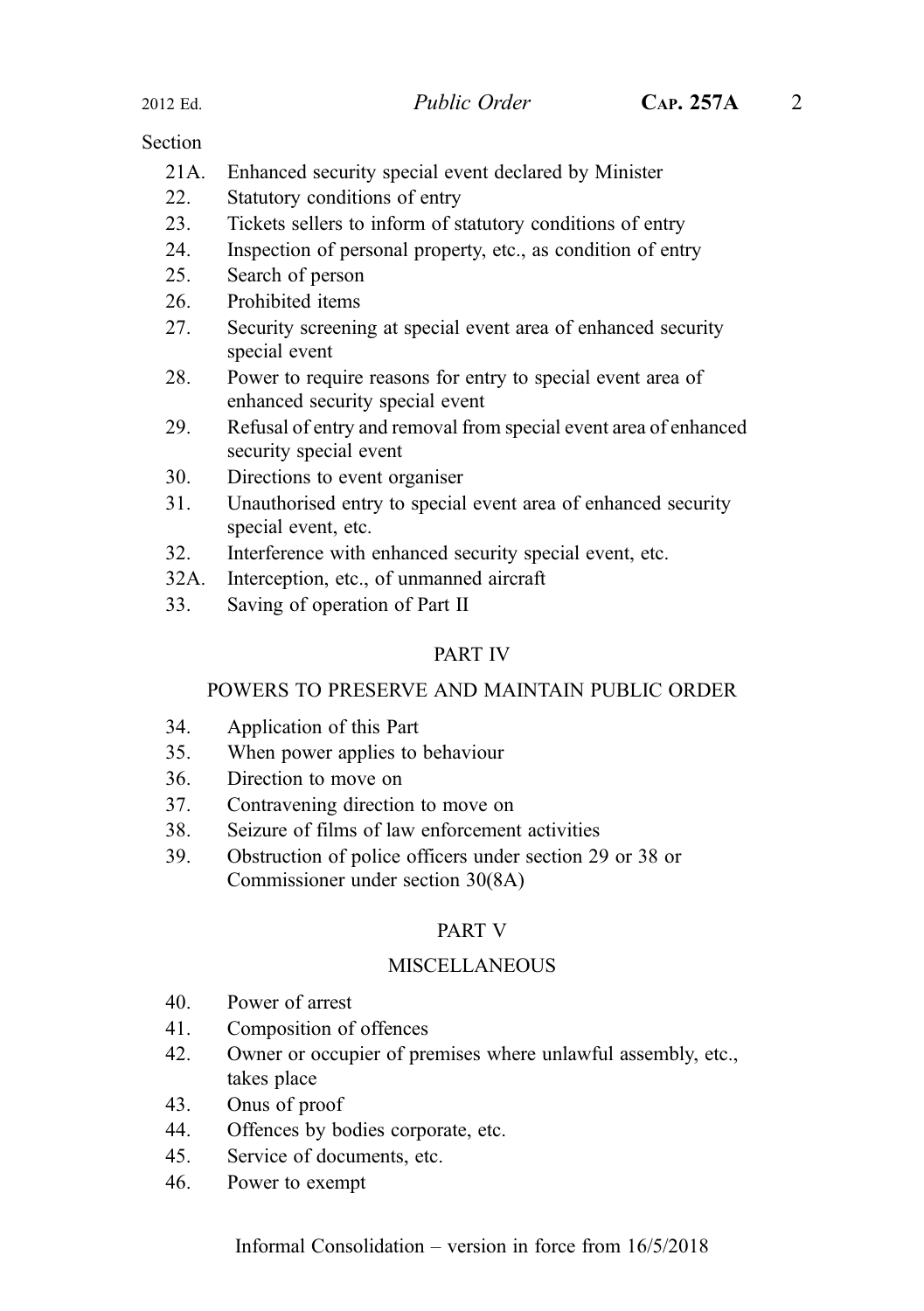#### **Section**

- 21A. Enhanced security special event declared by Minister
- 22. Statutory conditions of entry
- 23. Tickets sellers to inform of statutory conditions of entry
- 24. Inspection of personal property, etc., as condition of entry
- 25. Search of person
- 26. Prohibited items
- 27. Security screening at special event area of enhanced security special event
- 28. Power to require reasons for entry to special event area of enhanced security special event
- 29. Refusal of entry and removal from special event area of enhanced security special event
- 30. Directions to event organiser
- 31. Unauthorised entry to special event area of enhanced security special event, etc.
- 32. Interference with enhanced security special event, etc.
- 32A. Interception, etc., of unmanned aircraft
- 33. Saving of operation of Part II

#### PART IV

#### POWERS TO PRESERVE AND MAINTAIN PUBLIC ORDER

- 34. Application of this Part
- 35. When power applies to behaviour
- 36. Direction to move on
- 37. Contravening direction to move on
- 38. Seizure of films of law enforcement activities
- 39. Obstruction of police officers under section 29 or 38 or Commissioner under section 30(8A)

#### PART V

#### **MISCELLANEOUS**

- 40. Power of arrest
- 41. Composition of offences
- 42. Owner or occupier of premises where unlawful assembly, etc., takes place
- 43. Onus of proof
- 44. Offences by bodies corporate, etc.
- 45. Service of documents, etc.
- 46. Power to exempt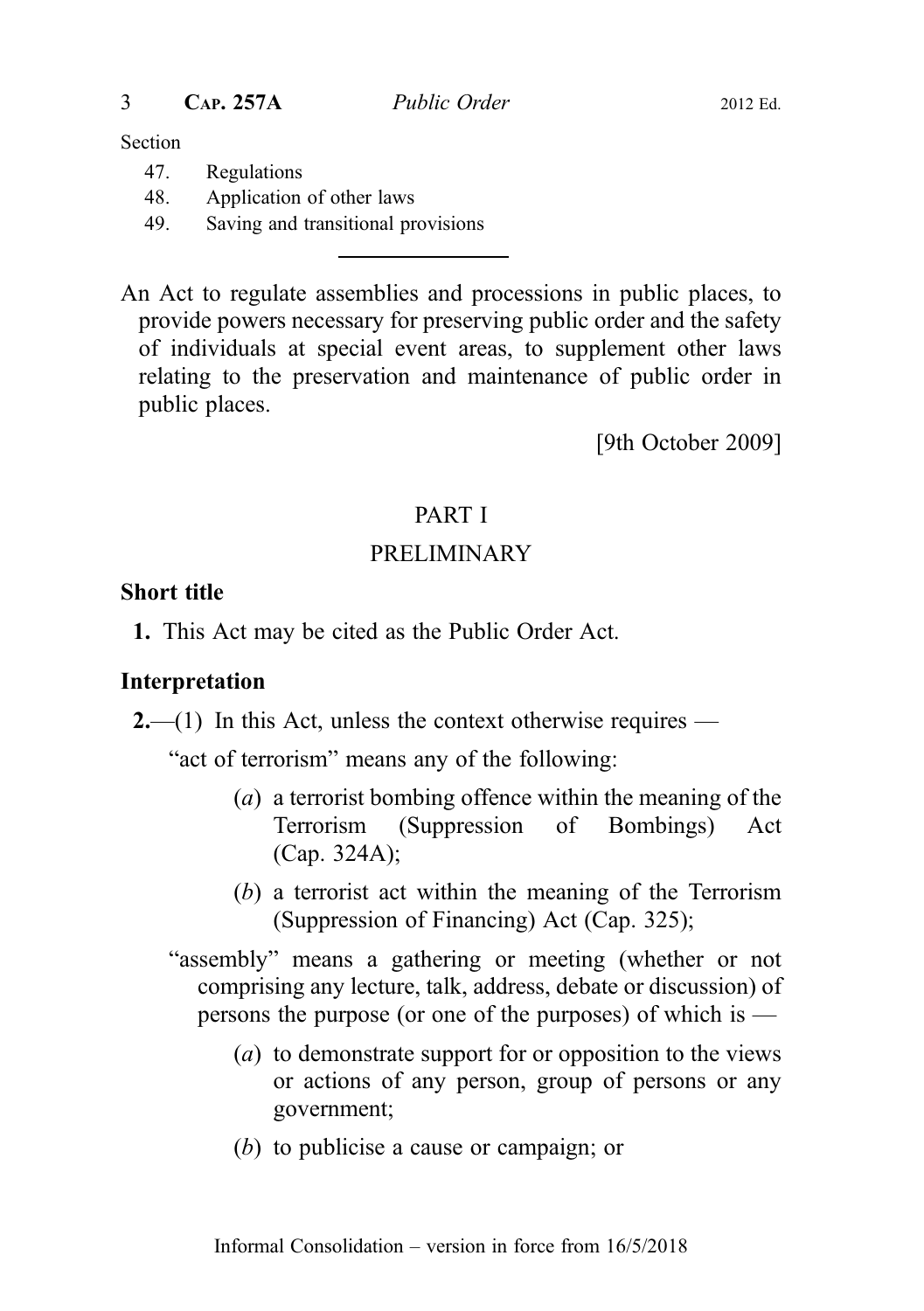Section

- 47. Regulations
- 48. Application of other laws
- 49. Saving and transitional provisions

An Act to regulate assemblies and processions in public places, to provide powers necessary for preserving public order and the safety of individuals at special event areas, to supplement other laws relating to the preservation and maintenance of public order in public places.

[9th October 2009]

## PART I

## PRELIMINARY

#### Short title

1. This Act may be cited as the Public Order Act.

#### Interpretation

 $2$ —(1) In this Act, unless the context otherwise requires —

"act of terrorism" means any of the following:

- (a) a terrorist bombing offence within the meaning of the Terrorism (Suppression of Bombings) Act (Cap. 324A);
- (b) a terrorist act within the meaning of the Terrorism (Suppression of Financing) Act (Cap. 325);
- "assembly" means a gathering or meeting (whether or not comprising any lecture, talk, address, debate or discussion) of persons the purpose (or one of the purposes) of which is  $-$ 
	- (a) to demonstrate support for or opposition to the views or actions of any person, group of persons or any government;
	- (b) to publicise a cause or campaign; or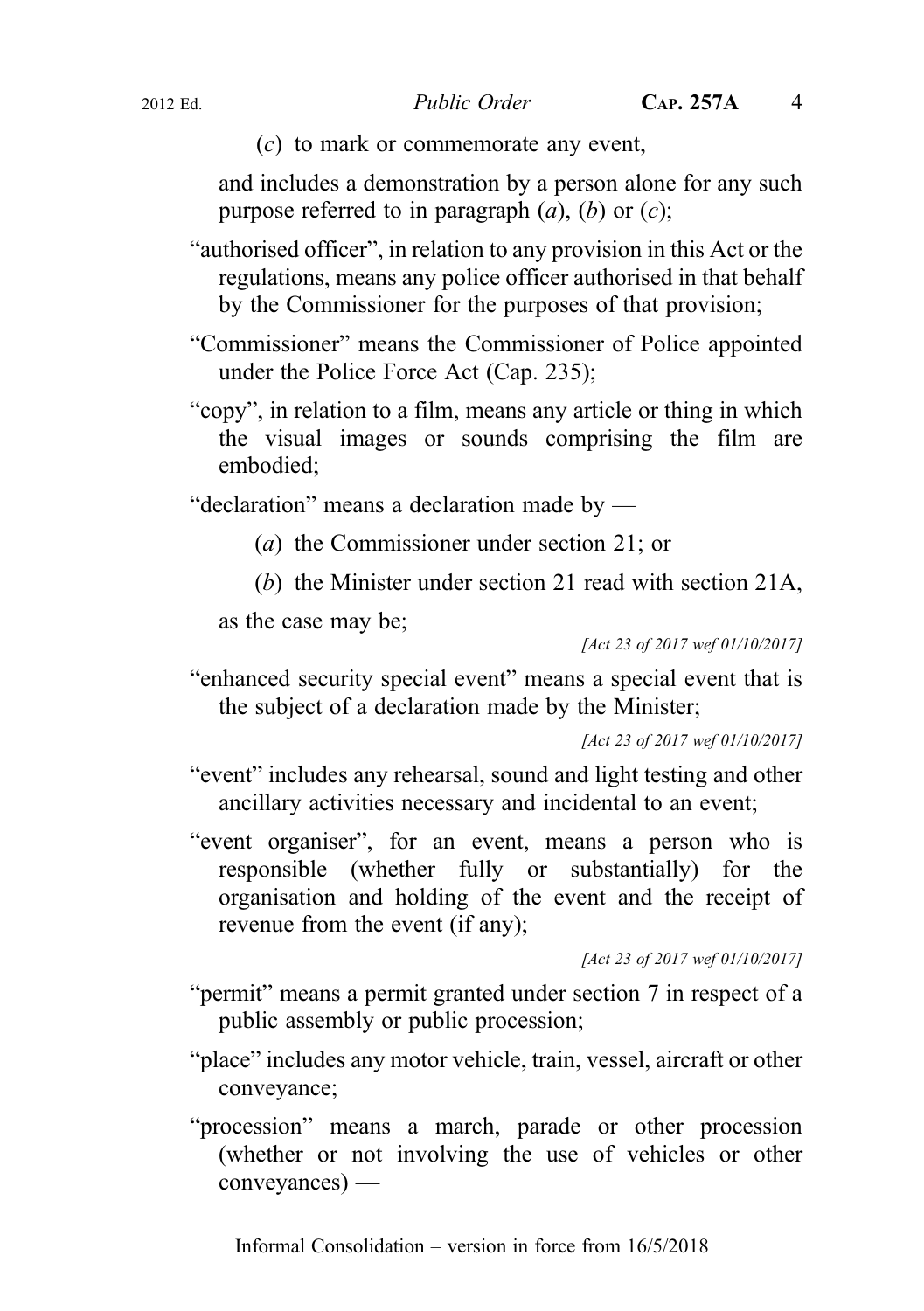(c) to mark or commemorate any event,

and includes a demonstration by a person alone for any such purpose referred to in paragraph  $(a)$ ,  $(b)$  or  $(c)$ ;

- "authorised officer", in relation to any provision in this Act or the regulations, means any police officer authorised in that behalf by the Commissioner for the purposes of that provision;
- "Commissioner" means the Commissioner of Police appointed under the Police Force Act (Cap. 235);
- "copy", in relation to a film, means any article or thing in which the visual images or sounds comprising the film are embodied;

"declaration" means a declaration made by —

- (a) the Commissioner under section 21; or
- (b) the Minister under section 21 read with section 21A,

as the case may be;

[Act 23 of 2017 wef 01/10/2017]

"enhanced security special event" means a special event that is the subject of a declaration made by the Minister;

[Act 23 of 2017 wef 01/10/2017]

- "event" includes any rehearsal, sound and light testing and other ancillary activities necessary and incidental to an event;
- "event organiser", for an event, means a person who is responsible (whether fully or substantially) for the organisation and holding of the event and the receipt of revenue from the event (if any);

[Act 23 of 2017 wef 01/10/2017]

- "permit" means a permit granted under section 7 in respect of a public assembly or public procession;
- "place" includes any motor vehicle, train, vessel, aircraft or other conveyance;
- "procession" means a march, parade or other procession (whether or not involving the use of vehicles or other conveyances) —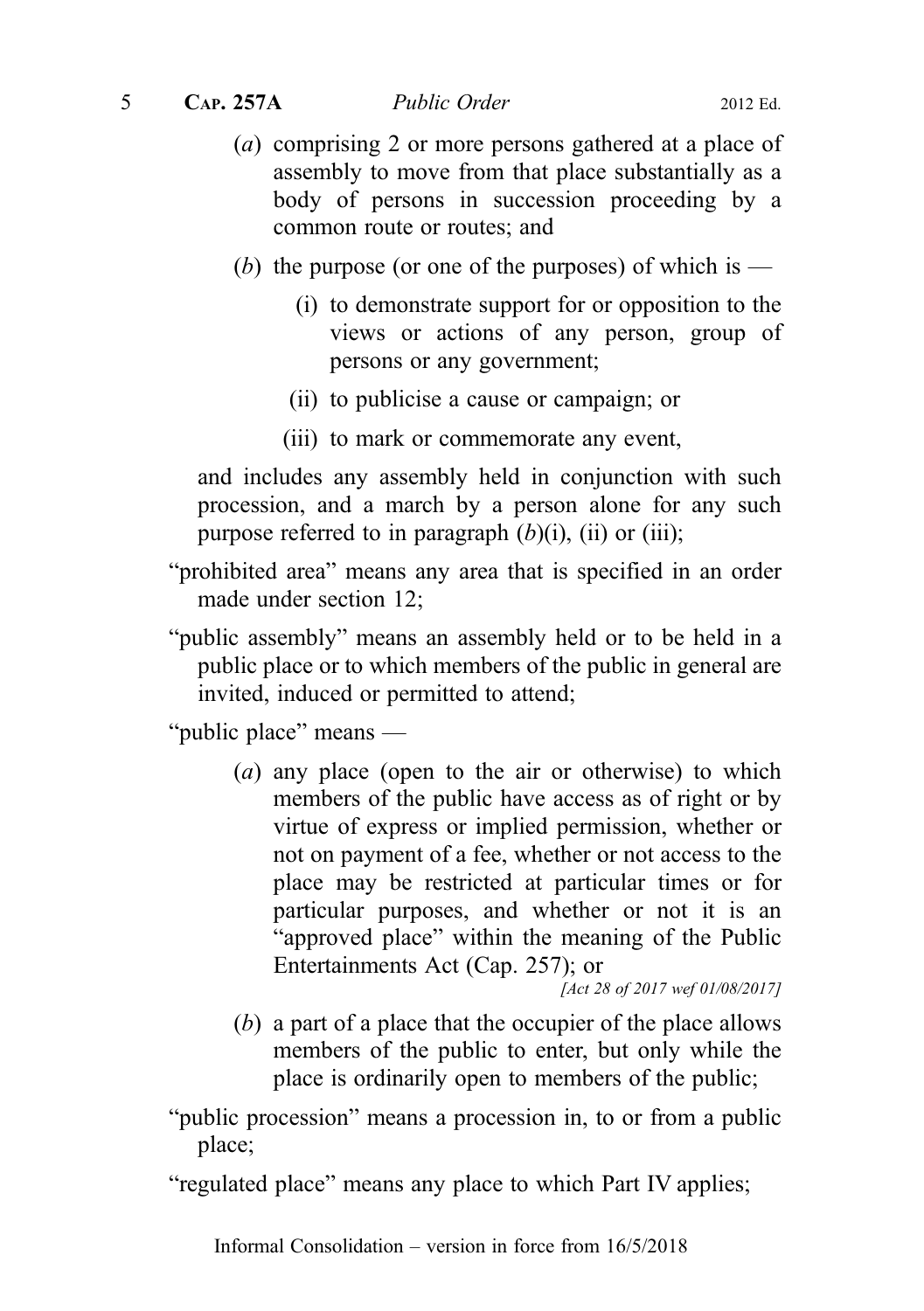5 CAP. 257A Public Order 2012 Ed.

- (a) comprising 2 or more persons gathered at a place of assembly to move from that place substantially as a body of persons in succession proceeding by a common route or routes; and
- (b) the purpose (or one of the purposes) of which is
	- (i) to demonstrate support for or opposition to the views or actions of any person, group of persons or any government;
	- (ii) to publicise a cause or campaign; or
	- (iii) to mark or commemorate any event,

and includes any assembly held in conjunction with such procession, and a march by a person alone for any such purpose referred to in paragraph  $(b)(i)$ ,  $(ii)$  or  $(iii)$ ;

- "prohibited area" means any area that is specified in an order made under section 12;
- "public assembly" means an assembly held or to be held in a public place or to which members of the public in general are invited, induced or permitted to attend;

"public place" means —

(a) any place (open to the air or otherwise) to which members of the public have access as of right or by virtue of express or implied permission, whether or not on payment of a fee, whether or not access to the place may be restricted at particular times or for particular purposes, and whether or not it is an "approved place" within the meaning of the Public Entertainments Act (Cap. 257); or

[Act 28 of 2017 wef 01/08/2017]

(b) a part of a place that the occupier of the place allows members of the public to enter, but only while the place is ordinarily open to members of the public;

"public procession" means a procession in, to or from a public place;

"regulated place" means any place to which Part IV applies;

Informal Consolidation – version in force from 16/5/2018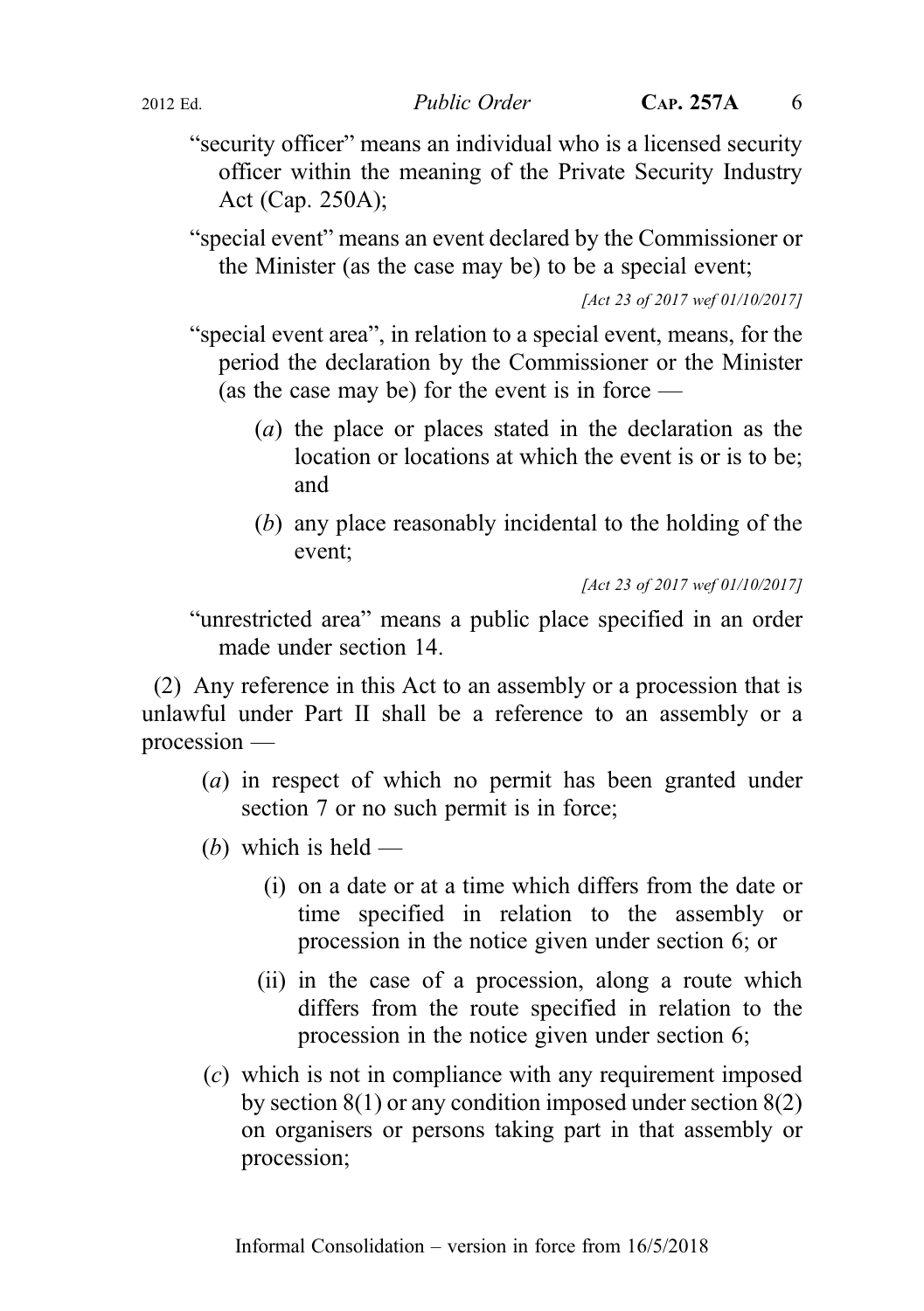"security officer" means an individual who is a licensed security officer within the meaning of the Private Security Industry Act (Cap. 250A);

"special event" means an event declared by the Commissioner or the Minister (as the case may be) to be a special event;

[Act 23 of 2017 wef 01/10/2017]

"special event area", in relation to a special event, means, for the period the declaration by the Commissioner or the Minister (as the case may be) for the event is in force  $-$ 

- (a) the place or places stated in the declaration as the location or locations at which the event is or is to be; and
- (b) any place reasonably incidental to the holding of the event;

[Act 23 of 2017 wef 01/10/2017]

"unrestricted area" means a public place specified in an order made under section 14.

(2) Any reference in this Act to an assembly or a procession that is unlawful under Part II shall be a reference to an assembly or a procession —

- (a) in respect of which no permit has been granted under section 7 or no such permit is in force;
- (b) which is held  $-$ 
	- (i) on a date or at a time which differs from the date or time specified in relation to the assembly or procession in the notice given under section 6; or
	- (ii) in the case of a procession, along a route which differs from the route specified in relation to the procession in the notice given under section 6;
- (c) which is not in compliance with any requirement imposed by section 8(1) or any condition imposed under section 8(2) on organisers or persons taking part in that assembly or procession;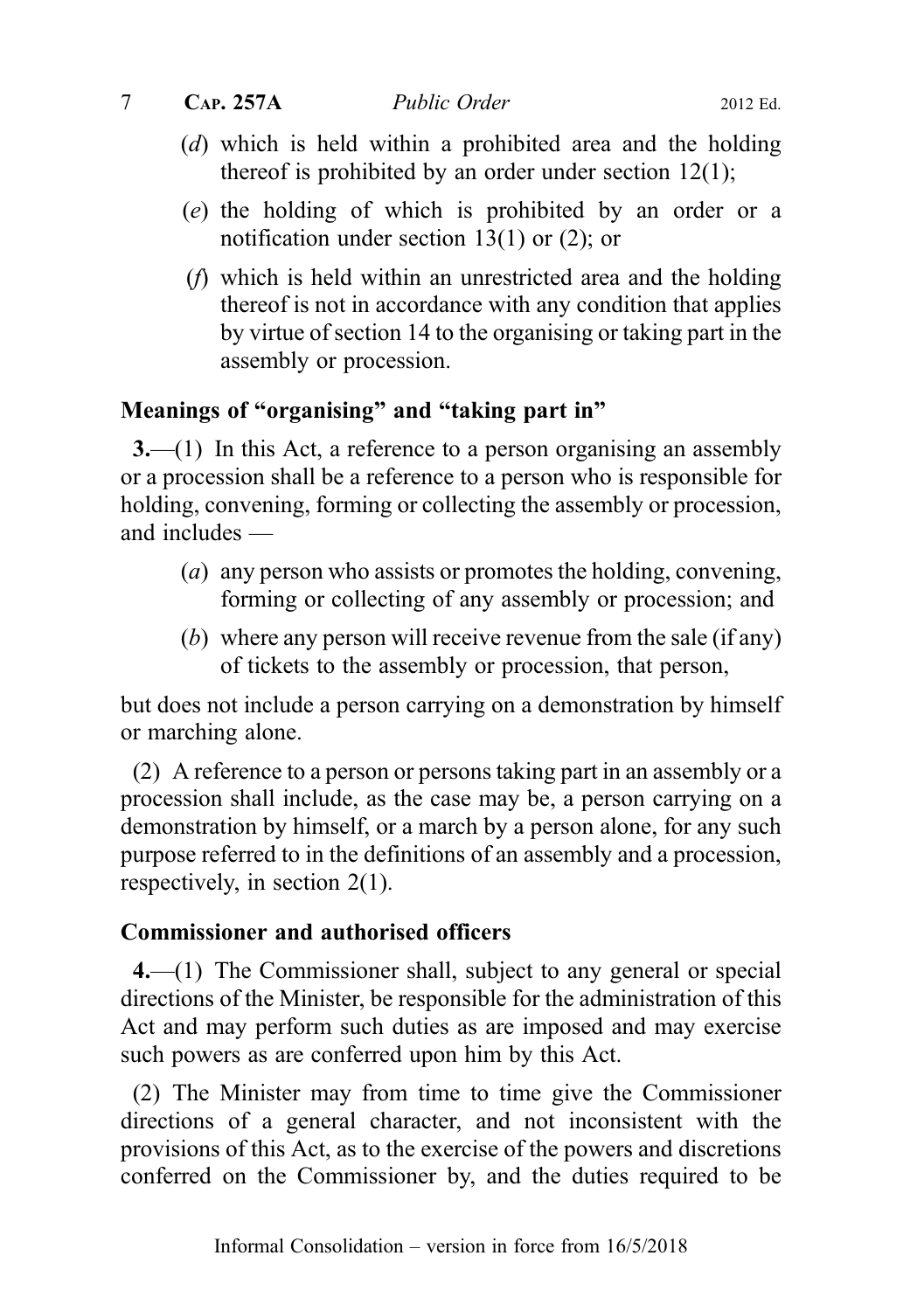7 CAP. 257A Public Order 2012 Ed.

- (d) which is held within a prohibited area and the holding thereof is prohibited by an order under section 12(1);
- (e) the holding of which is prohibited by an order or a notification under section 13(1) or (2); or
- (f) which is held within an unrestricted area and the holding thereof is not in accordance with any condition that applies by virtue of section 14 to the organising or taking part in the assembly or procession.

### Meanings of "organising" and "taking part in"

3.—(1) In this Act, a reference to a person organising an assembly or a procession shall be a reference to a person who is responsible for holding, convening, forming or collecting the assembly or procession, and includes —

- (a) any person who assists or promotes the holding, convening, forming or collecting of any assembly or procession; and
- (b) where any person will receive revenue from the sale (if any) of tickets to the assembly or procession, that person,

but does not include a person carrying on a demonstration by himself or marching alone.

(2) A reference to a person or persons taking part in an assembly or a procession shall include, as the case may be, a person carrying on a demonstration by himself, or a march by a person alone, for any such purpose referred to in the definitions of an assembly and a procession, respectively, in section 2(1).

#### Commissioner and authorised officers

4.—(1) The Commissioner shall, subject to any general or special directions of the Minister, be responsible for the administration of this Act and may perform such duties as are imposed and may exercise such powers as are conferred upon him by this Act.

(2) The Minister may from time to time give the Commissioner directions of a general character, and not inconsistent with the provisions of this Act, as to the exercise of the powers and discretions conferred on the Commissioner by, and the duties required to be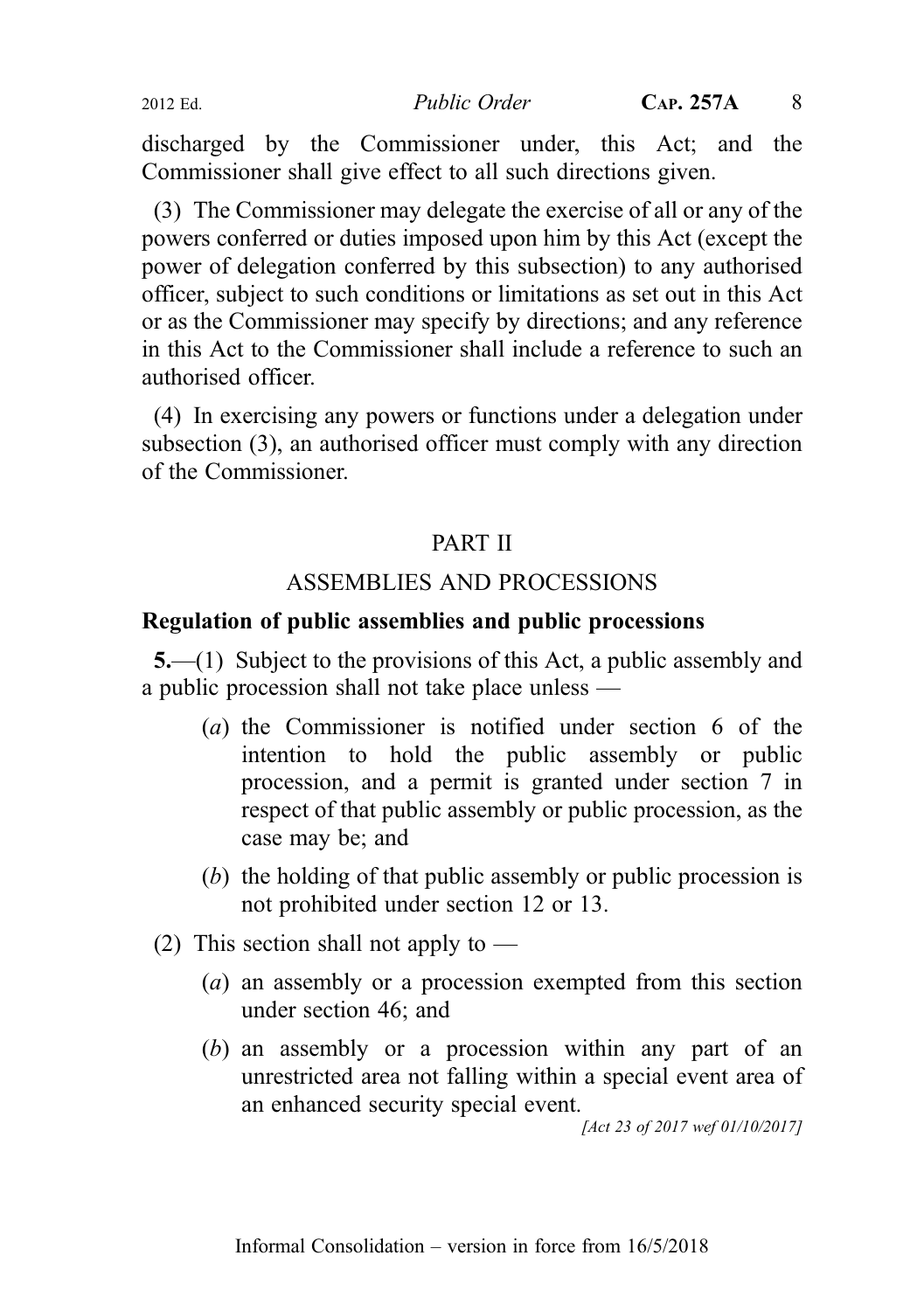discharged by the Commissioner under, this Act; and the Commissioner shall give effect to all such directions given.

(3) The Commissioner may delegate the exercise of all or any of the powers conferred or duties imposed upon him by this Act (except the power of delegation conferred by this subsection) to any authorised officer, subject to such conditions or limitations as set out in this Act or as the Commissioner may specify by directions; and any reference in this Act to the Commissioner shall include a reference to such an authorised officer.

(4) In exercising any powers or functions under a delegation under subsection (3), an authorised officer must comply with any direction of the Commissioner.

### PART II

### ASSEMBLIES AND PROCESSIONS

#### Regulation of public assemblies and public processions

5.—(1) Subject to the provisions of this Act, a public assembly and a public procession shall not take place unless —

- (a) the Commissioner is notified under section 6 of the intention to hold the public assembly or public procession, and a permit is granted under section 7 in respect of that public assembly or public procession, as the case may be; and
- (b) the holding of that public assembly or public procession is not prohibited under section 12 or 13.
- (2) This section shall not apply to  $-$ 
	- (a) an assembly or a procession exempted from this section under section 46; and
	- (b) an assembly or a procession within any part of an unrestricted area not falling within a special event area of an enhanced security special event.

[Act 23 of 2017 wef 01/10/2017]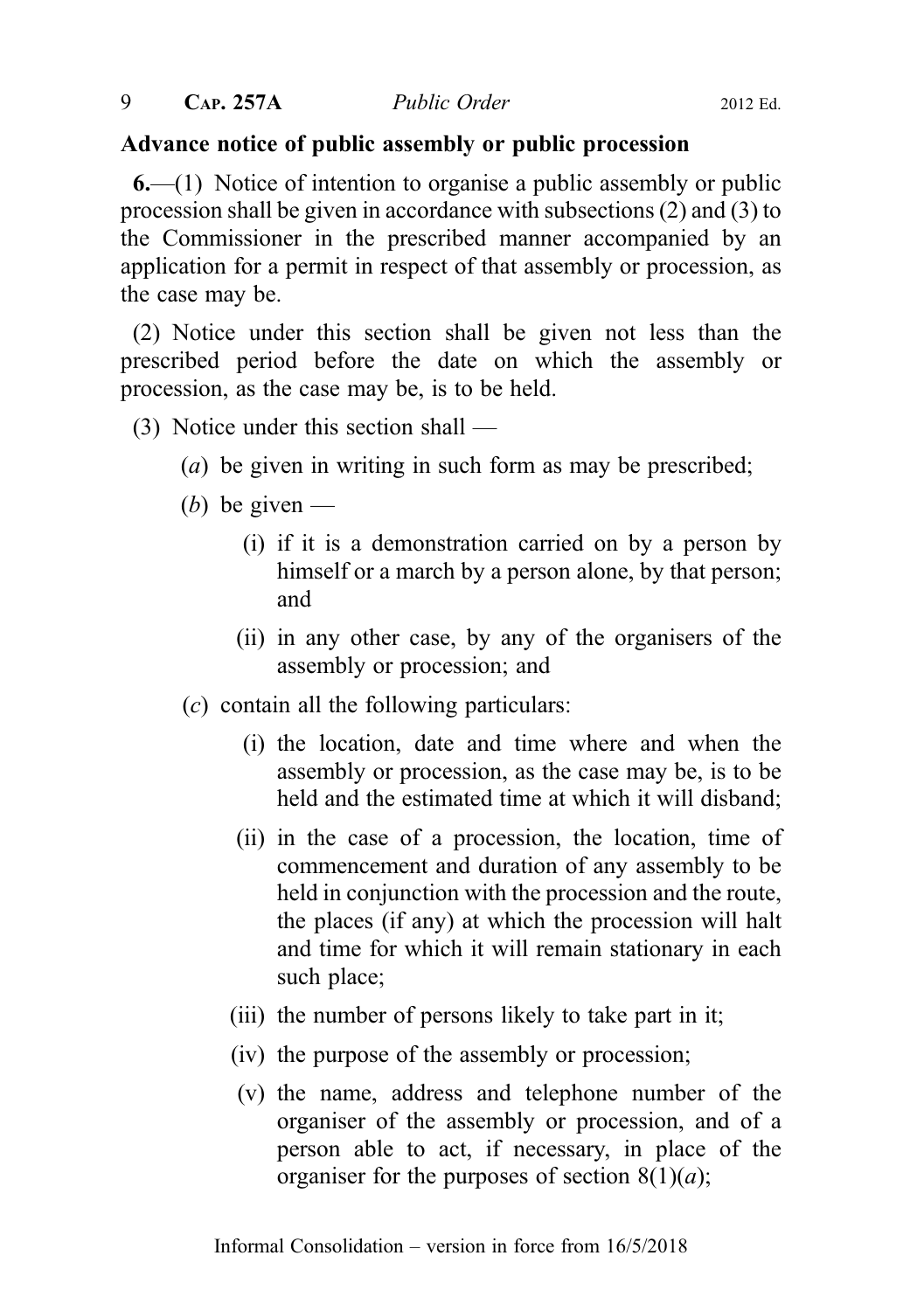## Advance notice of public assembly or public procession

6.—(1) Notice of intention to organise a public assembly or public procession shall be given in accordance with subsections (2) and (3) to the Commissioner in the prescribed manner accompanied by an application for a permit in respect of that assembly or procession, as the case may be.

(2) Notice under this section shall be given not less than the prescribed period before the date on which the assembly or procession, as the case may be, is to be held.

- (3) Notice under this section shall
	- (a) be given in writing in such form as may be prescribed;
	- (b) be given  $-$ 
		- (i) if it is a demonstration carried on by a person by himself or a march by a person alone, by that person; and
		- (ii) in any other case, by any of the organisers of the assembly or procession; and
	- $(c)$  contain all the following particulars:
		- (i) the location, date and time where and when the assembly or procession, as the case may be, is to be held and the estimated time at which it will disband;
		- (ii) in the case of a procession, the location, time of commencement and duration of any assembly to be held in conjunction with the procession and the route, the places (if any) at which the procession will halt and time for which it will remain stationary in each such place;
		- (iii) the number of persons likely to take part in it;
		- (iv) the purpose of the assembly or procession;
		- (v) the name, address and telephone number of the organiser of the assembly or procession, and of a person able to act, if necessary, in place of the organiser for the purposes of section  $8(1)(a)$ ;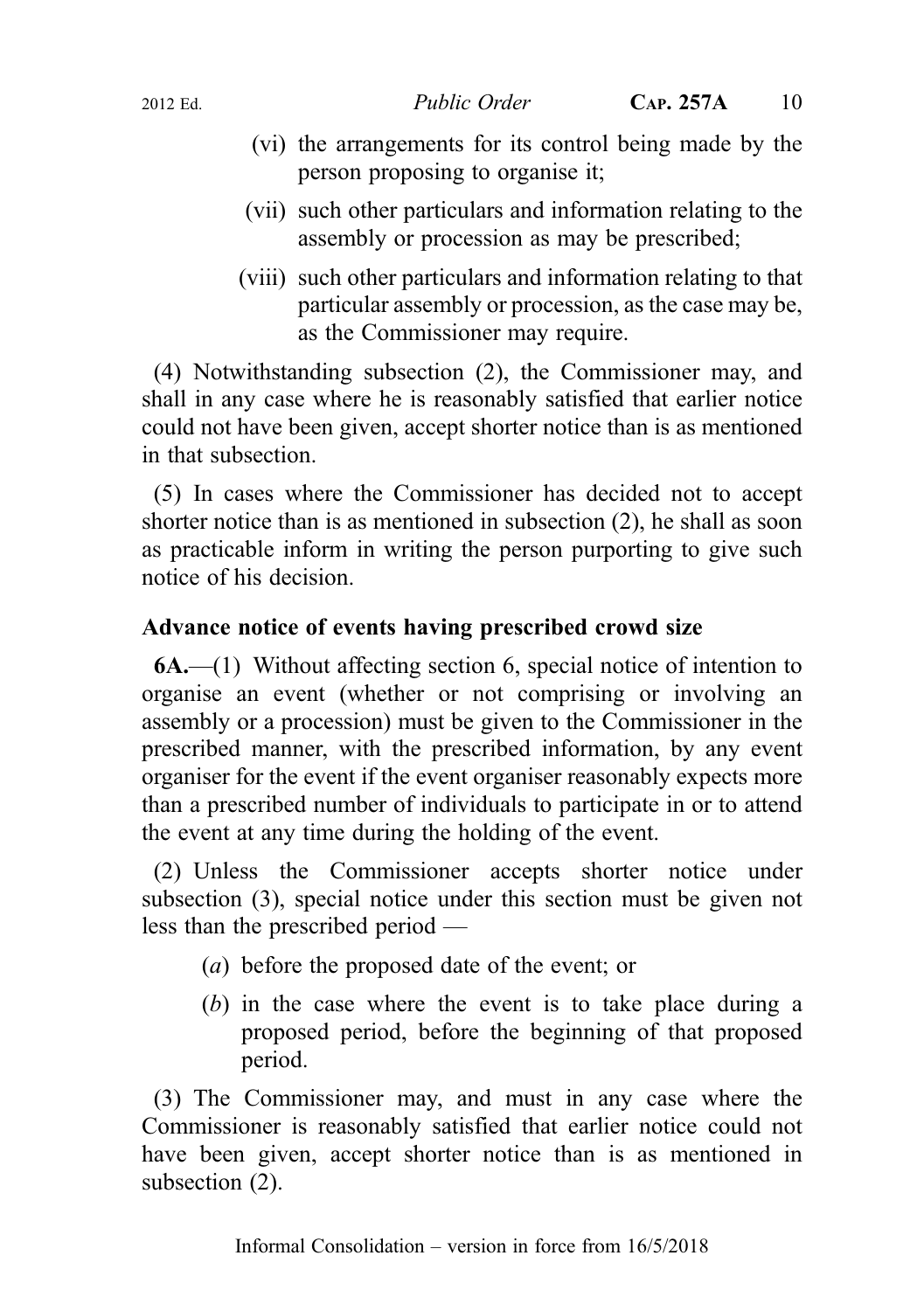- (vi) the arrangements for its control being made by the person proposing to organise it;
- (vii) such other particulars and information relating to the assembly or procession as may be prescribed;
- (viii) such other particulars and information relating to that particular assembly or procession, as the case may be, as the Commissioner may require.

(4) Notwithstanding subsection (2), the Commissioner may, and shall in any case where he is reasonably satisfied that earlier notice could not have been given, accept shorter notice than is as mentioned in that subsection.

(5) In cases where the Commissioner has decided not to accept shorter notice than is as mentioned in subsection (2), he shall as soon as practicable inform in writing the person purporting to give such notice of his decision.

## Advance notice of events having prescribed crowd size

6A.—(1) Without affecting section 6, special notice of intention to organise an event (whether or not comprising or involving an assembly or a procession) must be given to the Commissioner in the prescribed manner, with the prescribed information, by any event organiser for the event if the event organiser reasonably expects more than a prescribed number of individuals to participate in or to attend the event at any time during the holding of the event.

(2) Unless the Commissioner accepts shorter notice under subsection (3), special notice under this section must be given not less than the prescribed period —

- (a) before the proposed date of the event; or
- (b) in the case where the event is to take place during a proposed period, before the beginning of that proposed period.

(3) The Commissioner may, and must in any case where the Commissioner is reasonably satisfied that earlier notice could not have been given, accept shorter notice than is as mentioned in subsection (2).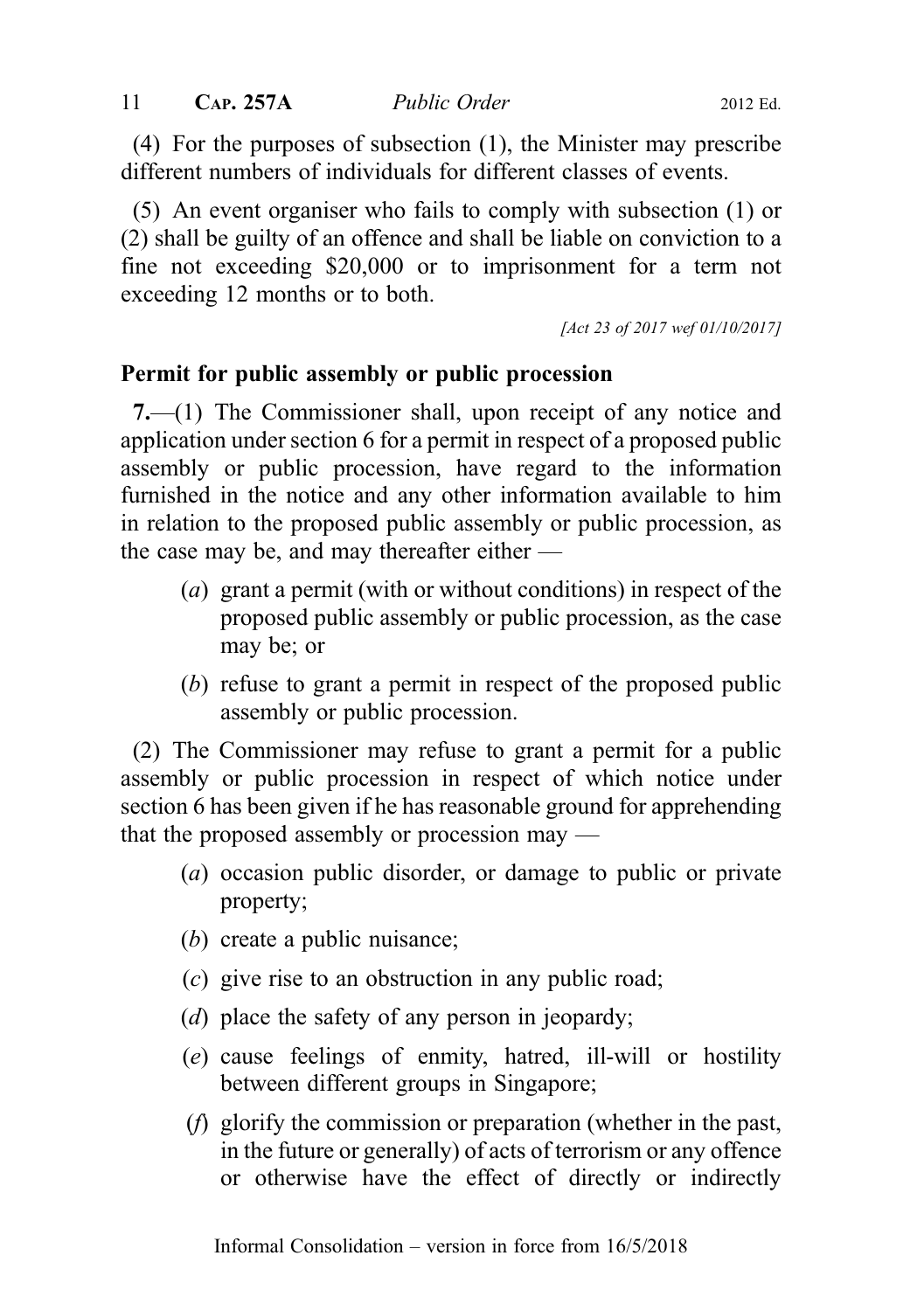(4) For the purposes of subsection (1), the Minister may prescribe different numbers of individuals for different classes of events.

(5) An event organiser who fails to comply with subsection (1) or (2) shall be guilty of an offence and shall be liable on conviction to a fine not exceeding \$20,000 or to imprisonment for a term not exceeding 12 months or to both.

[Act 23 of 2017 wef 01/10/2017]

## Permit for public assembly or public procession

7.—(1) The Commissioner shall, upon receipt of any notice and application under section 6 for a permit in respect of a proposed public assembly or public procession, have regard to the information furnished in the notice and any other information available to him in relation to the proposed public assembly or public procession, as the case may be, and may thereafter either —

- (a) grant a permit (with or without conditions) in respect of the proposed public assembly or public procession, as the case may be; or
- (b) refuse to grant a permit in respect of the proposed public assembly or public procession.

(2) The Commissioner may refuse to grant a permit for a public assembly or public procession in respect of which notice under section 6 has been given if he has reasonable ground for apprehending that the proposed assembly or procession may —

- (a) occasion public disorder, or damage to public or private property;
- (b) create a public nuisance;
- (c) give rise to an obstruction in any public road;
- (d) place the safety of any person in jeopardy;
- (e) cause feelings of enmity, hatred, ill-will or hostility between different groups in Singapore;
- (f) glorify the commission or preparation (whether in the past, in the future or generally) of acts of terrorism or any offence or otherwise have the effect of directly or indirectly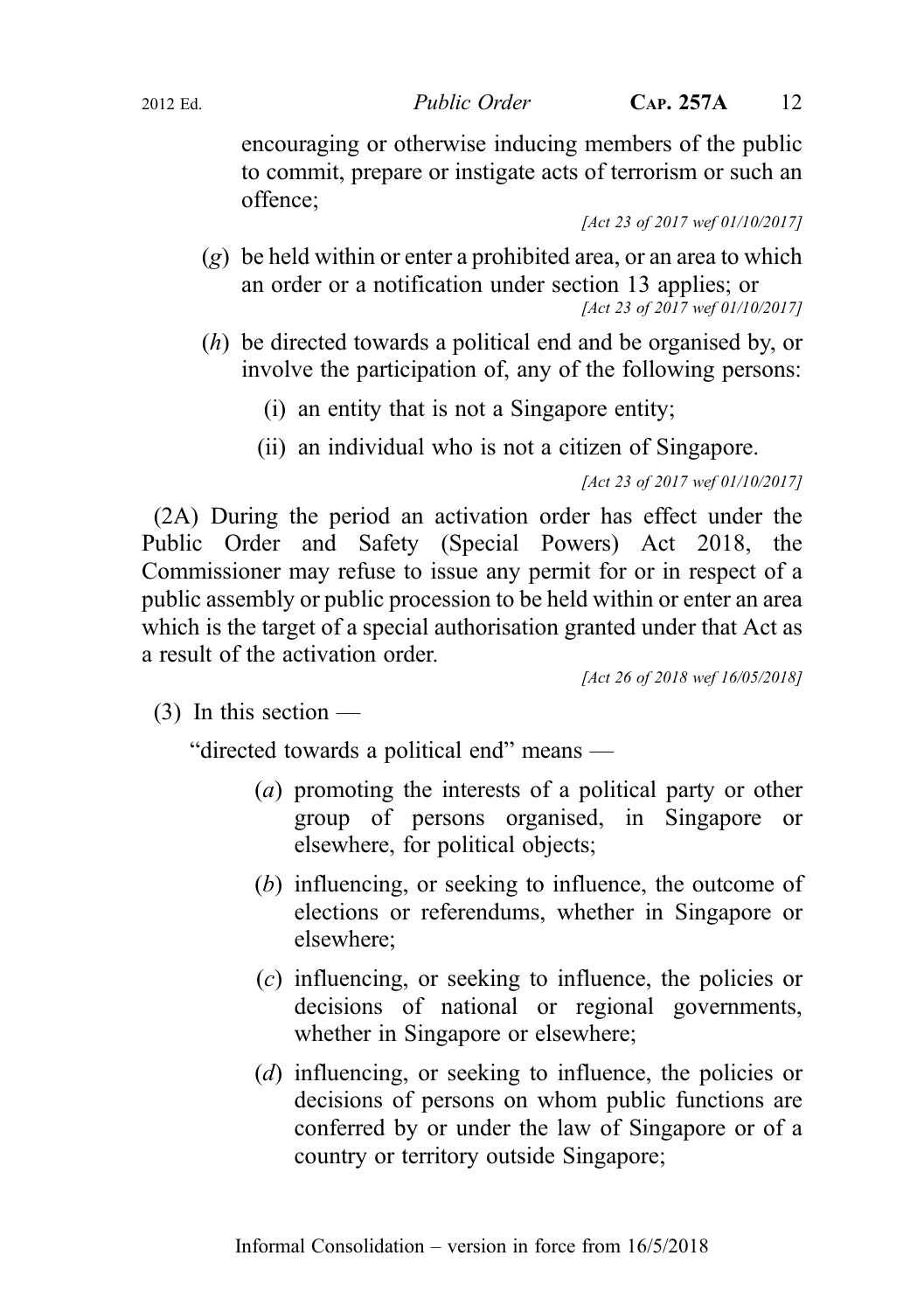encouraging or otherwise inducing members of the public to commit, prepare or instigate acts of terrorism or such an offence;

[Act 23 of 2017 wef 01/10/2017]

- $(g)$  be held within or enter a prohibited area, or an area to which an order or a notification under section 13 applies; or [Act 23 of 2017 wef 01/10/2017]
- (h) be directed towards a political end and be organised by, or involve the participation of, any of the following persons:
	- (i) an entity that is not a Singapore entity;
	- (ii) an individual who is not a citizen of Singapore.

```
[Act 23 of 2017 wef 01/10/2017]
```
(2A) During the period an activation order has effect under the Public Order and Safety (Special Powers) Act 2018, the Commissioner may refuse to issue any permit for or in respect of a public assembly or public procession to be held within or enter an area which is the target of a special authorisation granted under that Act as a result of the activation order.

[Act 26 of 2018 wef 16/05/2018]

 $(3)$  In this section —

"directed towards a political end" means —

- (a) promoting the interests of a political party or other group of persons organised, in Singapore or elsewhere, for political objects;
- (b) influencing, or seeking to influence, the outcome of elections or referendums, whether in Singapore or elsewhere;
- (c) influencing, or seeking to influence, the policies or decisions of national or regional governments, whether in Singapore or elsewhere;
- (*d*) influencing, or seeking to influence, the policies or decisions of persons on whom public functions are conferred by or under the law of Singapore or of a country or territory outside Singapore;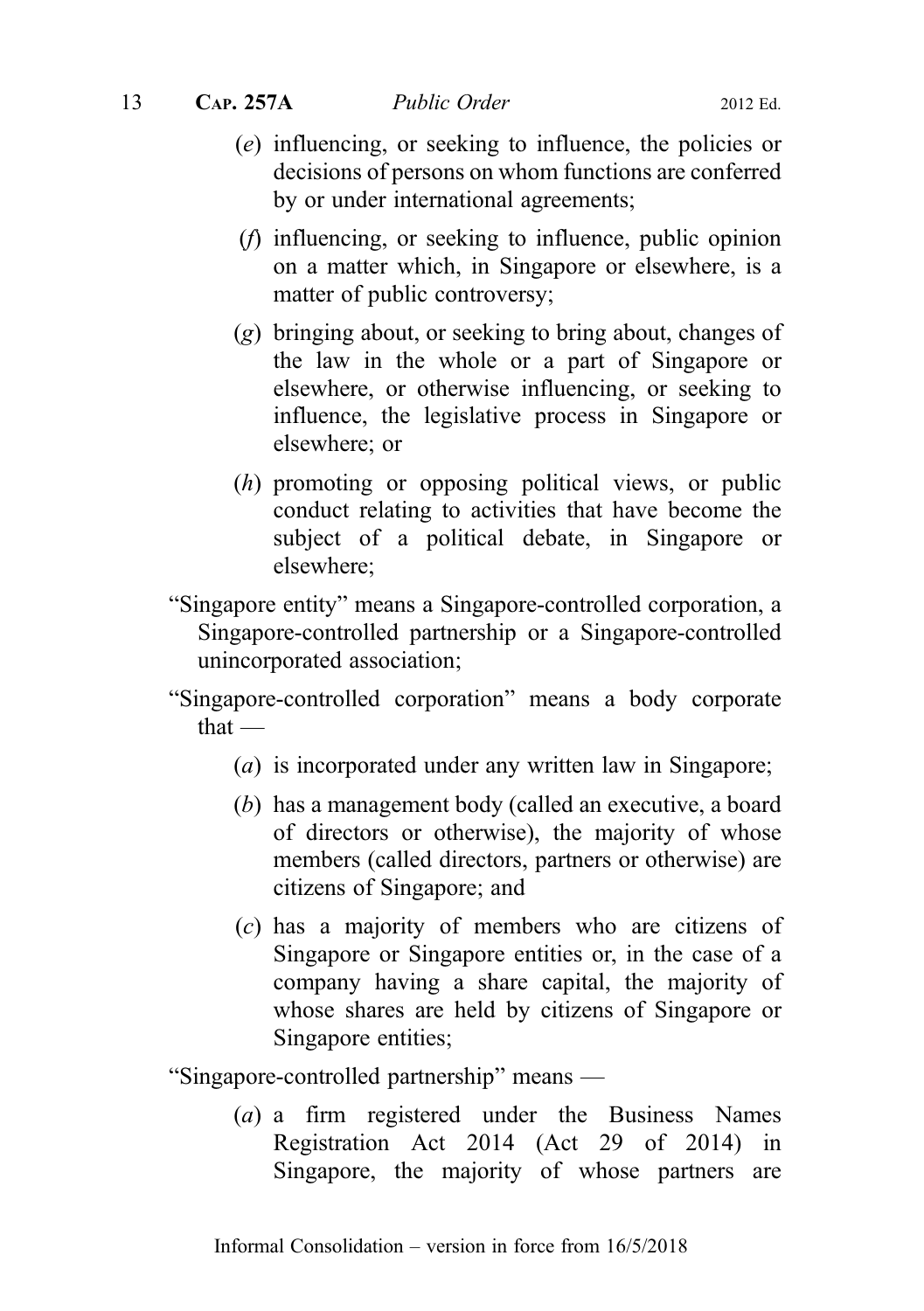- (e) influencing, or seeking to influence, the policies or decisions of persons on whom functions are conferred by or under international agreements;
- (f) influencing, or seeking to influence, public opinion on a matter which, in Singapore or elsewhere, is a matter of public controversy;
- (g) bringing about, or seeking to bring about, changes of the law in the whole or a part of Singapore or elsewhere, or otherwise influencing, or seeking to influence, the legislative process in Singapore or elsewhere; or
- (h) promoting or opposing political views, or public conduct relating to activities that have become the subject of a political debate, in Singapore or elsewhere;
- "Singapore entity" means a Singapore‑controlled corporation, a Singapore-controlled partnership or a Singapore-controlled unincorporated association;
- "Singapore‑controlled corporation" means a body corporate that —
	- (a) is incorporated under any written law in Singapore;
	- (b) has a management body (called an executive, a board of directors or otherwise), the majority of whose members (called directors, partners or otherwise) are citizens of Singapore; and
	- (c) has a majority of members who are citizens of Singapore or Singapore entities or, in the case of a company having a share capital, the majority of whose shares are held by citizens of Singapore or Singapore entities;

"Singapore‑controlled partnership" means —

(a) a firm registered under the Business Names Registration Act 2014 (Act 29 of 2014) in Singapore, the majority of whose partners are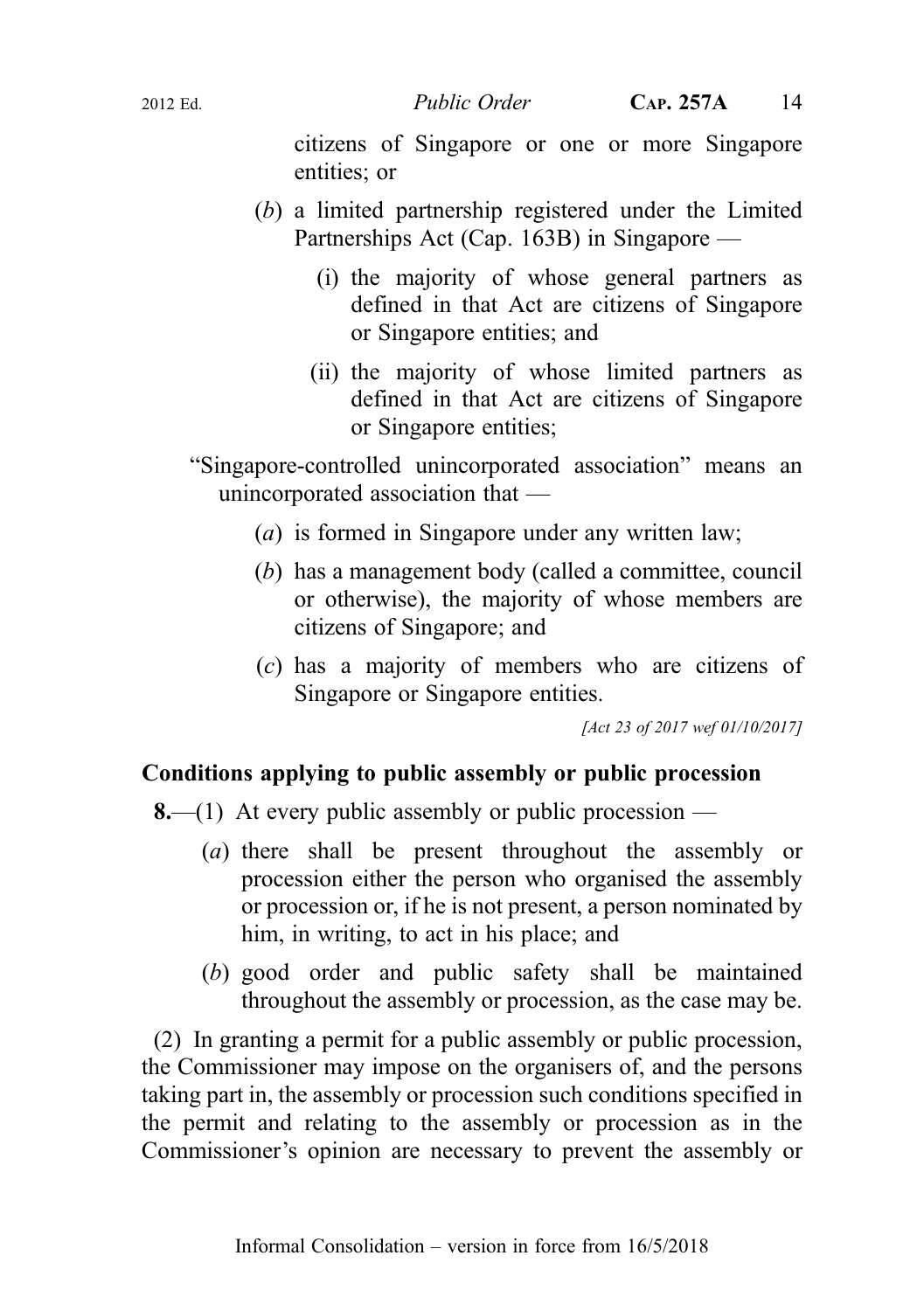citizens of Singapore or one or more Singapore entities; or

- (b) a limited partnership registered under the Limited Partnerships Act (Cap. 163B) in Singapore —
	- (i) the majority of whose general partners as defined in that Act are citizens of Singapore or Singapore entities; and
	- (ii) the majority of whose limited partners as defined in that Act are citizens of Singapore or Singapore entities;

"Singapore‑controlled unincorporated association" means an unincorporated association that —

- (a) is formed in Singapore under any written law;
- (b) has a management body (called a committee, council or otherwise), the majority of whose members are citizens of Singapore; and
- (c) has a majority of members who are citizens of Singapore or Singapore entities.

[Act 23 of 2017 wef 01/10/2017]

## Conditions applying to public assembly or public procession

**8.**—(1) At every public assembly or public procession —

- (a) there shall be present throughout the assembly or procession either the person who organised the assembly or procession or, if he is not present, a person nominated by him, in writing, to act in his place; and
- (b) good order and public safety shall be maintained throughout the assembly or procession, as the case may be.

(2) In granting a permit for a public assembly or public procession, the Commissioner may impose on the organisers of, and the persons taking part in, the assembly or procession such conditions specified in the permit and relating to the assembly or procession as in the Commissioner's opinion are necessary to prevent the assembly or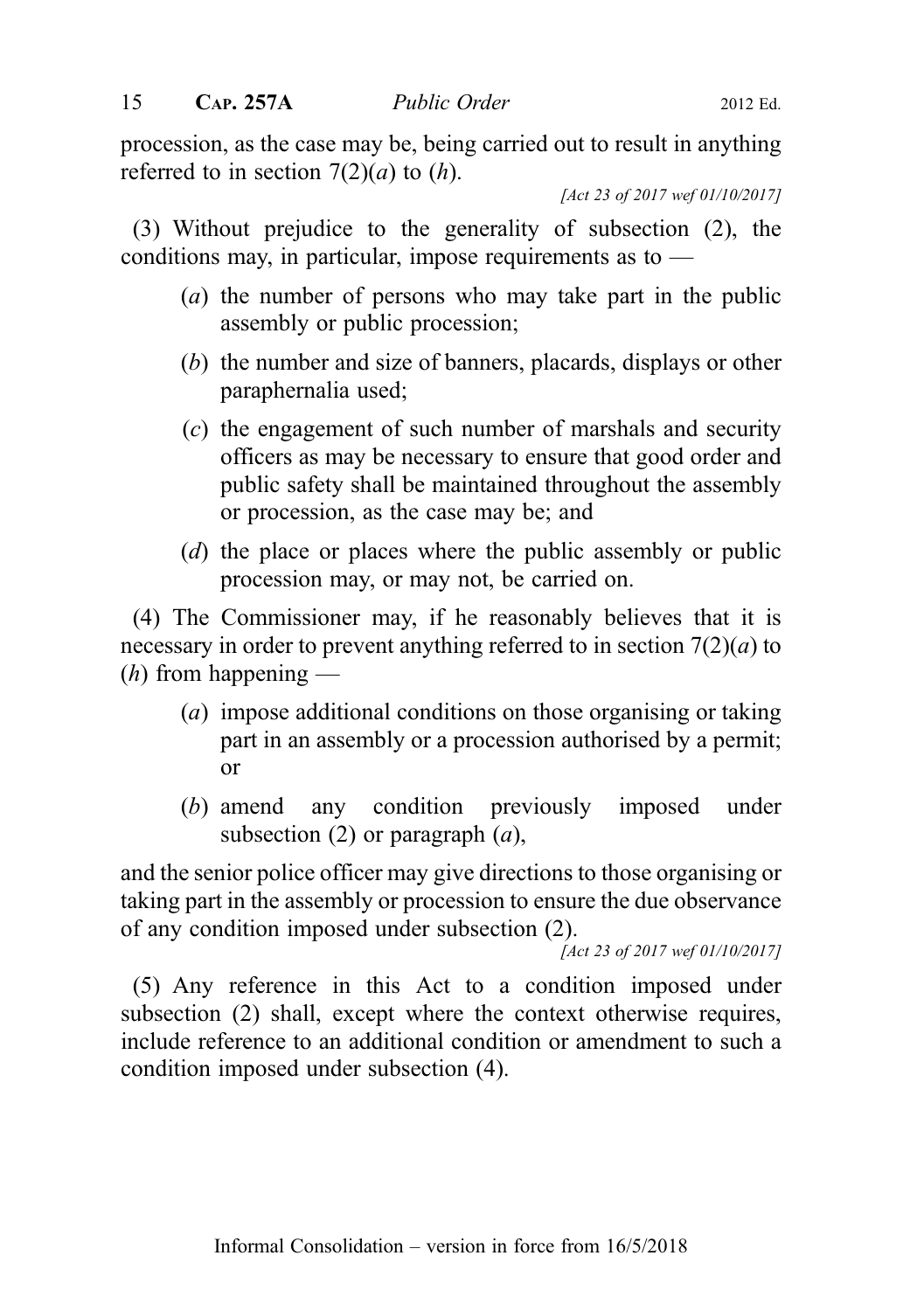procession, as the case may be, being carried out to result in anything referred to in section  $7(2)(a)$  to  $(h)$ .

[Act 23 of 2017 wef 01/10/2017]

(3) Without prejudice to the generality of subsection (2), the conditions may, in particular, impose requirements as to —

- (a) the number of persons who may take part in the public assembly or public procession;
- (b) the number and size of banners, placards, displays or other paraphernalia used;
- (c) the engagement of such number of marshals and security officers as may be necessary to ensure that good order and public safety shall be maintained throughout the assembly or procession, as the case may be; and
- (d) the place or places where the public assembly or public procession may, or may not, be carried on.

(4) The Commissioner may, if he reasonably believes that it is necessary in order to prevent anything referred to in section  $7(2)(a)$  to  $(h)$  from happening —

- (a) impose additional conditions on those organising or taking part in an assembly or a procession authorised by a permit; or
- (b) amend any condition previously imposed under subsection (2) or paragraph  $(a)$ ,

and the senior police officer may give directions to those organising or taking part in the assembly or procession to ensure the due observance of any condition imposed under subsection (2).

[Act 23 of 2017 wef 01/10/2017]

(5) Any reference in this Act to a condition imposed under subsection (2) shall, except where the context otherwise requires, include reference to an additional condition or amendment to such a condition imposed under subsection (4).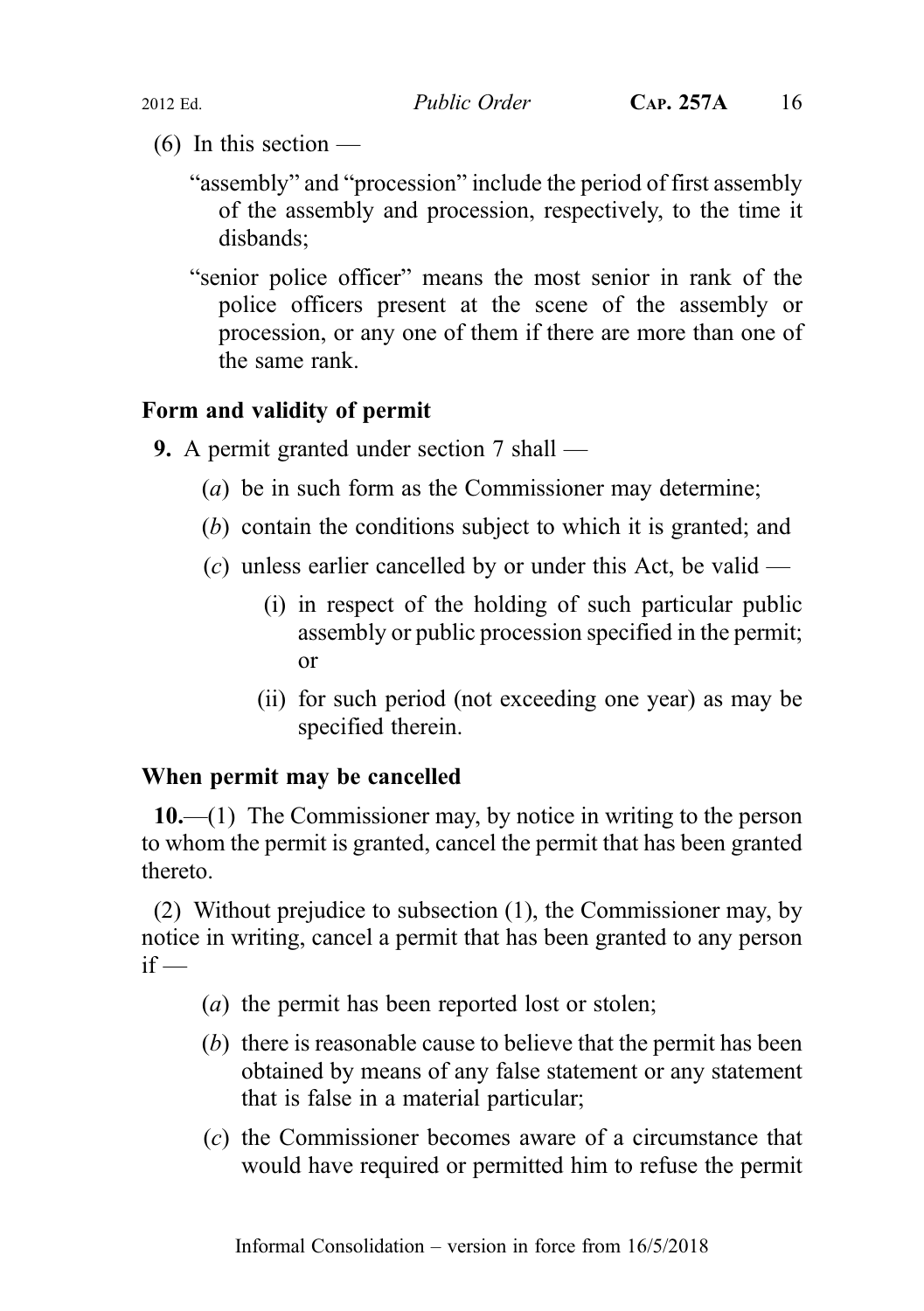- $(6)$  In this section
	- "assembly" and "procession" include the period of first assembly of the assembly and procession, respectively, to the time it disbands;
	- "senior police officer" means the most senior in rank of the police officers present at the scene of the assembly or procession, or any one of them if there are more than one of the same rank.

## Form and validity of permit

- 9. A permit granted under section 7 shall
	- (a) be in such form as the Commissioner may determine;
	- (b) contain the conditions subject to which it is granted; and
	- (c) unless earlier cancelled by or under this Act, be valid
		- (i) in respect of the holding of such particular public assembly or public procession specified in the permit; or
		- (ii) for such period (not exceeding one year) as may be specified therein.

## When permit may be cancelled

10.—(1) The Commissioner may, by notice in writing to the person to whom the permit is granted, cancel the permit that has been granted thereto.

(2) Without prejudice to subsection (1), the Commissioner may, by notice in writing, cancel a permit that has been granted to any person  $if -$ 

- (a) the permit has been reported lost or stolen;
- (b) there is reasonable cause to believe that the permit has been obtained by means of any false statement or any statement that is false in a material particular;
- (c) the Commissioner becomes aware of a circumstance that would have required or permitted him to refuse the permit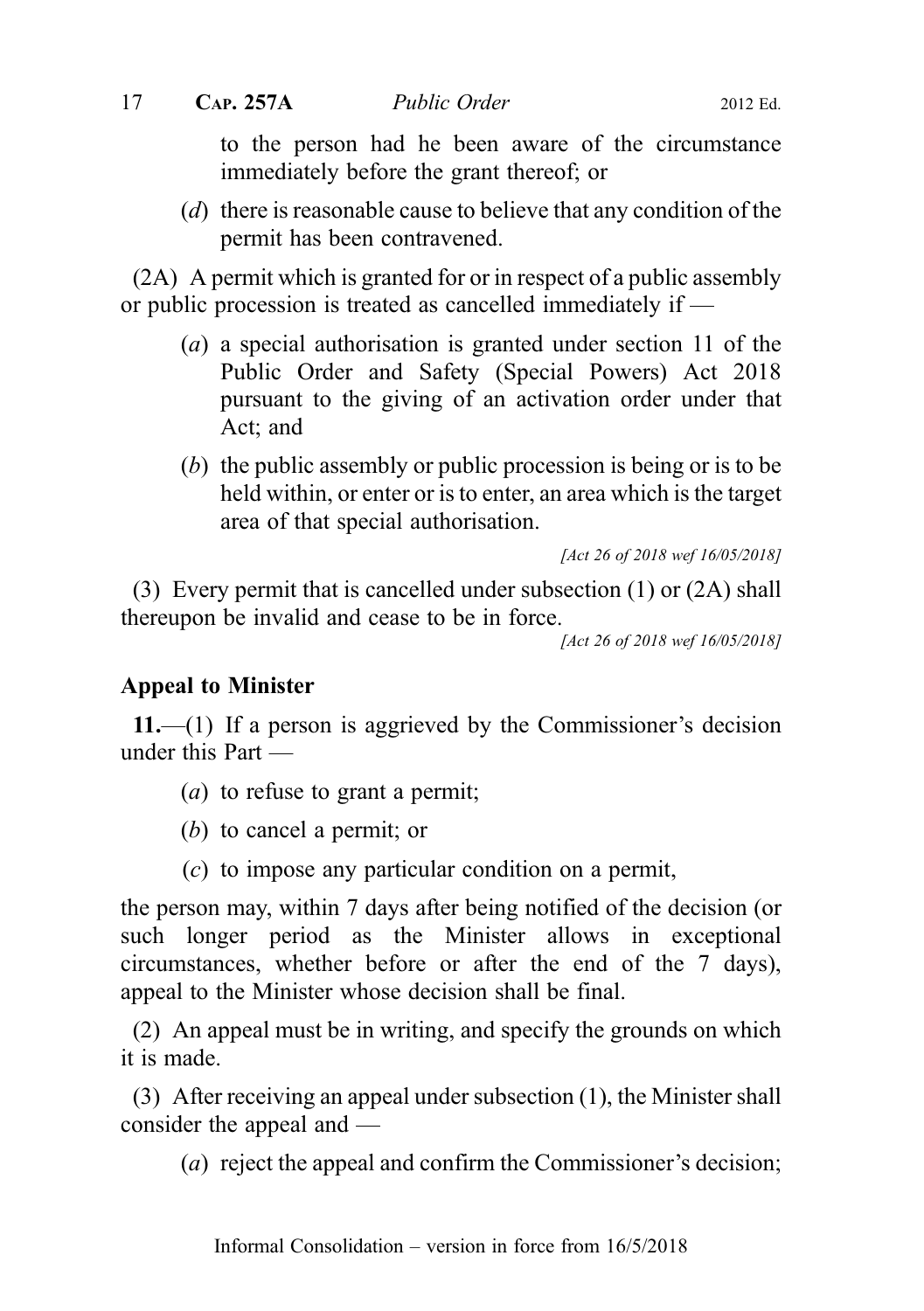to the person had he been aware of the circumstance immediately before the grant thereof; or

(d) there is reasonable cause to believe that any condition of the permit has been contravened.

(2A) A permit which is granted for or in respect of a public assembly or public procession is treated as cancelled immediately if —

- (a) a special authorisation is granted under section 11 of the Public Order and Safety (Special Powers) Act 2018 pursuant to the giving of an activation order under that Act; and
- (b) the public assembly or public procession is being or is to be held within, or enter or is to enter, an area which is the target area of that special authorisation.

[Act 26 of 2018 wef 16/05/2018]

(3) Every permit that is cancelled under subsection (1) or (2A) shall thereupon be invalid and cease to be in force.

[Act 26 of 2018 wef 16/05/2018]

#### Appeal to Minister

11.—(1) If a person is aggrieved by the Commissioner's decision under this Part —

- (a) to refuse to grant a permit;
- (b) to cancel a permit; or
- (c) to impose any particular condition on a permit,

the person may, within 7 days after being notified of the decision (or such longer period as the Minister allows in exceptional circumstances, whether before or after the end of the 7 days), appeal to the Minister whose decision shall be final.

(2) An appeal must be in writing, and specify the grounds on which it is made.

(3) After receiving an appeal under subsection (1), the Minister shall consider the appeal and —

(a) reject the appeal and confirm the Commissioner's decision;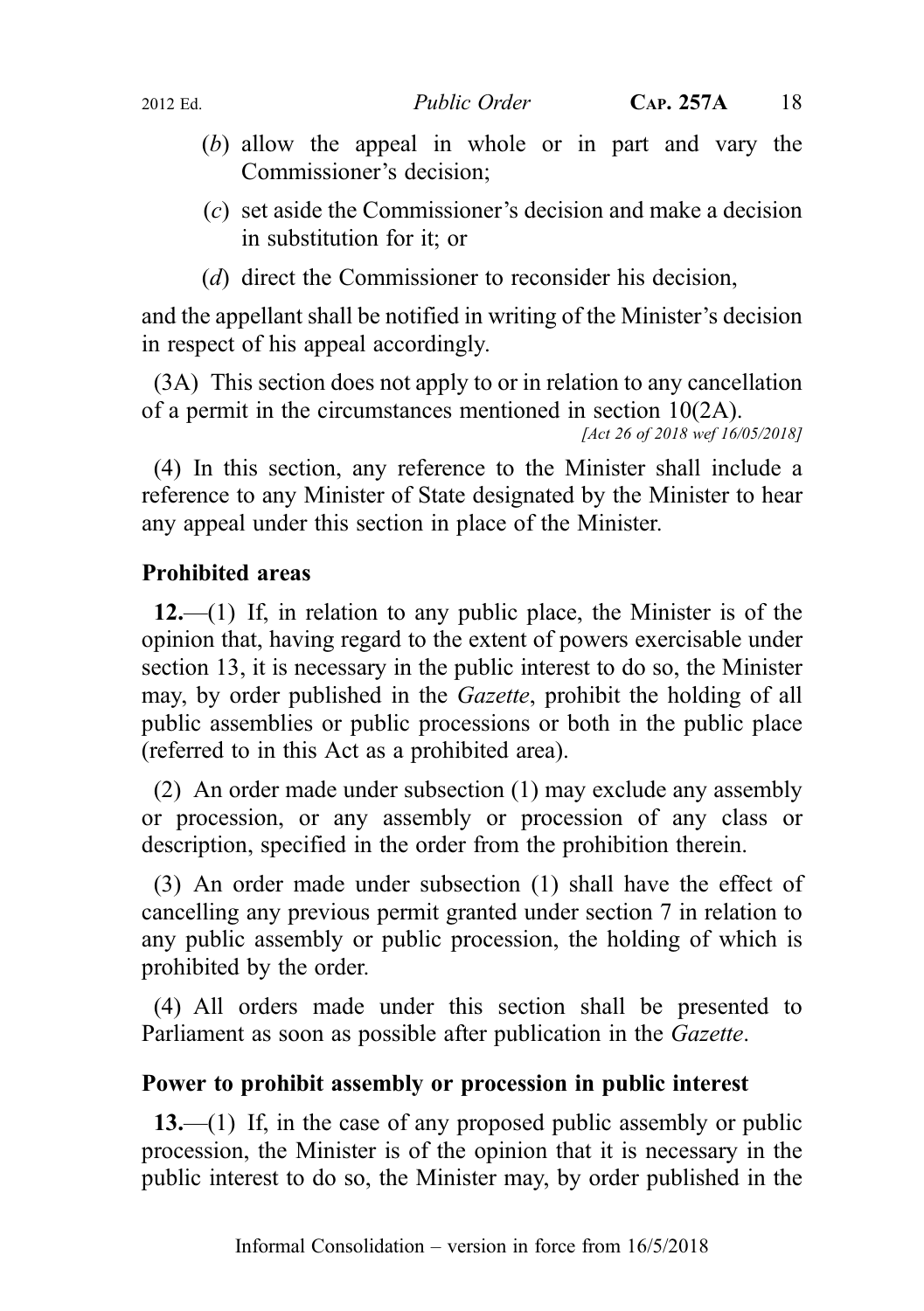- (b) allow the appeal in whole or in part and vary the Commissioner's decision;
- (c) set aside the Commissioner's decision and make a decision in substitution for it; or
- (d) direct the Commissioner to reconsider his decision,

and the appellant shall be notified in writing of the Minister's decision in respect of his appeal accordingly.

(3A) This section does not apply to or in relation to any cancellation of a permit in the circumstances mentioned in section 10(2A).

[Act 26 of 2018 wef 16/05/2018]

(4) In this section, any reference to the Minister shall include a reference to any Minister of State designated by the Minister to hear any appeal under this section in place of the Minister.

## Prohibited areas

 $12$ —(1) If, in relation to any public place, the Minister is of the opinion that, having regard to the extent of powers exercisable under section 13, it is necessary in the public interest to do so, the Minister may, by order published in the *Gazette*, prohibit the holding of all public assemblies or public processions or both in the public place (referred to in this Act as a prohibited area).

(2) An order made under subsection (1) may exclude any assembly or procession, or any assembly or procession of any class or description, specified in the order from the prohibition therein.

(3) An order made under subsection (1) shall have the effect of cancelling any previous permit granted under section 7 in relation to any public assembly or public procession, the holding of which is prohibited by the order.

(4) All orders made under this section shall be presented to Parliament as soon as possible after publication in the Gazette.

## Power to prohibit assembly or procession in public interest

 $13$ —(1) If, in the case of any proposed public assembly or public procession, the Minister is of the opinion that it is necessary in the public interest to do so, the Minister may, by order published in the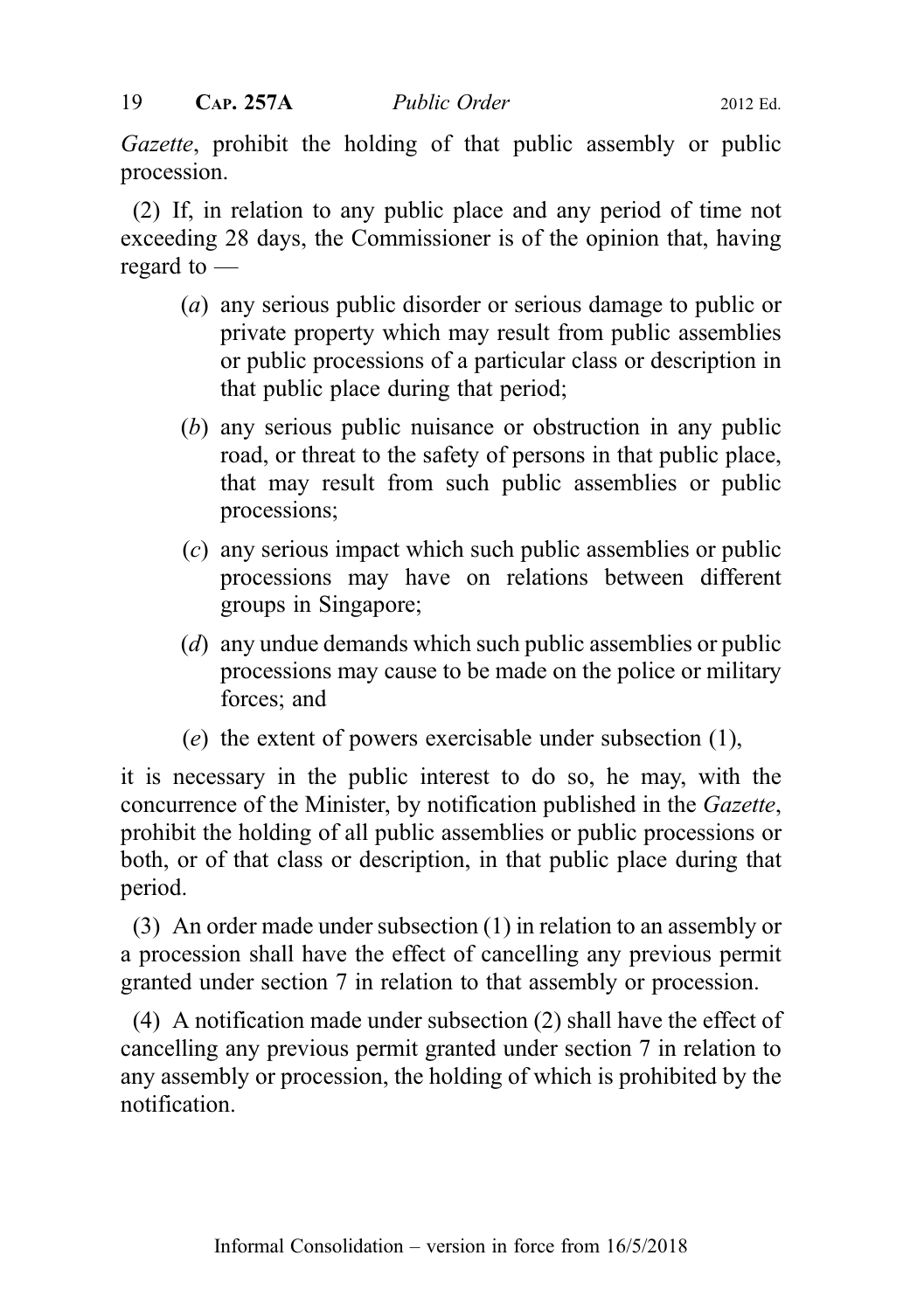Gazette, prohibit the holding of that public assembly or public procession.

(2) If, in relation to any public place and any period of time not exceeding 28 days, the Commissioner is of the opinion that, having regard to —

- (a) any serious public disorder or serious damage to public or private property which may result from public assemblies or public processions of a particular class or description in that public place during that period;
- (b) any serious public nuisance or obstruction in any public road, or threat to the safety of persons in that public place, that may result from such public assemblies or public processions;
- (c) any serious impact which such public assemblies or public processions may have on relations between different groups in Singapore;
- (d) any undue demands which such public assemblies or public processions may cause to be made on the police or military forces; and
- (e) the extent of powers exercisable under subsection (1),

it is necessary in the public interest to do so, he may, with the concurrence of the Minister, by notification published in the Gazette, prohibit the holding of all public assemblies or public processions or both, or of that class or description, in that public place during that period.

(3) An order made under subsection (1) in relation to an assembly or a procession shall have the effect of cancelling any previous permit granted under section 7 in relation to that assembly or procession.

(4) A notification made under subsection (2) shall have the effect of cancelling any previous permit granted under section 7 in relation to any assembly or procession, the holding of which is prohibited by the notification.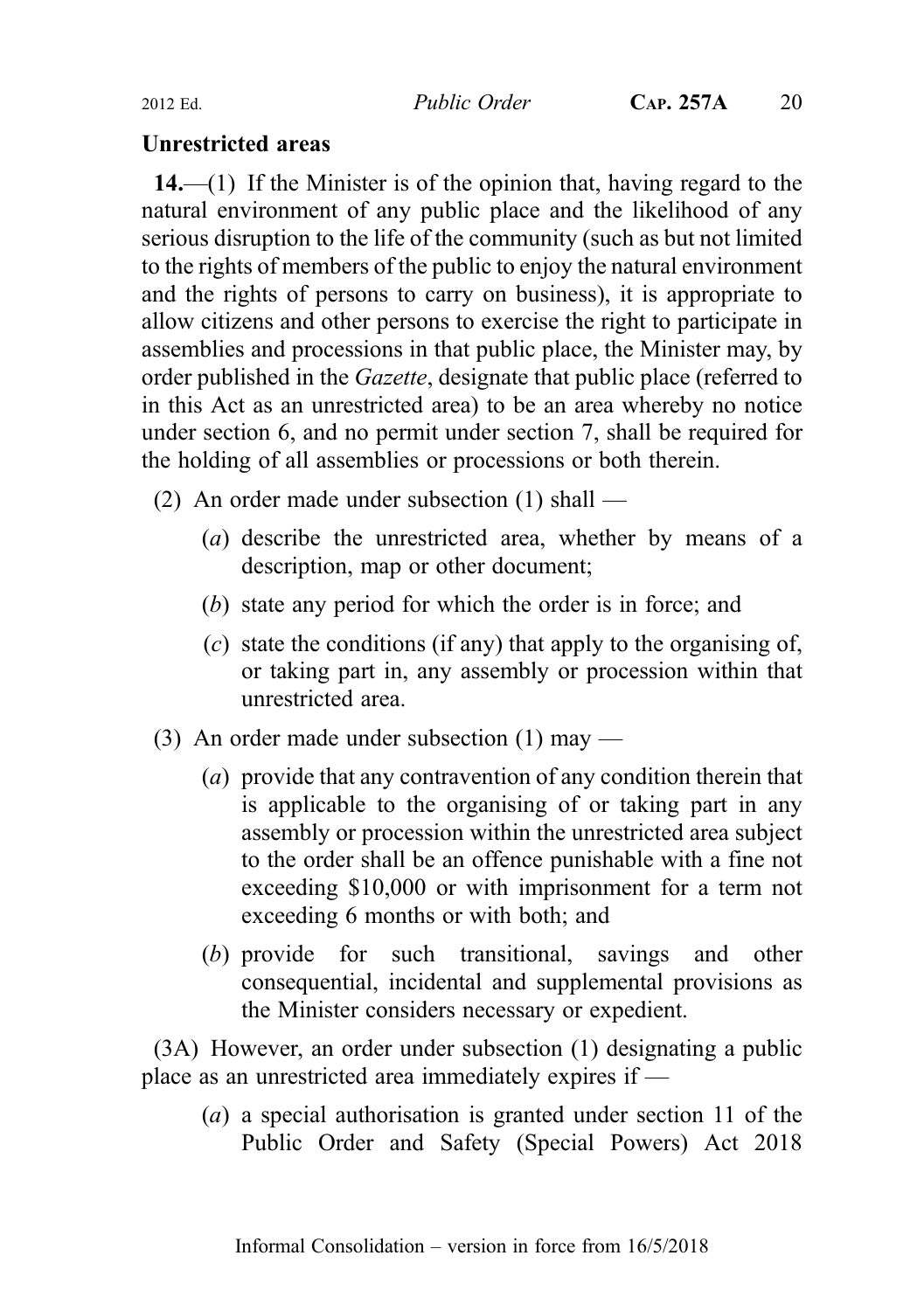### Unrestricted areas

 $14$ ,—(1) If the Minister is of the opinion that, having regard to the natural environment of any public place and the likelihood of any serious disruption to the life of the community (such as but not limited to the rights of members of the public to enjoy the natural environment and the rights of persons to carry on business), it is appropriate to allow citizens and other persons to exercise the right to participate in assemblies and processions in that public place, the Minister may, by order published in the Gazette, designate that public place (referred to in this Act as an unrestricted area) to be an area whereby no notice under section 6, and no permit under section 7, shall be required for the holding of all assemblies or processions or both therein.

- (2) An order made under subsection (1) shall
	- (a) describe the unrestricted area, whether by means of a description, map or other document;
	- (b) state any period for which the order is in force; and
	- $(c)$  state the conditions (if any) that apply to the organising of, or taking part in, any assembly or procession within that unrestricted area.
- (3) An order made under subsection  $(1)$  may
	- (a) provide that any contravention of any condition therein that is applicable to the organising of or taking part in any assembly or procession within the unrestricted area subject to the order shall be an offence punishable with a fine not exceeding \$10,000 or with imprisonment for a term not exceeding 6 months or with both; and
	- (b) provide for such transitional, savings and other consequential, incidental and supplemental provisions as the Minister considers necessary or expedient.

(3A) However, an order under subsection (1) designating a public place as an unrestricted area immediately expires if —

(a) a special authorisation is granted under section 11 of the Public Order and Safety (Special Powers) Act 2018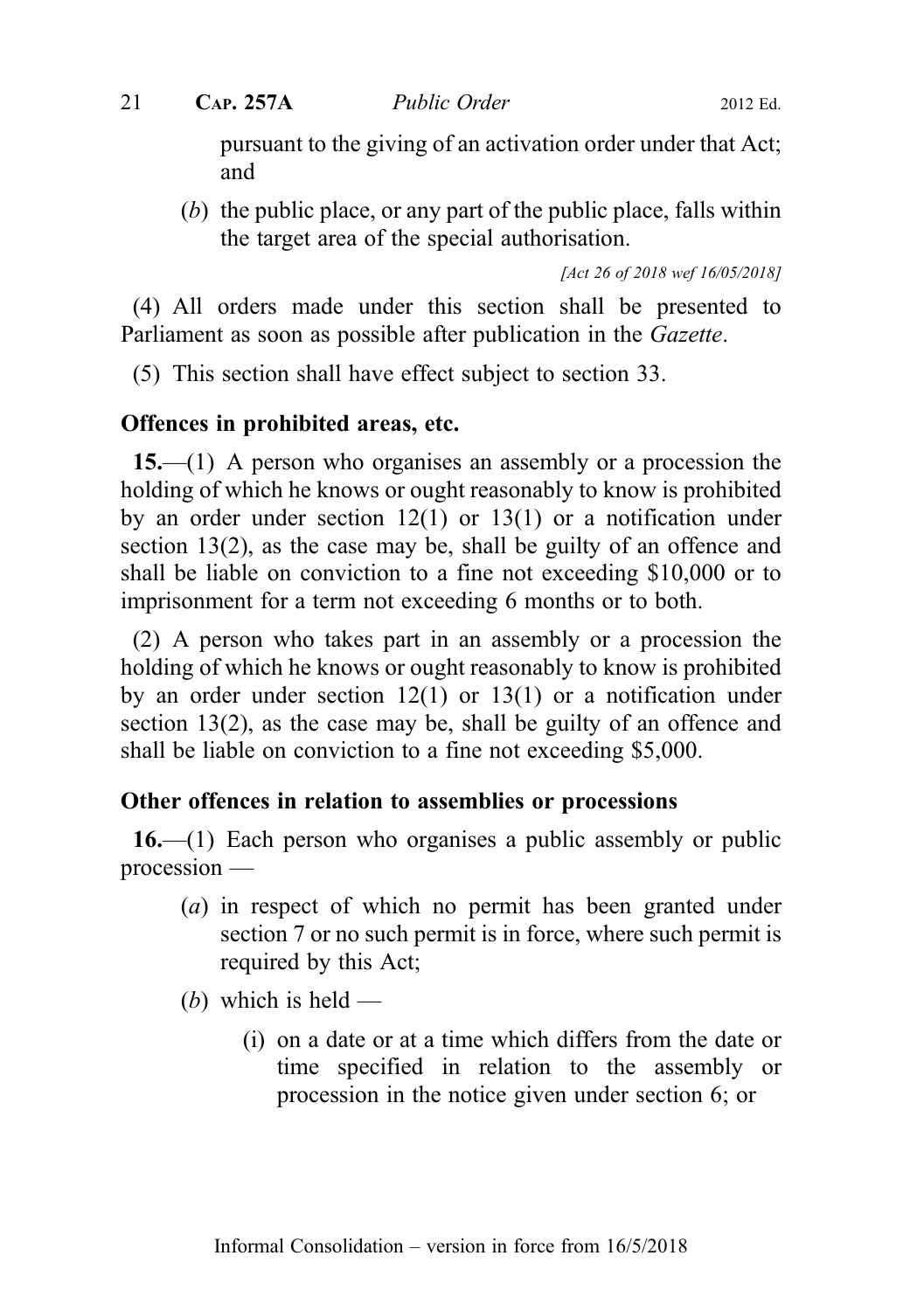pursuant to the giving of an activation order under that Act; and

(b) the public place, or any part of the public place, falls within the target area of the special authorisation.

[Act 26 of 2018 wef 16/05/2018]

(4) All orders made under this section shall be presented to Parliament as soon as possible after publication in the Gazette.

(5) This section shall have effect subject to section 33.

### Offences in prohibited areas, etc.

15.—(1) A person who organises an assembly or a procession the holding of which he knows or ought reasonably to know is prohibited by an order under section 12(1) or 13(1) or a notification under section 13(2), as the case may be, shall be guilty of an offence and shall be liable on conviction to a fine not exceeding \$10,000 or to imprisonment for a term not exceeding 6 months or to both.

(2) A person who takes part in an assembly or a procession the holding of which he knows or ought reasonably to know is prohibited by an order under section 12(1) or 13(1) or a notification under section 13(2), as the case may be, shall be guilty of an offence and shall be liable on conviction to a fine not exceeding \$5,000.

## Other offences in relation to assemblies or processions

16.—(1) Each person who organises a public assembly or public procession —

- (a) in respect of which no permit has been granted under section 7 or no such permit is in force, where such permit is required by this Act;
- (b) which is held
	- (i) on a date or at a time which differs from the date or time specified in relation to the assembly or procession in the notice given under section 6; or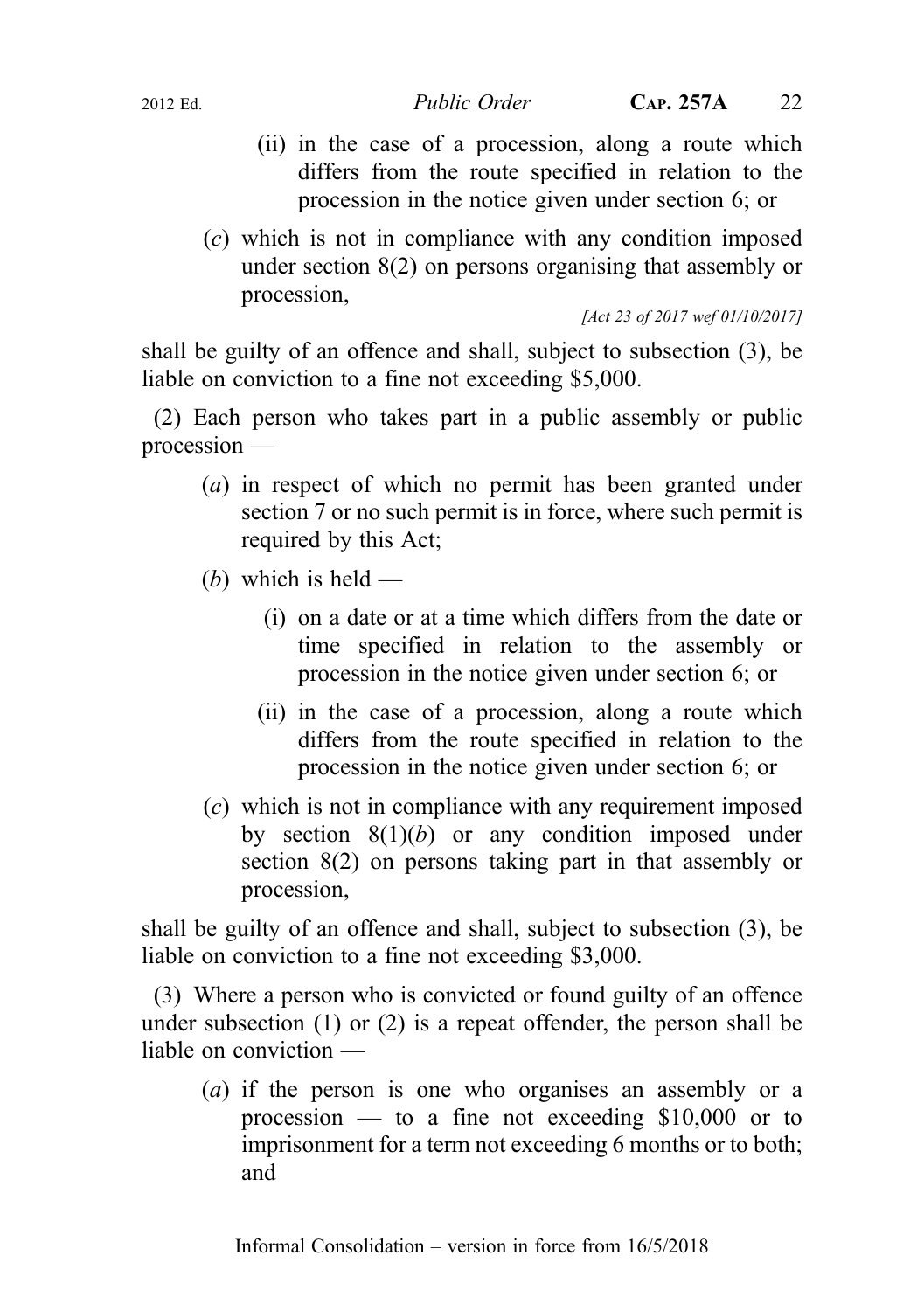- (ii) in the case of a procession, along a route which differs from the route specified in relation to the procession in the notice given under section 6; or
- (c) which is not in compliance with any condition imposed under section 8(2) on persons organising that assembly or procession,

[Act 23 of 2017 wef 01/10/2017]

shall be guilty of an offence and shall, subject to subsection (3), be liable on conviction to a fine not exceeding \$5,000.

(2) Each person who takes part in a public assembly or public procession —

- (a) in respect of which no permit has been granted under section 7 or no such permit is in force, where such permit is required by this Act;
- (b) which is held  $-$ 
	- (i) on a date or at a time which differs from the date or time specified in relation to the assembly or procession in the notice given under section 6; or
	- (ii) in the case of a procession, along a route which differs from the route specified in relation to the procession in the notice given under section 6; or
- (c) which is not in compliance with any requirement imposed by section  $8(1)(b)$  or any condition imposed under section 8(2) on persons taking part in that assembly or procession,

shall be guilty of an offence and shall, subject to subsection (3), be liable on conviction to a fine not exceeding \$3,000.

(3) Where a person who is convicted or found guilty of an offence under subsection (1) or (2) is a repeat offender, the person shall be liable on conviction —

(a) if the person is one who organises an assembly or a procession — to a fine not exceeding  $$10,000$  or to imprisonment for a term not exceeding 6 months or to both; and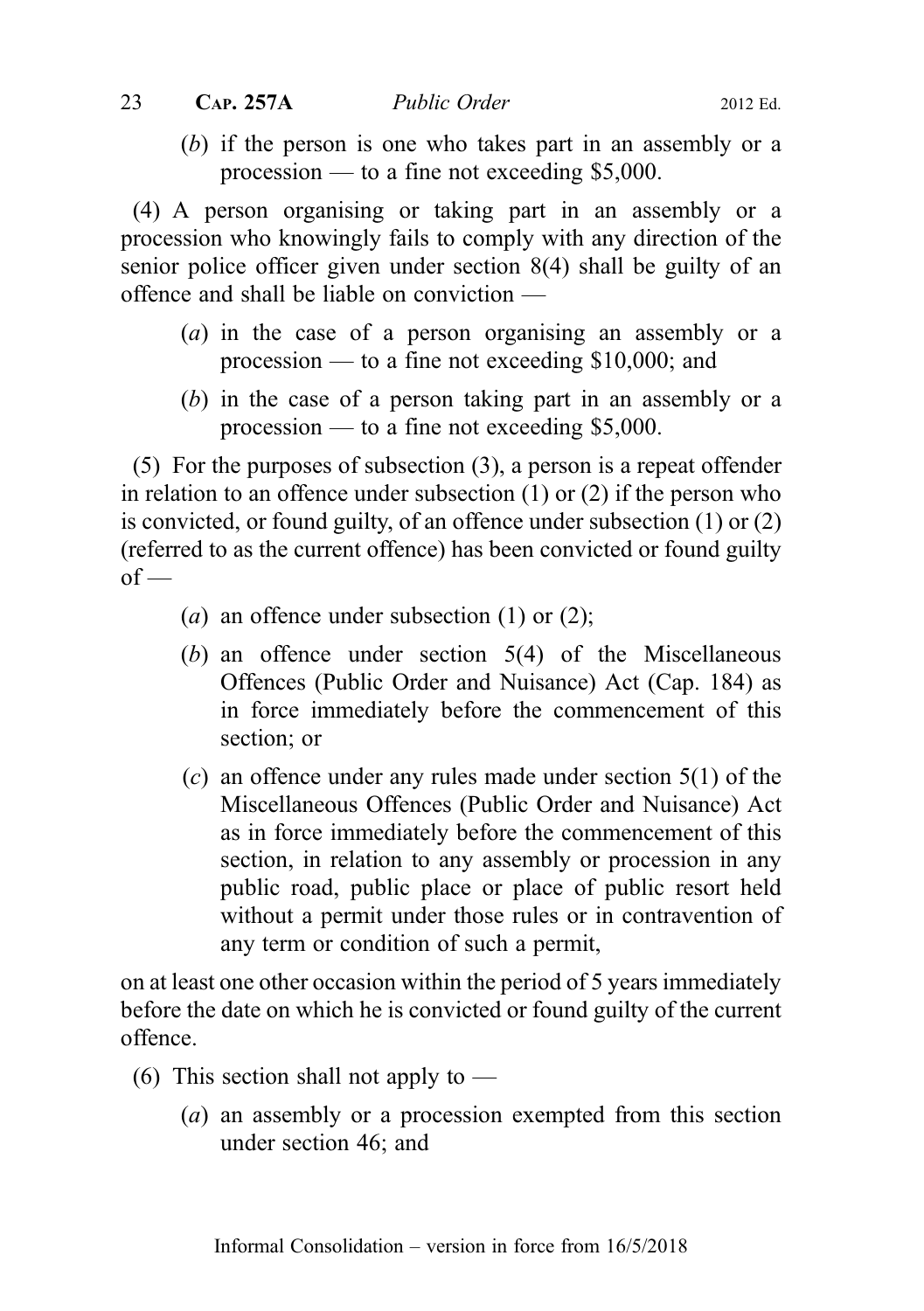## 23 CAP. 257A *Public Order* 2012 Ed.

(b) if the person is one who takes part in an assembly or a procession — to a fine not exceeding \$5,000.

(4) A person organising or taking part in an assembly or a procession who knowingly fails to comply with any direction of the senior police officer given under section 8(4) shall be guilty of an offence and shall be liable on conviction —

- (a) in the case of a person organising an assembly or a procession — to a fine not exceeding \$10,000; and
- (b) in the case of a person taking part in an assembly or a procession — to a fine not exceeding \$5,000.

(5) For the purposes of subsection (3), a person is a repeat offender in relation to an offence under subsection (1) or (2) if the person who is convicted, or found guilty, of an offence under subsection (1) or (2) (referred to as the current offence) has been convicted or found guilty  $of -$ 

- (a) an offence under subsection  $(1)$  or  $(2)$ ;
- (b) an offence under section 5(4) of the Miscellaneous Offences (Public Order and Nuisance) Act (Cap. 184) as in force immediately before the commencement of this section; or
- $(c)$  an offence under any rules made under section 5(1) of the Miscellaneous Offences (Public Order and Nuisance) Act as in force immediately before the commencement of this section, in relation to any assembly or procession in any public road, public place or place of public resort held without a permit under those rules or in contravention of any term or condition of such a permit,

on at least one other occasion within the period of 5 years immediately before the date on which he is convicted or found guilty of the current offence.

- (6) This section shall not apply to  $-$ 
	- (a) an assembly or a procession exempted from this section under section 46; and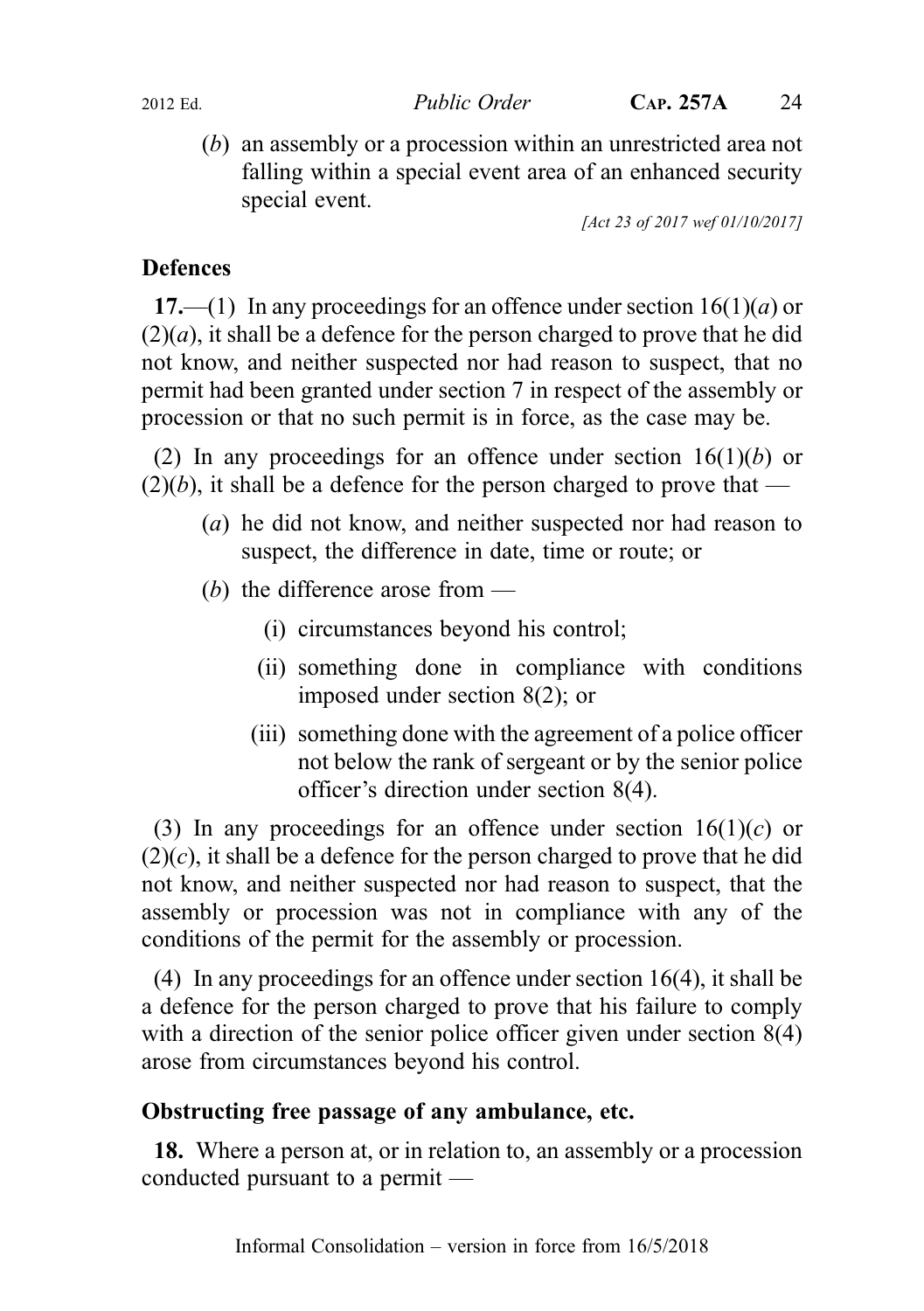(b) an assembly or a procession within an unrestricted area not falling within a special event area of an enhanced security special event.

[Act 23 of 2017 wef 01/10/2017]

## **Defences**

17.—(1) In any proceedings for an offence under section  $16(1)(a)$  or  $(2)(a)$ , it shall be a defence for the person charged to prove that he did not know, and neither suspected nor had reason to suspect, that no permit had been granted under section 7 in respect of the assembly or procession or that no such permit is in force, as the case may be.

(2) In any proceedings for an offence under section  $16(1)(b)$  or  $(2)(b)$ , it shall be a defence for the person charged to prove that —

- (a) he did not know, and neither suspected nor had reason to suspect, the difference in date, time or route; or
- (b) the difference arose from  $-$ 
	- (i) circumstances beyond his control;
	- (ii) something done in compliance with conditions imposed under section 8(2); or
	- (iii) something done with the agreement of a police officer not below the rank of sergeant or by the senior police officer's direction under section 8(4).

(3) In any proceedings for an offence under section  $16(1)(c)$  or  $(2)(c)$ , it shall be a defence for the person charged to prove that he did not know, and neither suspected nor had reason to suspect, that the assembly or procession was not in compliance with any of the conditions of the permit for the assembly or procession.

(4) In any proceedings for an offence under section 16(4), it shall be a defence for the person charged to prove that his failure to comply with a direction of the senior police officer given under section 8(4) arose from circumstances beyond his control.

## Obstructing free passage of any ambulance, etc.

18. Where a person at, or in relation to, an assembly or a procession conducted pursuant to a permit —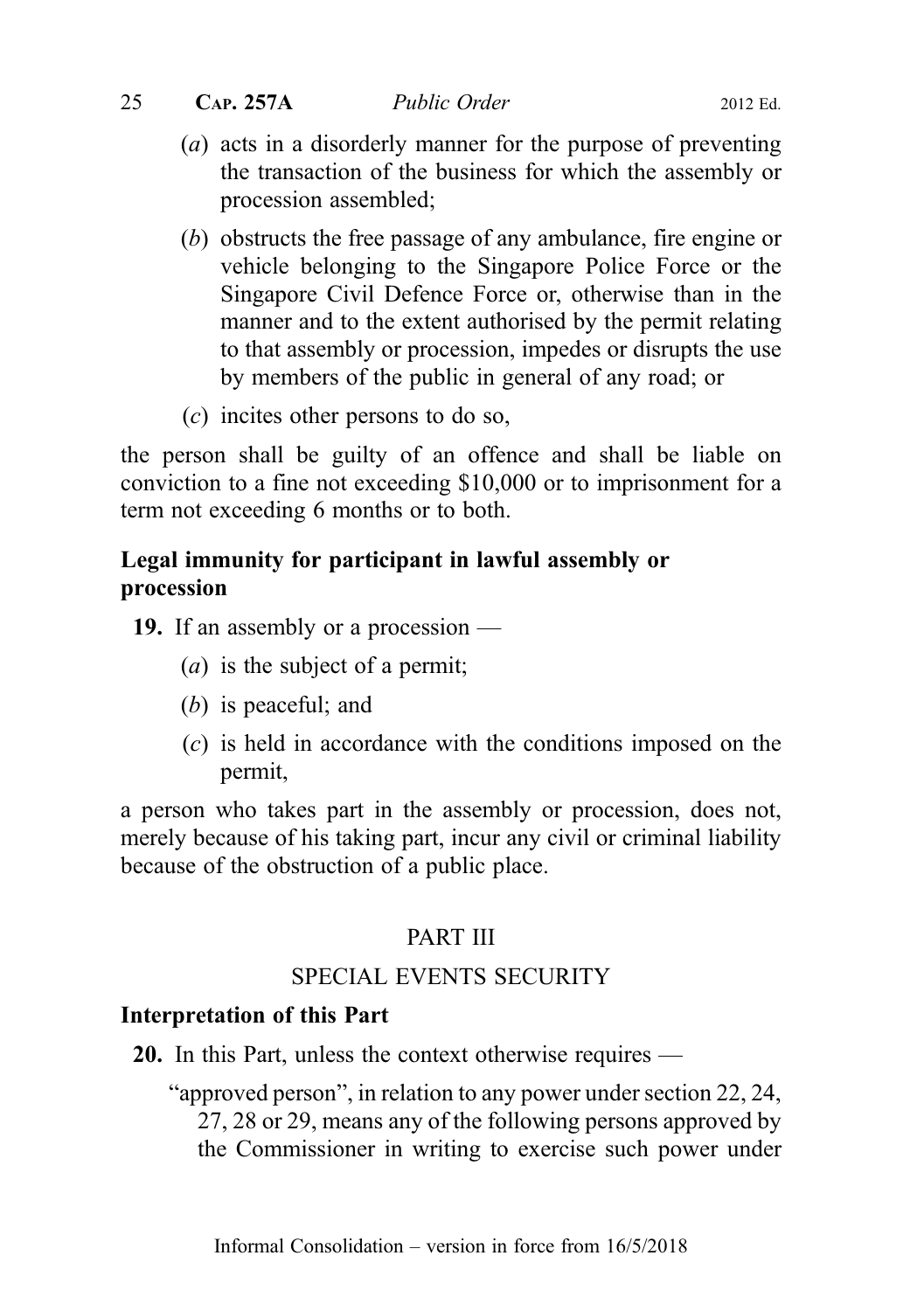$25$  C<sub>AP</sub>. 257A *Public Order* 2012 Ed.

- (a) acts in a disorderly manner for the purpose of preventing the transaction of the business for which the assembly or procession assembled;
- (b) obstructs the free passage of any ambulance, fire engine or vehicle belonging to the Singapore Police Force or the Singapore Civil Defence Force or, otherwise than in the manner and to the extent authorised by the permit relating to that assembly or procession, impedes or disrupts the use by members of the public in general of any road; or
- (c) incites other persons to do so,

the person shall be guilty of an offence and shall be liable on conviction to a fine not exceeding \$10,000 or to imprisonment for a term not exceeding 6 months or to both.

## Legal immunity for participant in lawful assembly or procession

19. If an assembly or a procession —

- (a) is the subject of a permit;
- (b) is peaceful; and
- (c) is held in accordance with the conditions imposed on the permit,

a person who takes part in the assembly or procession, does not, merely because of his taking part, incur any civil or criminal liability because of the obstruction of a public place.

## PART III

## SPECIAL EVENTS SECURITY

## Interpretation of this Part

- 20. In this Part, unless the context otherwise requires
	- "approved person", in relation to any power under section 22, 24, 27, 28 or 29, means any of the following persons approved by the Commissioner in writing to exercise such power under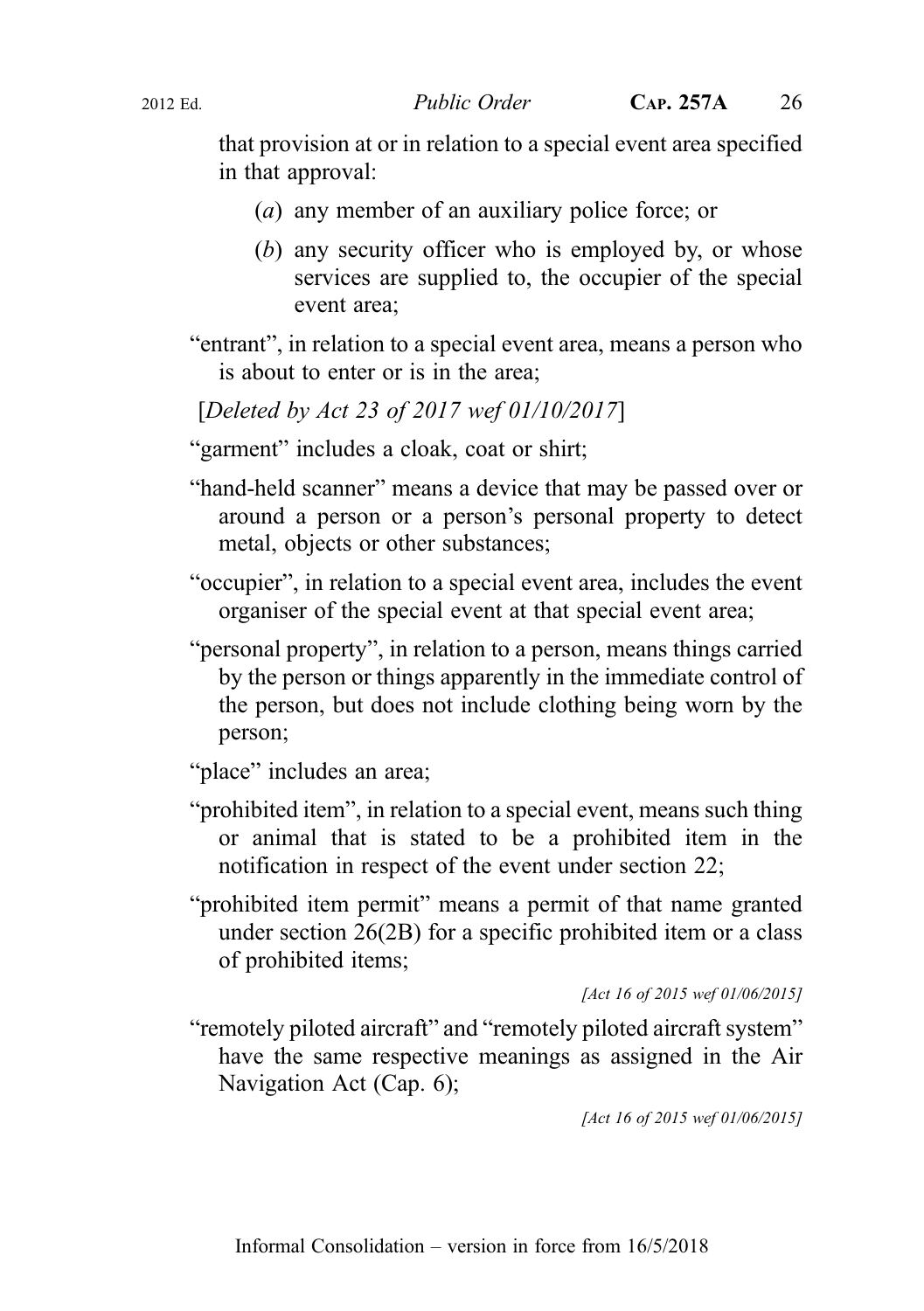that provision at or in relation to a special event area specified in that approval:

- (a) any member of an auxiliary police force; or
- (b) any security officer who is employed by, or whose services are supplied to, the occupier of the special event area;
- "entrant", in relation to a special event area, means a person who is about to enter or is in the area;

[Deleted by Act 23 of 2017 wef 01/10/2017]

"garment" includes a cloak, coat or shirt;

- "hand-held scanner" means a device that may be passed over or around a person or a person's personal property to detect metal, objects or other substances;
- "occupier", in relation to a special event area, includes the event organiser of the special event at that special event area;
- "personal property", in relation to a person, means things carried by the person or things apparently in the immediate control of the person, but does not include clothing being worn by the person;

"place" includes an area;

- "prohibited item", in relation to a special event, means such thing or animal that is stated to be a prohibited item in the notification in respect of the event under section 22;
- "prohibited item permit" means a permit of that name granted under section 26(2B) for a specific prohibited item or a class of prohibited items;

[Act 16 of 2015 wef 01/06/2015]

"remotely piloted aircraft" and "remotely piloted aircraft system" have the same respective meanings as assigned in the Air Navigation Act (Cap. 6);

[Act 16 of 2015 wef 01/06/2015]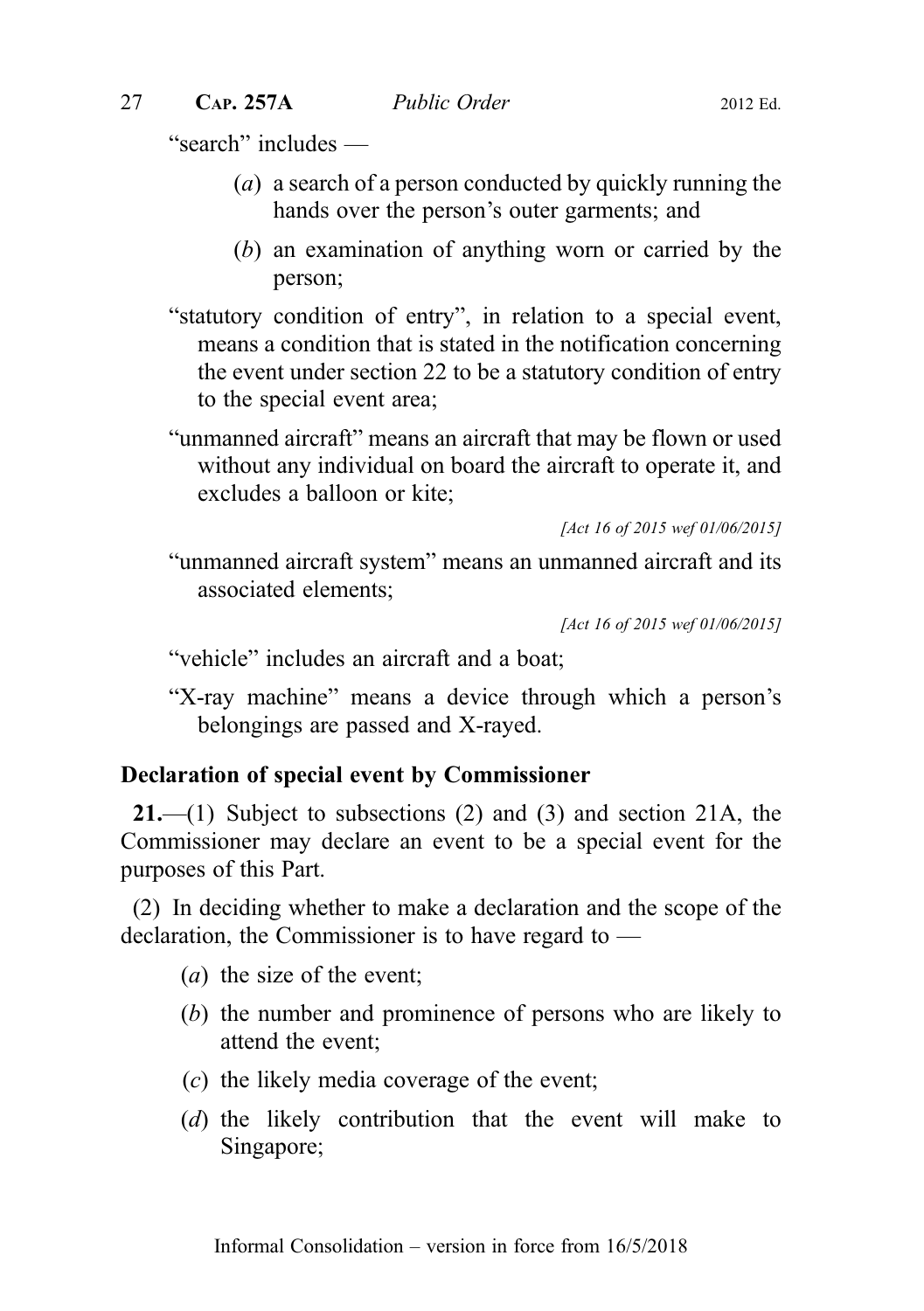"search" includes —

- (a) a search of a person conducted by quickly running the hands over the person's outer garments; and
- (b) an examination of anything worn or carried by the person;
- "statutory condition of entry", in relation to a special event, means a condition that is stated in the notification concerning the event under section 22 to be a statutory condition of entry to the special event area;
- "unmanned aircraft" means an aircraft that may be flown or used without any individual on board the aircraft to operate it, and excludes a balloon or kite;

```
[Act 16 of 2015 wef 01/06/2015]
```
"unmanned aircraft system" means an unmanned aircraft and its associated elements;

```
[Act 16 of 2015 wef 01/06/2015]
```
- "vehicle" includes an aircraft and a boat;
- "X-ray machine" means a device through which a person's belongings are passed and X-rayed.

#### Declaration of special event by Commissioner

**21.**—(1) Subject to subsections (2) and (3) and section 21A, the Commissioner may declare an event to be a special event for the purposes of this Part.

(2) In deciding whether to make a declaration and the scope of the declaration, the Commissioner is to have regard to —

- (a) the size of the event;
- (b) the number and prominence of persons who are likely to attend the event;
- (c) the likely media coverage of the event;
- (d) the likely contribution that the event will make to Singapore;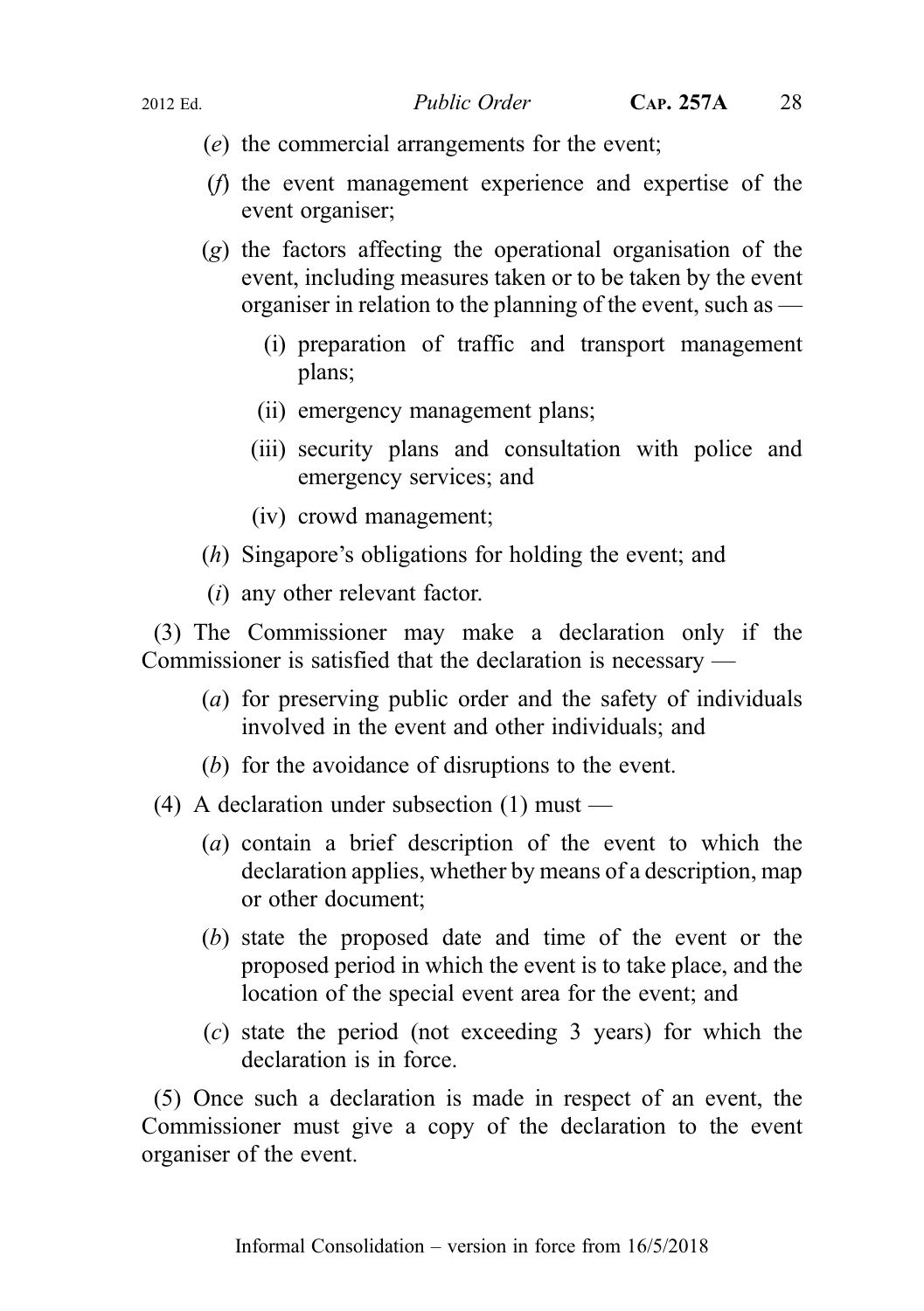- (e) the commercial arrangements for the event;
- (f) the event management experience and expertise of the event organiser;
- (g) the factors affecting the operational organisation of the event, including measures taken or to be taken by the event organiser in relation to the planning of the event, such as  $-$ 
	- (i) preparation of traffic and transport management plans;
	- (ii) emergency management plans;
	- (iii) security plans and consultation with police and emergency services; and
	- (iv) crowd management;
- (h) Singapore's obligations for holding the event; and
- (i) any other relevant factor.

(3) The Commissioner may make a declaration only if the Commissioner is satisfied that the declaration is necessary —

- (a) for preserving public order and the safety of individuals involved in the event and other individuals; and
- (b) for the avoidance of disruptions to the event.
- (4) A declaration under subsection (1) must
	- (a) contain a brief description of the event to which the declaration applies, whether by means of a description, map or other document;
	- (b) state the proposed date and time of the event or the proposed period in which the event is to take place, and the location of the special event area for the event; and
	- (c) state the period (not exceeding 3 years) for which the declaration is in force.

(5) Once such a declaration is made in respect of an event, the Commissioner must give a copy of the declaration to the event organiser of the event.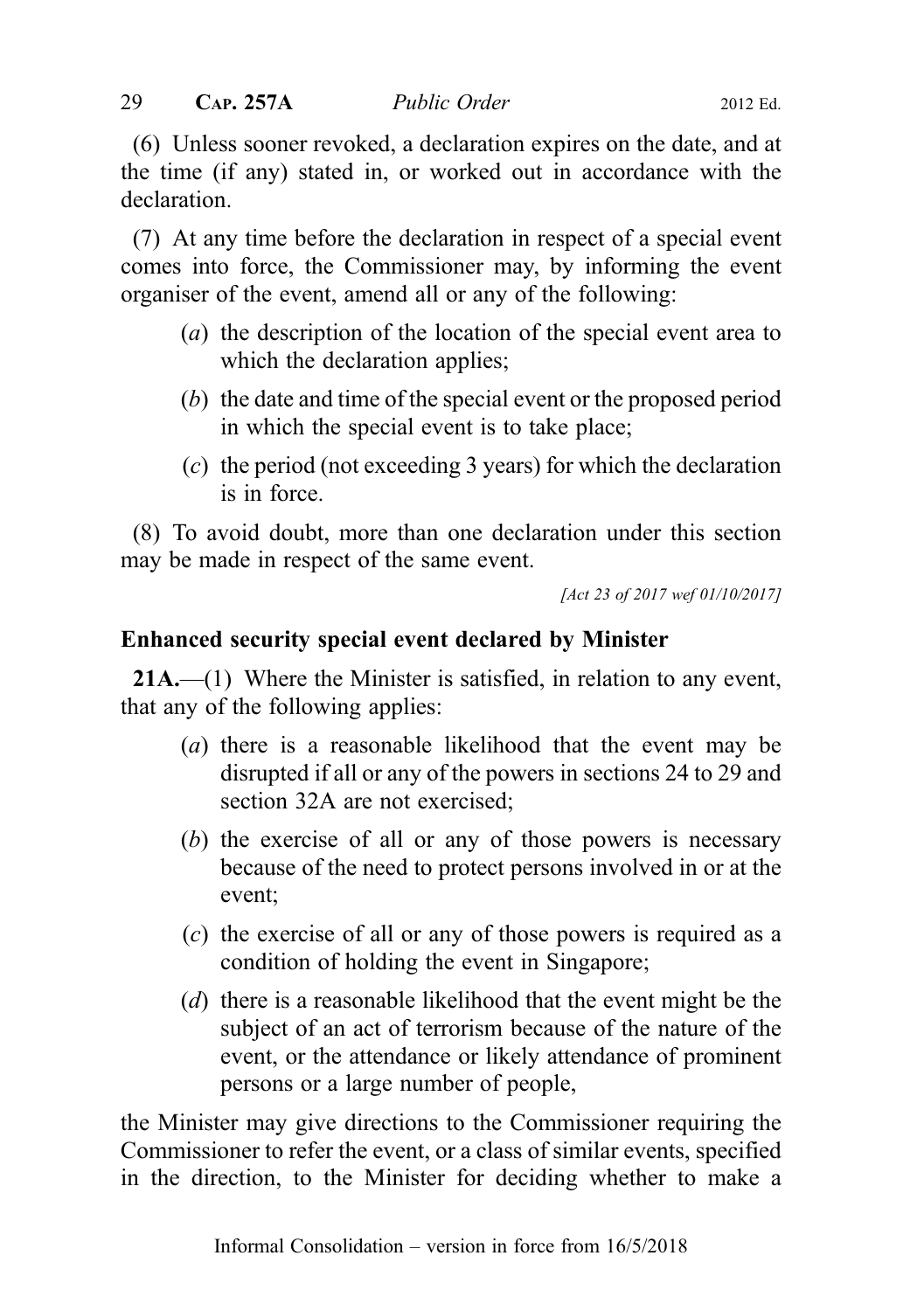(6) Unless sooner revoked, a declaration expires on the date, and at the time (if any) stated in, or worked out in accordance with the declaration.

(7) At any time before the declaration in respect of a special event comes into force, the Commissioner may, by informing the event organiser of the event, amend all or any of the following:

- (a) the description of the location of the special event area to which the declaration applies;
- (b) the date and time of the special event or the proposed period in which the special event is to take place;
- (c) the period (not exceeding 3 years) for which the declaration is in force.

(8) To avoid doubt, more than one declaration under this section may be made in respect of the same event.

[Act 23 of 2017 wef 01/10/2017]

## Enhanced security special event declared by Minister

**21A.**—(1) Where the Minister is satisfied, in relation to any event, that any of the following applies:

- (a) there is a reasonable likelihood that the event may be disrupted if all or any of the powers in sections 24 to 29 and section 32A are not exercised;
- (b) the exercise of all or any of those powers is necessary because of the need to protect persons involved in or at the event;
- (c) the exercise of all or any of those powers is required as a condition of holding the event in Singapore;
- (d) there is a reasonable likelihood that the event might be the subject of an act of terrorism because of the nature of the event, or the attendance or likely attendance of prominent persons or a large number of people,

the Minister may give directions to the Commissioner requiring the Commissioner to refer the event, or a class of similar events, specified in the direction, to the Minister for deciding whether to make a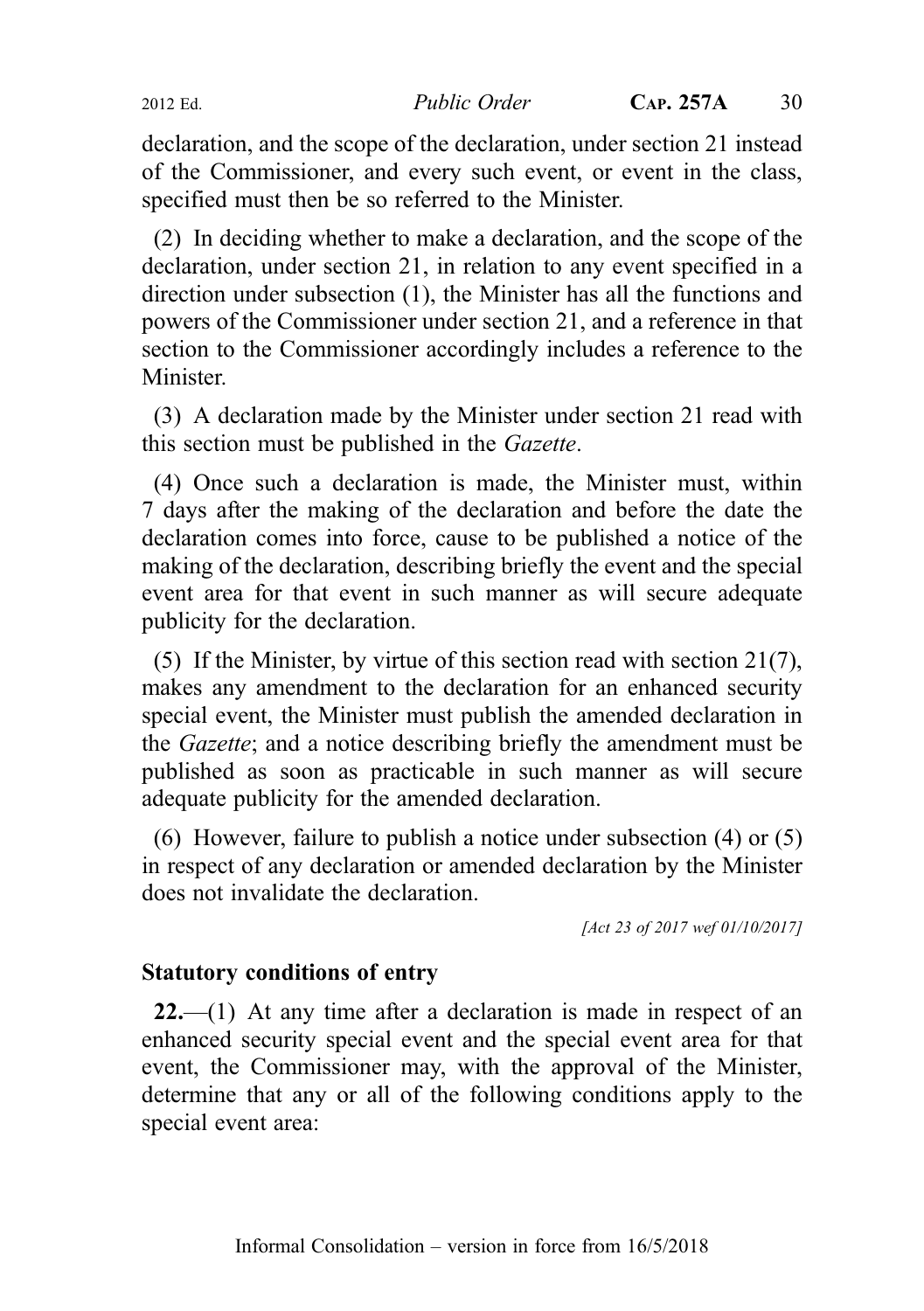declaration, and the scope of the declaration, under section 21 instead of the Commissioner, and every such event, or event in the class, specified must then be so referred to the Minister.

(2) In deciding whether to make a declaration, and the scope of the declaration, under section 21, in relation to any event specified in a direction under subsection (1), the Minister has all the functions and powers of the Commissioner under section 21, and a reference in that section to the Commissioner accordingly includes a reference to the Minister.

(3) A declaration made by the Minister under section 21 read with this section must be published in the Gazette.

(4) Once such a declaration is made, the Minister must, within 7 days after the making of the declaration and before the date the declaration comes into force, cause to be published a notice of the making of the declaration, describing briefly the event and the special event area for that event in such manner as will secure adequate publicity for the declaration.

(5) If the Minister, by virtue of this section read with section 21(7), makes any amendment to the declaration for an enhanced security special event, the Minister must publish the amended declaration in the Gazette; and a notice describing briefly the amendment must be published as soon as practicable in such manner as will secure adequate publicity for the amended declaration.

(6) However, failure to publish a notice under subsection (4) or (5) in respect of any declaration or amended declaration by the Minister does not invalidate the declaration.

[Act 23 of 2017 wef 01/10/2017]

#### Statutory conditions of entry

 $22$ —(1) At any time after a declaration is made in respect of an enhanced security special event and the special event area for that event, the Commissioner may, with the approval of the Minister, determine that any or all of the following conditions apply to the special event area: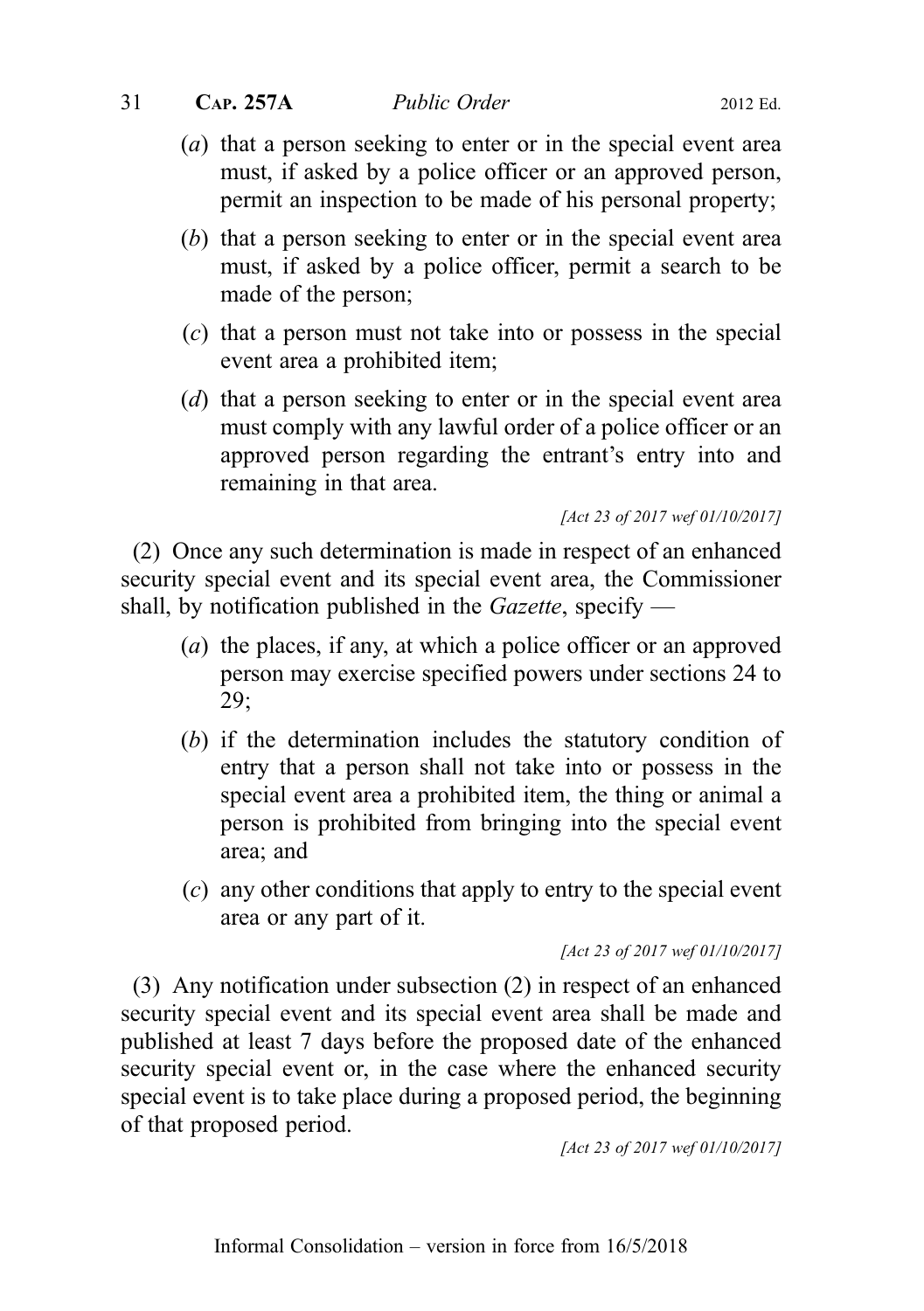## 31 CAP. 257A Public Order 2012 Ed.

- (b) that a person seeking to enter or in the special event area must, if asked by a police officer, permit a search to be made of the person;
- (c) that a person must not take into or possess in the special event area a prohibited item;
- (d) that a person seeking to enter or in the special event area must comply with any lawful order of a police officer or an approved person regarding the entrant's entry into and remaining in that area.

[Act 23 of 2017 wef 01/10/2017]

(2) Once any such determination is made in respect of an enhanced security special event and its special event area, the Commissioner shall, by notification published in the *Gazette*, specify —

- (a) the places, if any, at which a police officer or an approved person may exercise specified powers under sections 24 to 29;
- (b) if the determination includes the statutory condition of entry that a person shall not take into or possess in the special event area a prohibited item, the thing or animal a person is prohibited from bringing into the special event area; and
- (c) any other conditions that apply to entry to the special event area or any part of it.

[Act 23 of 2017 wef 01/10/2017]

(3) Any notification under subsection (2) in respect of an enhanced security special event and its special event area shall be made and published at least 7 days before the proposed date of the enhanced security special event or, in the case where the enhanced security special event is to take place during a proposed period, the beginning of that proposed period.

[Act 23 of 2017 wef 01/10/2017]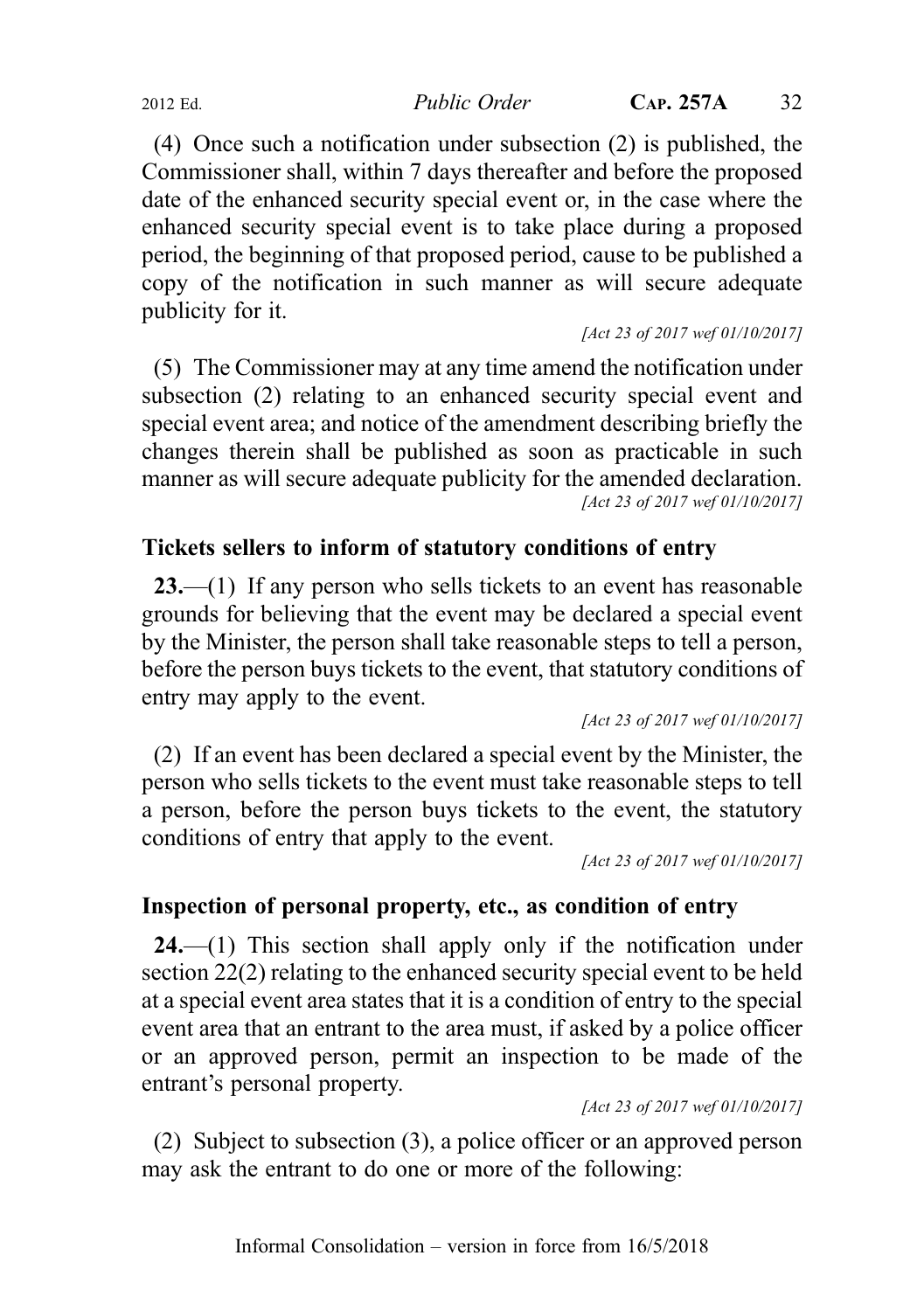2012 Ed. Public Order CAP. 257A 32

(4) Once such a notification under subsection (2) is published, the Commissioner shall, within 7 days thereafter and before the proposed date of the enhanced security special event or, in the case where the enhanced security special event is to take place during a proposed period, the beginning of that proposed period, cause to be published a copy of the notification in such manner as will secure adequate publicity for it.

[Act 23 of 2017 wef 01/10/2017]

(5) The Commissioner may at any time amend the notification under subsection (2) relating to an enhanced security special event and special event area; and notice of the amendment describing briefly the changes therein shall be published as soon as practicable in such manner as will secure adequate publicity for the amended declaration. [Act 23 of 2017 wef 01/10/2017]

## Tickets sellers to inform of statutory conditions of entry

23.—(1) If any person who sells tickets to an event has reasonable grounds for believing that the event may be declared a special event by the Minister, the person shall take reasonable steps to tell a person, before the person buys tickets to the event, that statutory conditions of entry may apply to the event.

[Act 23 of 2017 wef 01/10/2017]

(2) If an event has been declared a special event by the Minister, the person who sells tickets to the event must take reasonable steps to tell a person, before the person buys tickets to the event, the statutory conditions of entry that apply to the event.

[Act 23 of 2017 wef 01/10/2017]

## Inspection of personal property, etc., as condition of entry

 $24$ .—(1) This section shall apply only if the notification under section 22(2) relating to the enhanced security special event to be held at a special event area states that it is a condition of entry to the special event area that an entrant to the area must, if asked by a police officer or an approved person, permit an inspection to be made of the entrant's personal property.

[Act 23 of 2017 wef 01/10/2017]

(2) Subject to subsection (3), a police officer or an approved person may ask the entrant to do one or more of the following: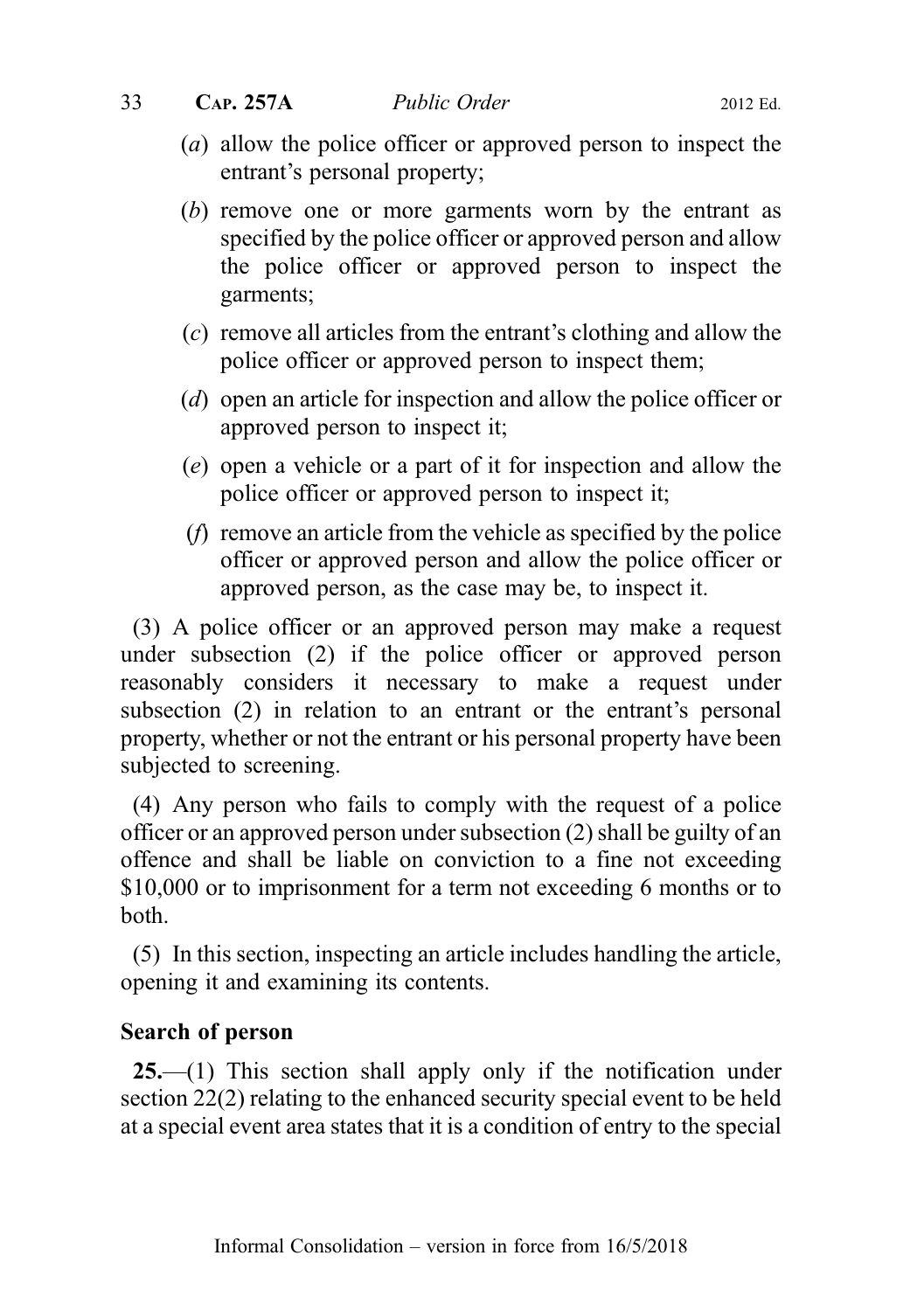- (a) allow the police officer or approved person to inspect the entrant's personal property;
- (b) remove one or more garments worn by the entrant as specified by the police officer or approved person and allow the police officer or approved person to inspect the garments;
- (c) remove all articles from the entrant's clothing and allow the police officer or approved person to inspect them;
- (d) open an article for inspection and allow the police officer or approved person to inspect it;
- (e) open a vehicle or a part of it for inspection and allow the police officer or approved person to inspect it;
- (f) remove an article from the vehicle as specified by the police officer or approved person and allow the police officer or approved person, as the case may be, to inspect it.

(3) A police officer or an approved person may make a request under subsection (2) if the police officer or approved person reasonably considers it necessary to make a request under subsection (2) in relation to an entrant or the entrant's personal property, whether or not the entrant or his personal property have been subjected to screening.

(4) Any person who fails to comply with the request of a police officer or an approved person under subsection (2) shall be guilty of an offence and shall be liable on conviction to a fine not exceeding \$10,000 or to imprisonment for a term not exceeding 6 months or to both.

(5) In this section, inspecting an article includes handling the article, opening it and examining its contents.

## Search of person

25.—(1) This section shall apply only if the notification under section 22(2) relating to the enhanced security special event to be held at a special event area states that it is a condition of entry to the special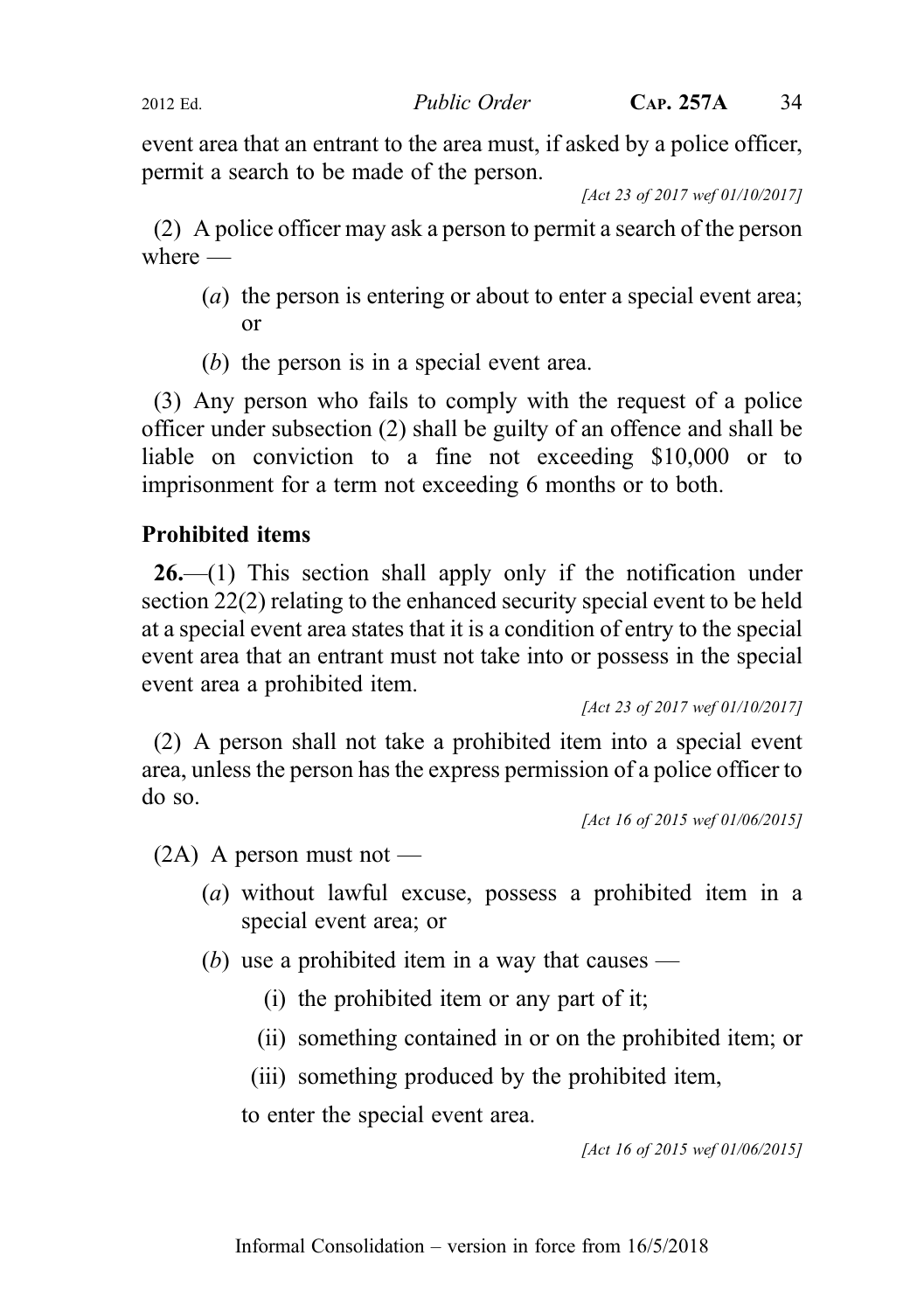2012 Ed. Public Order CAP. 257A 34

event area that an entrant to the area must, if asked by a police officer, permit a search to be made of the person.

[Act 23 of 2017 wef 01/10/2017]

(2) A police officer may ask a person to permit a search of the person where  $-$ 

- (a) the person is entering or about to enter a special event area; or
- (b) the person is in a special event area.

(3) Any person who fails to comply with the request of a police officer under subsection (2) shall be guilty of an offence and shall be liable on conviction to a fine not exceeding \$10,000 or to imprisonment for a term not exceeding 6 months or to both.

## Prohibited items

 $26$ —(1) This section shall apply only if the notification under section 22(2) relating to the enhanced security special event to be held at a special event area states that it is a condition of entry to the special event area that an entrant must not take into or possess in the special event area a prohibited item.

[Act 23 of 2017 wef 01/10/2017]

(2) A person shall not take a prohibited item into a special event area, unless the person has the express permission of a police officer to do so.

[Act 16 of 2015 wef 01/06/2015]

 $(2A)$  A person must not —

- (a) without lawful excuse, possess a prohibited item in a special event area; or
- (b) use a prohibited item in a way that causes
	- (i) the prohibited item or any part of it;
	- (ii) something contained in or on the prohibited item; or
	- (iii) something produced by the prohibited item,

to enter the special event area.

[Act 16 of 2015 wef 01/06/2015]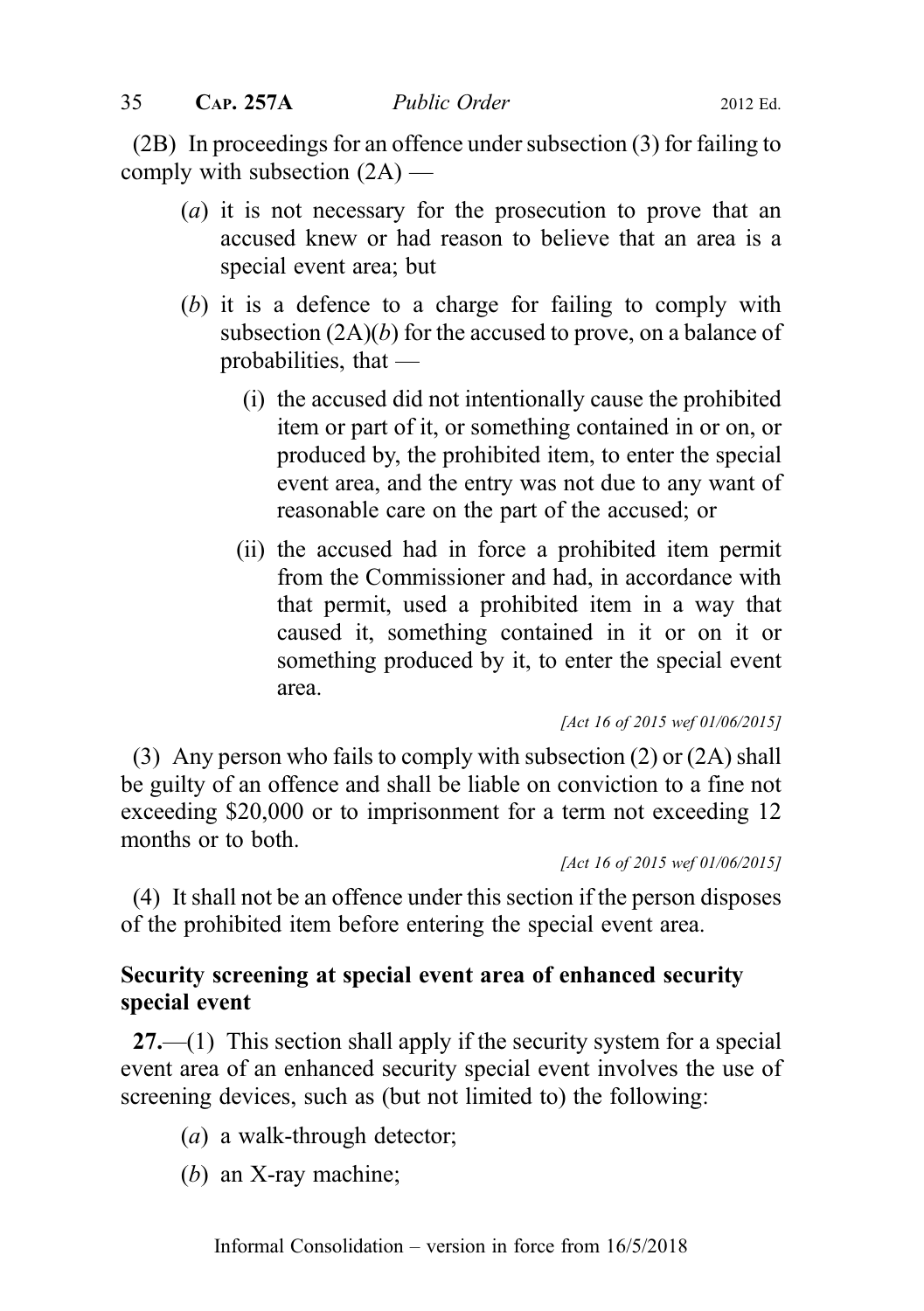(2B) In proceedings for an offence under subsection (3) for failing to comply with subsection  $(2A)$  —

- (a) it is not necessary for the prosecution to prove that an accused knew or had reason to believe that an area is a special event area; but
- (b) it is a defence to a charge for failing to comply with subsection  $(2A)(b)$  for the accused to prove, on a balance of probabilities, that —
	- (i) the accused did not intentionally cause the prohibited item or part of it, or something contained in or on, or produced by, the prohibited item, to enter the special event area, and the entry was not due to any want of reasonable care on the part of the accused; or
	- (ii) the accused had in force a prohibited item permit from the Commissioner and had, in accordance with that permit, used a prohibited item in a way that caused it, something contained in it or on it or something produced by it, to enter the special event area.

[Act 16 of 2015 wef 01/06/2015]

(3) Any person who fails to comply with subsection (2) or (2A) shall be guilty of an offence and shall be liable on conviction to a fine not exceeding \$20,000 or to imprisonment for a term not exceeding 12 months or to both.

[Act 16 of 2015 wef 01/06/2015]

(4) It shall not be an offence under this section if the person disposes of the prohibited item before entering the special event area.

## Security screening at special event area of enhanced security special event

 $27.$ —(1) This section shall apply if the security system for a special event area of an enhanced security special event involves the use of screening devices, such as (but not limited to) the following:

- (a) a walk-through detector;
- (b) an X-ray machine;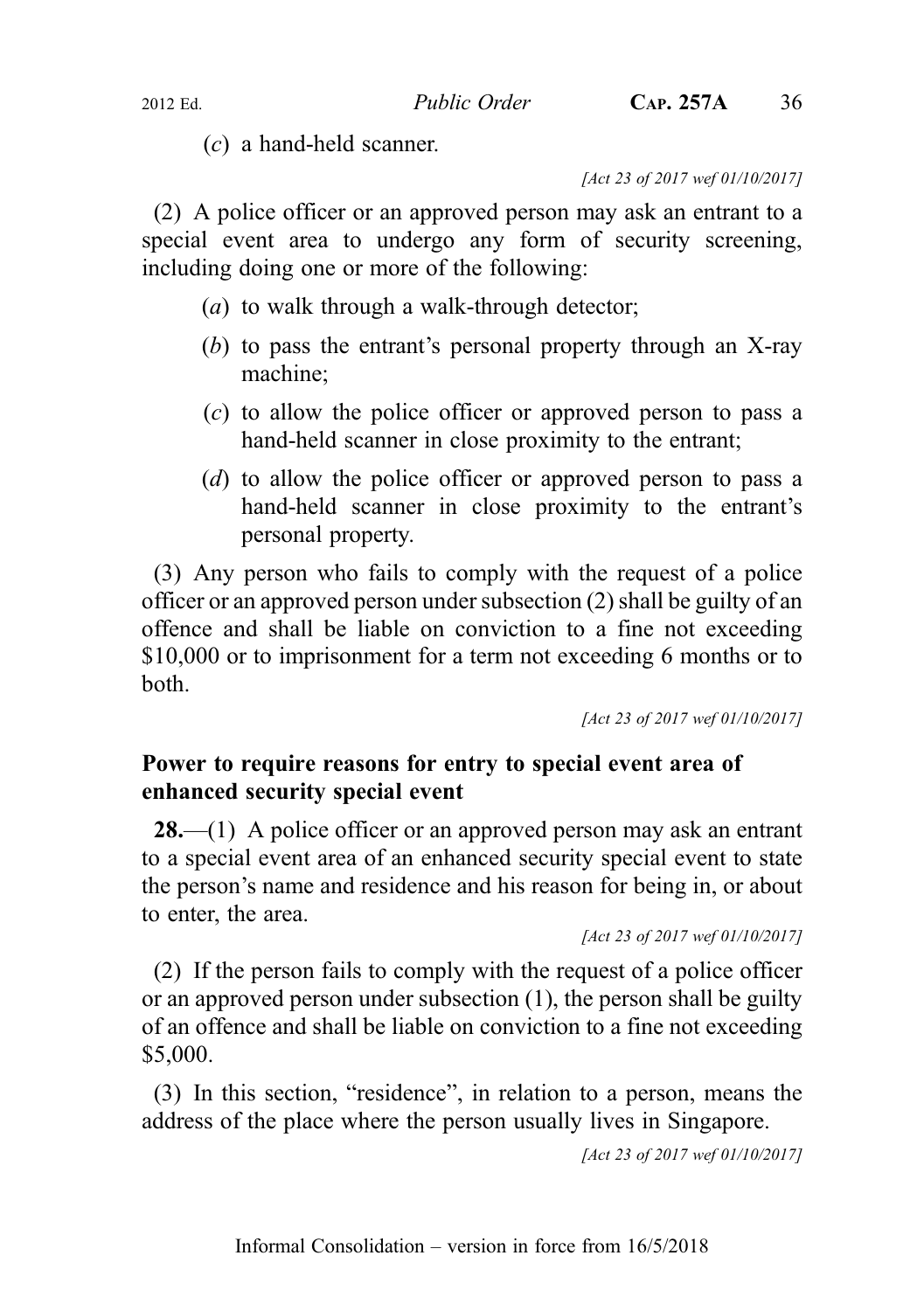(c) a hand-held scanner.

[Act 23 of 2017 wef 01/10/2017]

(2) A police officer or an approved person may ask an entrant to a special event area to undergo any form of security screening, including doing one or more of the following:

- (a) to walk through a walk-through detector;
- (b) to pass the entrant's personal property through an X-ray machine;
- (c) to allow the police officer or approved person to pass a hand-held scanner in close proximity to the entrant;
- (d) to allow the police officer or approved person to pass a hand-held scanner in close proximity to the entrant's personal property.

(3) Any person who fails to comply with the request of a police officer or an approved person under subsection (2) shall be guilty of an offence and shall be liable on conviction to a fine not exceeding \$10,000 or to imprisonment for a term not exceeding 6 months or to both.

[Act 23 of 2017 wef 01/10/2017]

## Power to require reasons for entry to special event area of enhanced security special event

**28.**—(1) A police officer or an approved person may ask an entrant to a special event area of an enhanced security special event to state the person's name and residence and his reason for being in, or about to enter, the area.

```
[Act 23 of 2017 wef 01/10/2017]
```
(2) If the person fails to comply with the request of a police officer or an approved person under subsection (1), the person shall be guilty of an offence and shall be liable on conviction to a fine not exceeding \$5,000.

(3) In this section, "residence", in relation to a person, means the address of the place where the person usually lives in Singapore.

[Act 23 of 2017 wef 01/10/2017]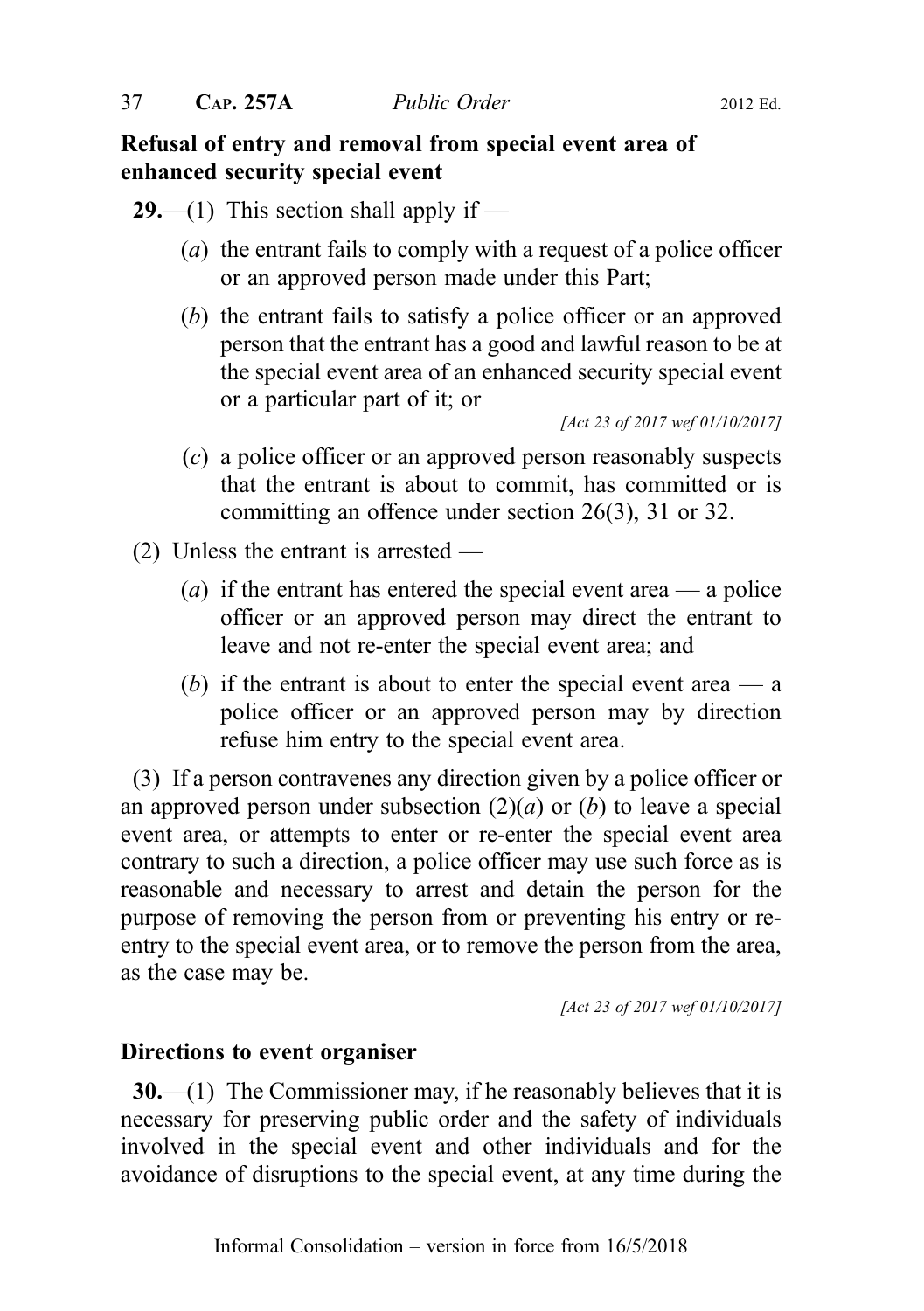## Refusal of entry and removal from special event area of enhanced security special event

- **29.**—(1) This section shall apply if
	- (a) the entrant fails to comply with a request of a police officer or an approved person made under this Part;
	- (b) the entrant fails to satisfy a police officer or an approved person that the entrant has a good and lawful reason to be at the special event area of an enhanced security special event or a particular part of it; or

[Act 23 of 2017 wef 01/10/2017]

- (c) a police officer or an approved person reasonably suspects that the entrant is about to commit, has committed or is committing an offence under section 26(3), 31 or 32.
- (2) Unless the entrant is arrested
	- (a) if the entrant has entered the special event area a police officer or an approved person may direct the entrant to leave and not re-enter the special event area; and
	- (b) if the entrant is about to enter the special event area  $\frac{a}{a}$ police officer or an approved person may by direction refuse him entry to the special event area.

(3) If a person contravenes any direction given by a police officer or an approved person under subsection  $(2)(a)$  or  $(b)$  to leave a special event area, or attempts to enter or re-enter the special event area contrary to such a direction, a police officer may use such force as is reasonable and necessary to arrest and detain the person for the purpose of removing the person from or preventing his entry or reentry to the special event area, or to remove the person from the area, as the case may be.

[Act 23 of 2017 wef 01/10/2017]

#### Directions to event organiser

30.—(1) The Commissioner may, if he reasonably believes that it is necessary for preserving public order and the safety of individuals involved in the special event and other individuals and for the avoidance of disruptions to the special event, at any time during the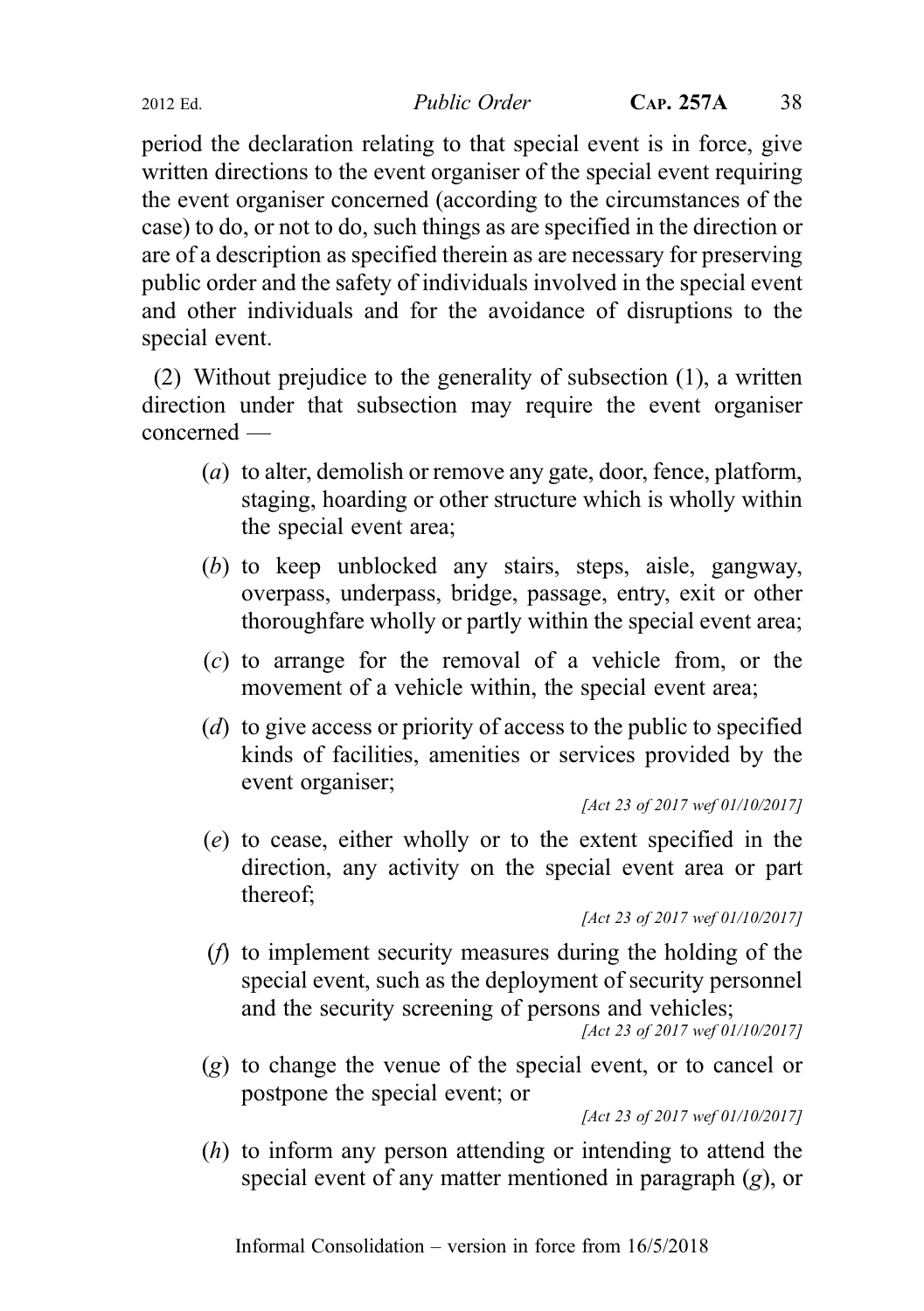2012 Ed. Public Order CAP. 257A 38

period the declaration relating to that special event is in force, give written directions to the event organiser of the special event requiring the event organiser concerned (according to the circumstances of the case) to do, or not to do, such things as are specified in the direction or are of a description as specified therein as are necessary for preserving public order and the safety of individuals involved in the special event and other individuals and for the avoidance of disruptions to the special event.

(2) Without prejudice to the generality of subsection (1), a written direction under that subsection may require the event organiser concerned —

- (a) to alter, demolish or remove any gate, door, fence, platform, staging, hoarding or other structure which is wholly within the special event area;
- (b) to keep unblocked any stairs, steps, aisle, gangway, overpass, underpass, bridge, passage, entry, exit or other thoroughfare wholly or partly within the special event area;
- (c) to arrange for the removal of a vehicle from, or the movement of a vehicle within, the special event area;
- (d) to give access or priority of access to the public to specified kinds of facilities, amenities or services provided by the event organiser;

[Act 23 of 2017 wef 01/10/2017]

(e) to cease, either wholly or to the extent specified in the direction, any activity on the special event area or part thereof;

(f) to implement security measures during the holding of the special event, such as the deployment of security personnel and the security screening of persons and vehicles;

```
[Act 23 of 2017 wef 01/10/2017]
```
(g) to change the venue of the special event, or to cancel or postpone the special event; or

[Act 23 of 2017 wef 01/10/2017]

(h) to inform any person attending or intending to attend the special event of any matter mentioned in paragraph (g), or

<sup>[</sup>Act 23 of 2017 wef 01/10/2017]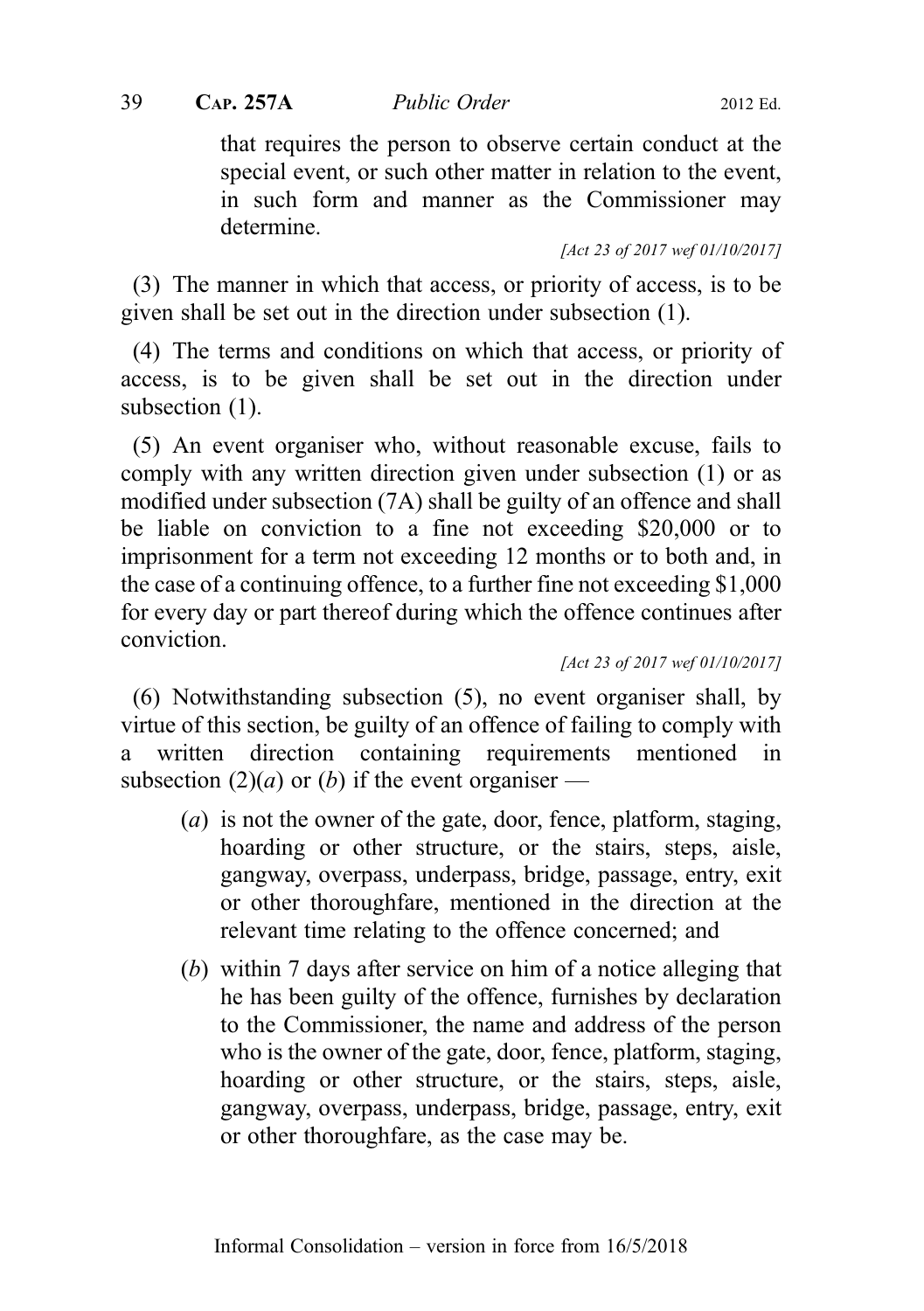## $39$  CAP. 257A *Public Order* 2012 Ed.

that requires the person to observe certain conduct at the special event, or such other matter in relation to the event, in such form and manner as the Commissioner may determine.

[Act 23 of 2017 wef 01/10/2017]

(3) The manner in which that access, or priority of access, is to be given shall be set out in the direction under subsection (1).

(4) The terms and conditions on which that access, or priority of access, is to be given shall be set out in the direction under subsection (1).

(5) An event organiser who, without reasonable excuse, fails to comply with any written direction given under subsection (1) or as modified under subsection (7A) shall be guilty of an offence and shall be liable on conviction to a fine not exceeding \$20,000 or to imprisonment for a term not exceeding 12 months or to both and, in the case of a continuing offence, to a further fine not exceeding \$1,000 for every day or part thereof during which the offence continues after conviction.

[Act 23 of 2017 wef 01/10/2017]

(6) Notwithstanding subsection (5), no event organiser shall, by virtue of this section, be guilty of an offence of failing to comply with a written direction containing requirements mentioned in subsection (2)(*a*) or (*b*) if the event organiser —

- $(a)$  is not the owner of the gate, door, fence, platform, staging, hoarding or other structure, or the stairs, steps, aisle, gangway, overpass, underpass, bridge, passage, entry, exit or other thoroughfare, mentioned in the direction at the relevant time relating to the offence concerned; and
- (b) within 7 days after service on him of a notice alleging that he has been guilty of the offence, furnishes by declaration to the Commissioner, the name and address of the person who is the owner of the gate, door, fence, platform, staging, hoarding or other structure, or the stairs, steps, aisle, gangway, overpass, underpass, bridge, passage, entry, exit or other thoroughfare, as the case may be.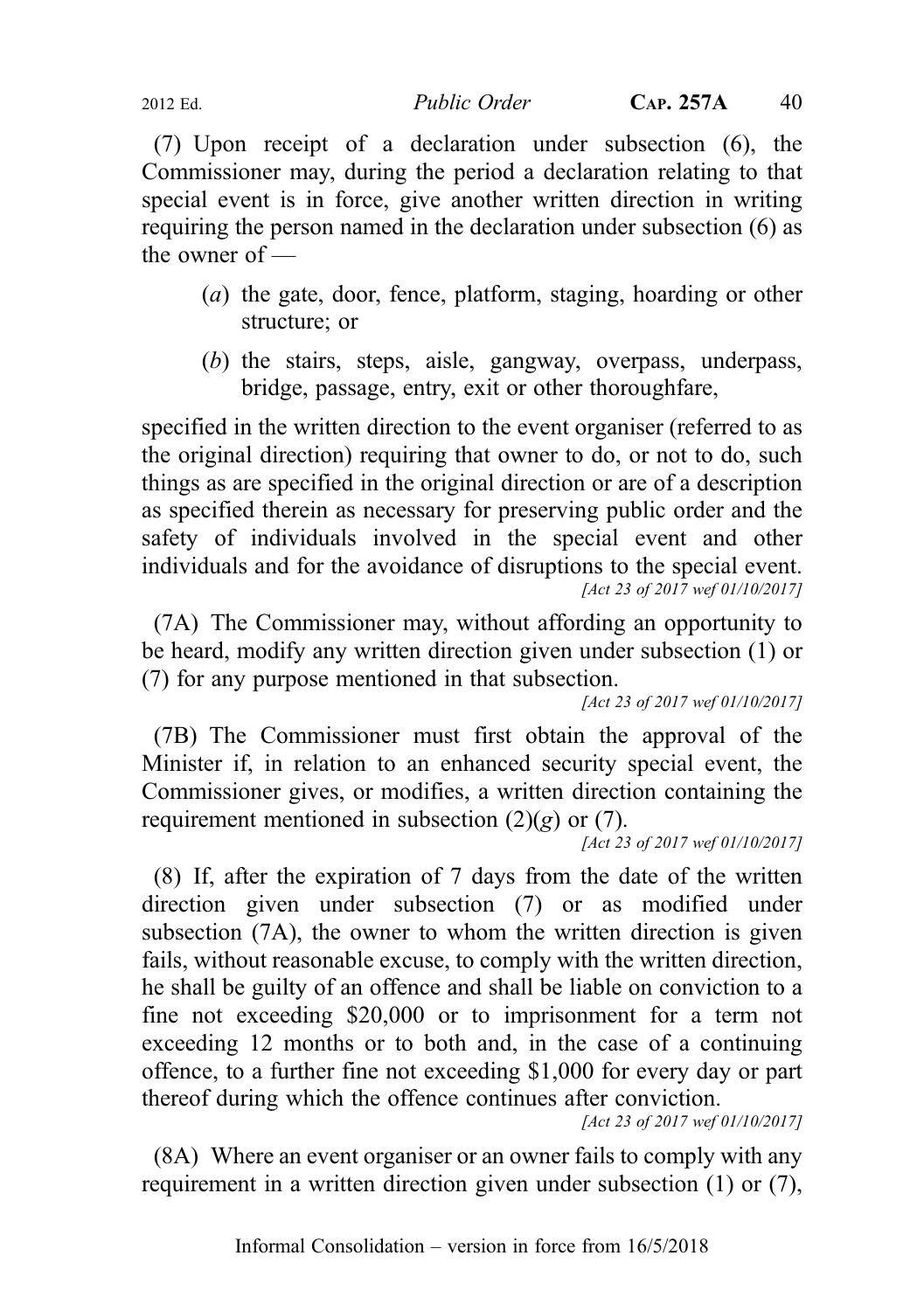2012 Ed. Public Order CAP. 257A 40

(7) Upon receipt of a declaration under subsection (6), the Commissioner may, during the period a declaration relating to that special event is in force, give another written direction in writing requiring the person named in the declaration under subsection (6) as the owner of —

- (a) the gate, door, fence, platform, staging, hoarding or other structure; or
- (b) the stairs, steps, aisle, gangway, overpass, underpass, bridge, passage, entry, exit or other thoroughfare,

specified in the written direction to the event organiser (referred to as the original direction) requiring that owner to do, or not to do, such things as are specified in the original direction or are of a description as specified therein as necessary for preserving public order and the safety of individuals involved in the special event and other individuals and for the avoidance of disruptions to the special event. [Act 23 of 2017 wef 01/10/2017]

(7A) The Commissioner may, without affording an opportunity to be heard, modify any written direction given under subsection (1) or (7) for any purpose mentioned in that subsection.

[Act 23 of 2017 wef 01/10/2017]

(7B) The Commissioner must first obtain the approval of the Minister if, in relation to an enhanced security special event, the Commissioner gives, or modifies, a written direction containing the requirement mentioned in subsection  $(2)(g)$  or  $(7)$ .

[Act 23 of 2017 wef 01/10/2017]

(8) If, after the expiration of 7 days from the date of the written direction given under subsection (7) or as modified under subsection (7A), the owner to whom the written direction is given fails, without reasonable excuse, to comply with the written direction, he shall be guilty of an offence and shall be liable on conviction to a fine not exceeding \$20,000 or to imprisonment for a term not exceeding 12 months or to both and, in the case of a continuing offence, to a further fine not exceeding \$1,000 for every day or part thereof during which the offence continues after conviction.

[Act 23 of 2017 wef 01/10/2017]

(8A) Where an event organiser or an owner fails to comply with any requirement in a written direction given under subsection (1) or (7),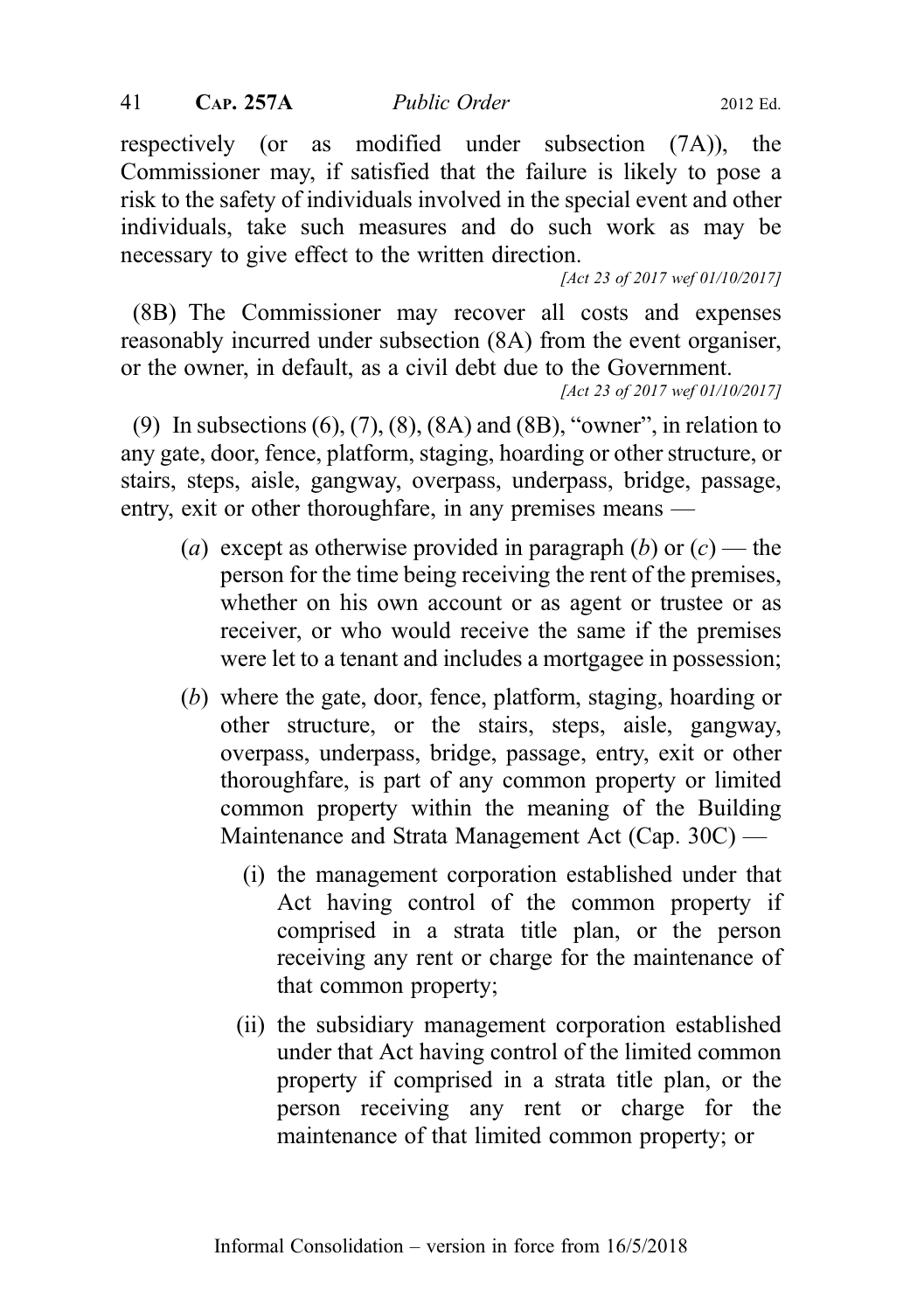respectively (or as modified under subsection (7A)), the Commissioner may, if satisfied that the failure is likely to pose a risk to the safety of individuals involved in the special event and other individuals, take such measures and do such work as may be necessary to give effect to the written direction.

[Act 23 of 2017 wef 01/10/2017]

(8B) The Commissioner may recover all costs and expenses reasonably incurred under subsection (8A) from the event organiser, or the owner, in default, as a civil debt due to the Government.

(9) In subsections (6), (7), (8), (8A) and (8B), "owner", in relation to any gate, door, fence, platform, staging, hoarding or other structure, or stairs, steps, aisle, gangway, overpass, underpass, bridge, passage, entry, exit or other thoroughfare, in any premises means —

- (a) except as otherwise provided in paragraph (b) or  $(c)$  the person for the time being receiving the rent of the premises, whether on his own account or as agent or trustee or as receiver, or who would receive the same if the premises were let to a tenant and includes a mortgagee in possession;
- (b) where the gate, door, fence, platform, staging, hoarding or other structure, or the stairs, steps, aisle, gangway, overpass, underpass, bridge, passage, entry, exit or other thoroughfare, is part of any common property or limited common property within the meaning of the Building Maintenance and Strata Management Act (Cap. 30C) —
	- (i) the management corporation established under that Act having control of the common property if comprised in a strata title plan, or the person receiving any rent or charge for the maintenance of that common property;
	- (ii) the subsidiary management corporation established under that Act having control of the limited common property if comprised in a strata title plan, or the person receiving any rent or charge for the maintenance of that limited common property; or

<sup>[</sup>Act 23 of 2017 wef 01/10/2017]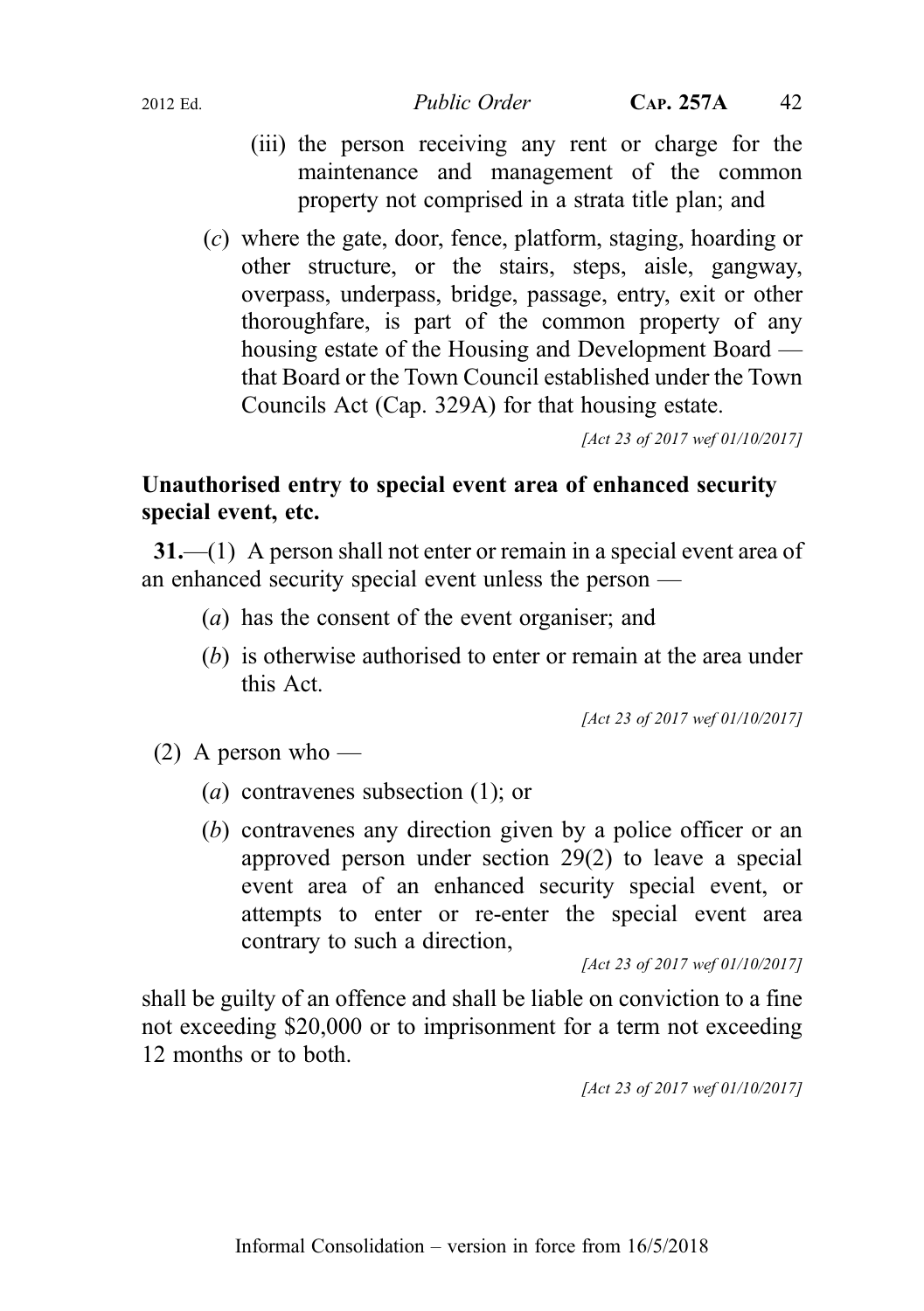- (iii) the person receiving any rent or charge for the maintenance and management of the common property not comprised in a strata title plan; and
- (c) where the gate, door, fence, platform, staging, hoarding or other structure, or the stairs, steps, aisle, gangway, overpass, underpass, bridge, passage, entry, exit or other thoroughfare, is part of the common property of any housing estate of the Housing and Development Board that Board or the Town Council established under the Town Councils Act (Cap. 329A) for that housing estate.

[Act 23 of 2017 wef 01/10/2017]

## Unauthorised entry to special event area of enhanced security special event, etc.

31.—(1) A person shall not enter or remain in a special event area of an enhanced security special event unless the person —

- (a) has the consent of the event organiser; and
- (b) is otherwise authorised to enter or remain at the area under this Act.

[Act 23 of 2017 wef 01/10/2017]

- $(2)$  A person who
	- (a) contravenes subsection (1); or
	- (b) contravenes any direction given by a police officer or an approved person under section 29(2) to leave a special event area of an enhanced security special event, or attempts to enter or re-enter the special event area contrary to such a direction,

[Act 23 of 2017 wef 01/10/2017]

shall be guilty of an offence and shall be liable on conviction to a fine not exceeding \$20,000 or to imprisonment for a term not exceeding 12 months or to both.

[Act 23 of 2017 wef 01/10/2017]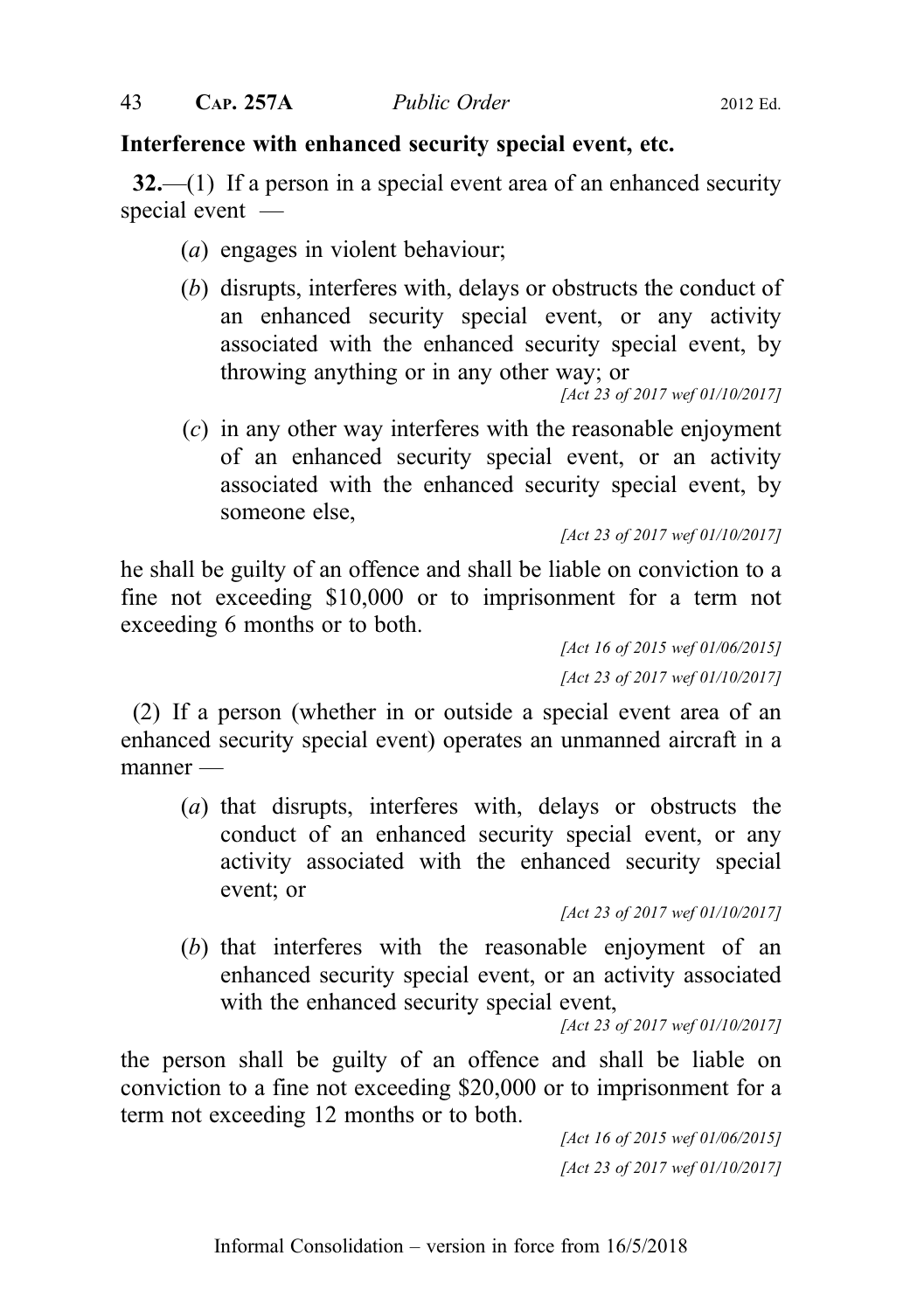## Interference with enhanced security special event, etc.

32.—(1) If a person in a special event area of an enhanced security special event —

- (a) engages in violent behaviour;
- (b) disrupts, interferes with, delays or obstructs the conduct of an enhanced security special event, or any activity associated with the enhanced security special event, by throwing anything or in any other way; or

[Act 23 of 2017 wef 01/10/2017]

(c) in any other way interferes with the reasonable enjoyment of an enhanced security special event, or an activity associated with the enhanced security special event, by someone else,

[Act 23 of 2017 wef 01/10/2017]

he shall be guilty of an offence and shall be liable on conviction to a fine not exceeding \$10,000 or to imprisonment for a term not exceeding 6 months or to both.

> [Act 16 of 2015 wef 01/06/2015] [Act 23 of 2017 wef 01/10/2017]

(2) If a person (whether in or outside a special event area of an enhanced security special event) operates an unmanned aircraft in a manner —

(a) that disrupts, interferes with, delays or obstructs the conduct of an enhanced security special event, or any activity associated with the enhanced security special event; or

(b) that interferes with the reasonable enjoyment of an enhanced security special event, or an activity associated with the enhanced security special event,

[Act 23 of 2017 wef 01/10/2017]

the person shall be guilty of an offence and shall be liable on conviction to a fine not exceeding \$20,000 or to imprisonment for a term not exceeding 12 months or to both.

[Act 16 of 2015 wef 01/06/2015] [Act 23 of 2017 wef 01/10/2017]

<sup>[</sup>Act 23 of 2017 wef 01/10/2017]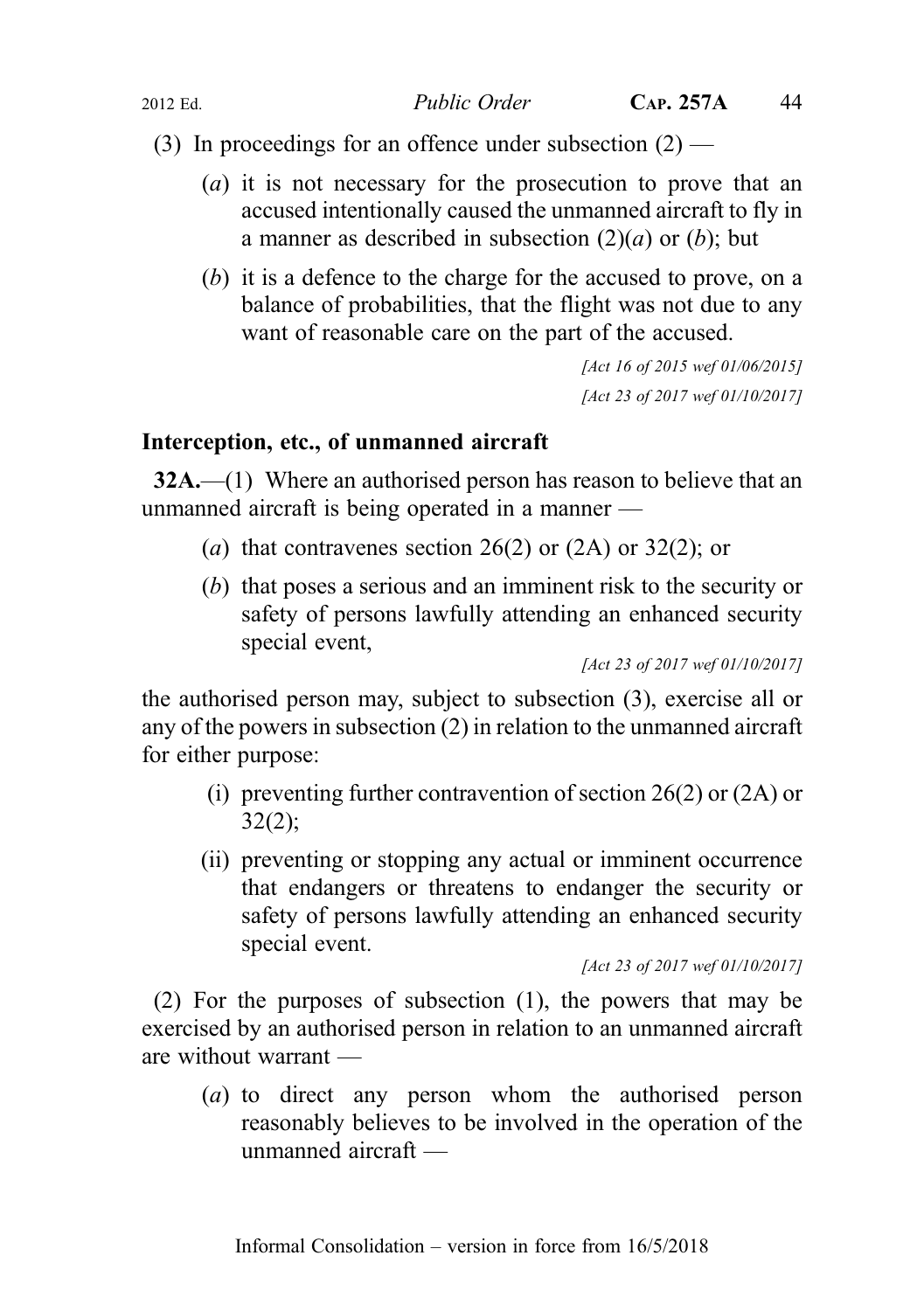(3) In proceedings for an offence under subsection  $(2)$  —

- (a) it is not necessary for the prosecution to prove that an accused intentionally caused the unmanned aircraft to fly in a manner as described in subsection  $(2)(a)$  or  $(b)$ ; but
- (b) it is a defence to the charge for the accused to prove, on a balance of probabilities, that the flight was not due to any want of reasonable care on the part of the accused.

```
[Act 16 of 2015 wef 01/06/2015]
[Act 23 of 2017 wef 01/10/2017]
```
## Interception, etc., of unmanned aircraft

32A.—(1) Where an authorised person has reason to believe that an unmanned aircraft is being operated in a manner —

- (a) that contravenes section 26(2) or (2A) or 32(2); or
- (b) that poses a serious and an imminent risk to the security or safety of persons lawfully attending an enhanced security special event,

[Act 23 of 2017 wef 01/10/2017]

the authorised person may, subject to subsection (3), exercise all or any of the powers in subsection (2) in relation to the unmanned aircraft for either purpose:

- (i) preventing further contravention of section 26(2) or (2A) or 32(2);
- (ii) preventing or stopping any actual or imminent occurrence that endangers or threatens to endanger the security or safety of persons lawfully attending an enhanced security special event.

[Act 23 of 2017 wef 01/10/2017]

(2) For the purposes of subsection (1), the powers that may be exercised by an authorised person in relation to an unmanned aircraft are without warrant —

(a) to direct any person whom the authorised person reasonably believes to be involved in the operation of the unmanned aircraft —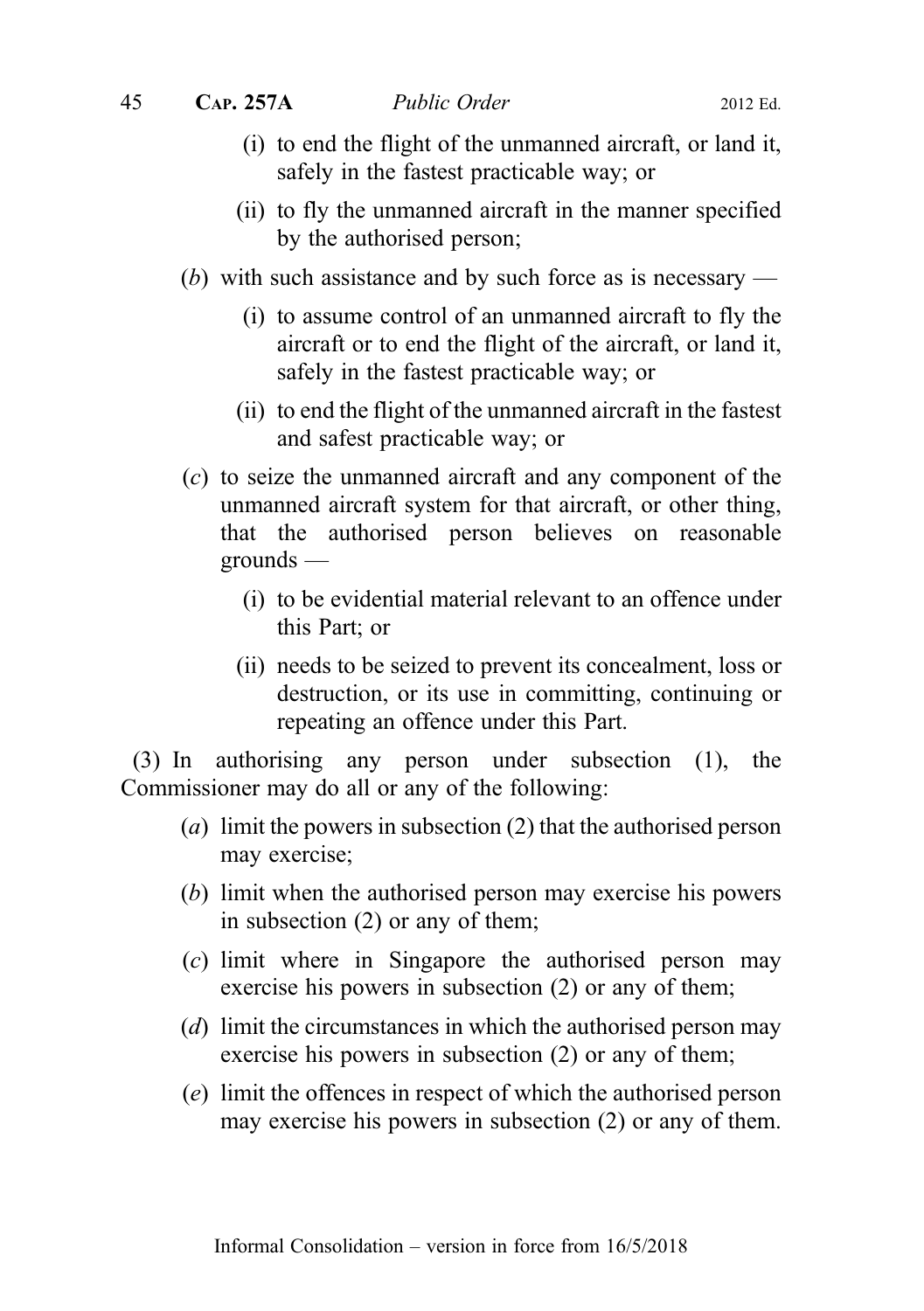- (i) to end the flight of the unmanned aircraft, or land it, safely in the fastest practicable way; or
- (ii) to fly the unmanned aircraft in the manner specified by the authorised person;
- (b) with such assistance and by such force as is necessary
	- (i) to assume control of an unmanned aircraft to fly the aircraft or to end the flight of the aircraft, or land it, safely in the fastest practicable way; or
	- (ii) to end the flight of the unmanned aircraft in the fastest and safest practicable way; or
- (c) to seize the unmanned aircraft and any component of the unmanned aircraft system for that aircraft, or other thing, that the authorised person believes on reasonable grounds —
	- (i) to be evidential material relevant to an offence under this Part; or
	- (ii) needs to be seized to prevent its concealment, loss or destruction, or its use in committing, continuing or repeating an offence under this Part.

(3) In authorising any person under subsection (1), the Commissioner may do all or any of the following:

- (a) limit the powers in subsection (2) that the authorised person may exercise;
- (b) limit when the authorised person may exercise his powers in subsection (2) or any of them;
- (c) limit where in Singapore the authorised person may exercise his powers in subsection (2) or any of them;
- (d) limit the circumstances in which the authorised person may exercise his powers in subsection (2) or any of them;
- (e) limit the offences in respect of which the authorised person may exercise his powers in subsection (2) or any of them.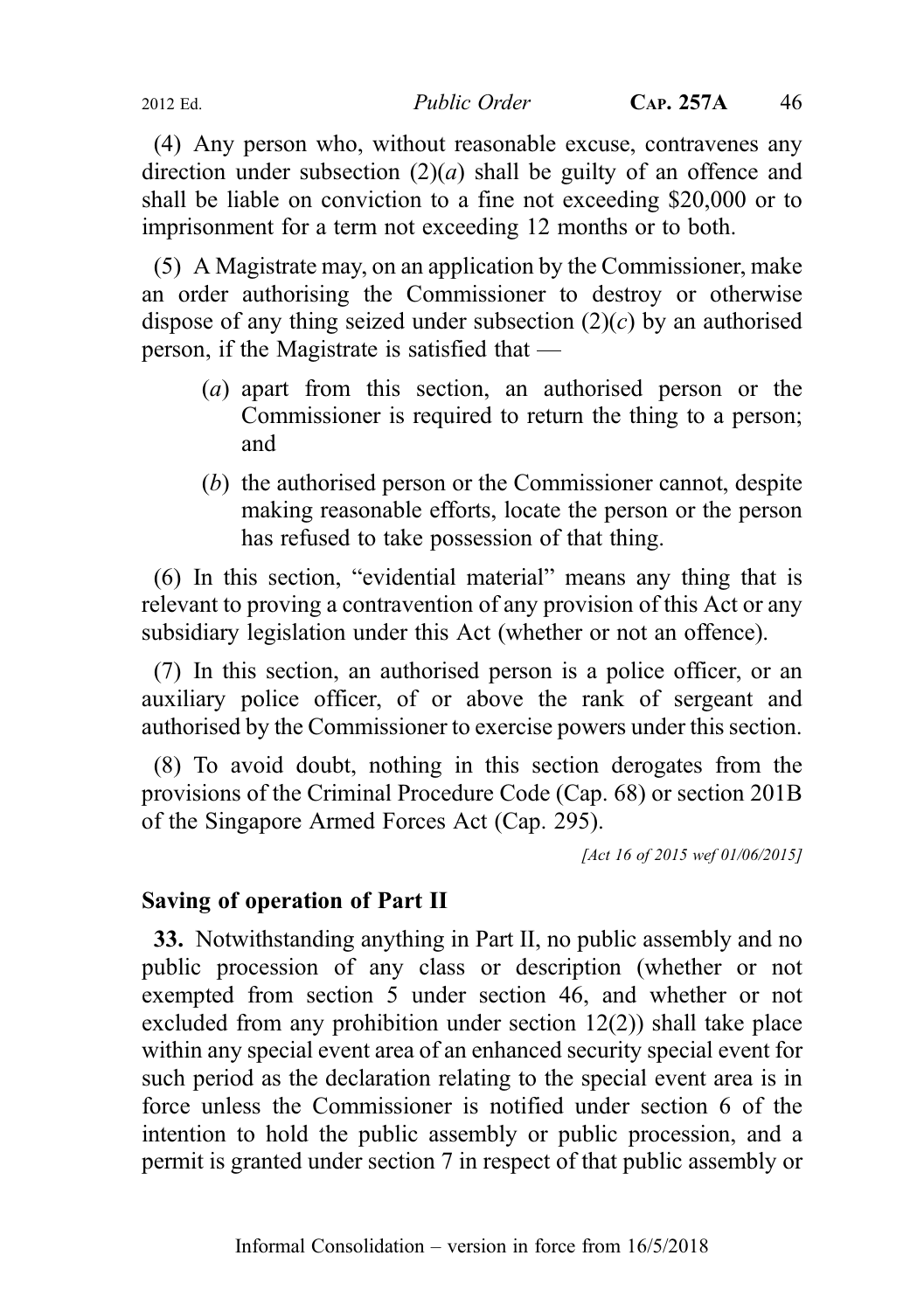2012 Ed. Public Order CAP. 257A 46

(4) Any person who, without reasonable excuse, contravenes any direction under subsection  $(2)(a)$  shall be guilty of an offence and shall be liable on conviction to a fine not exceeding \$20,000 or to imprisonment for a term not exceeding 12 months or to both.

(5) A Magistrate may, on an application by the Commissioner, make an order authorising the Commissioner to destroy or otherwise dispose of any thing seized under subsection  $(2)(c)$  by an authorised person, if the Magistrate is satisfied that —

- (a) apart from this section, an authorised person or the Commissioner is required to return the thing to a person; and
- (b) the authorised person or the Commissioner cannot, despite making reasonable efforts, locate the person or the person has refused to take possession of that thing.

(6) In this section, "evidential material" means any thing that is relevant to proving a contravention of any provision of this Act or any subsidiary legislation under this Act (whether or not an offence).

(7) In this section, an authorised person is a police officer, or an auxiliary police officer, of or above the rank of sergeant and authorised by the Commissioner to exercise powers under this section.

(8) To avoid doubt, nothing in this section derogates from the provisions of the Criminal Procedure Code (Cap. 68) or section 201B of the Singapore Armed Forces Act (Cap. 295).

[Act 16 of 2015 wef 01/06/2015]

## Saving of operation of Part II

33. Notwithstanding anything in Part II, no public assembly and no public procession of any class or description (whether or not exempted from section 5 under section 46, and whether or not excluded from any prohibition under section 12(2)) shall take place within any special event area of an enhanced security special event for such period as the declaration relating to the special event area is in force unless the Commissioner is notified under section 6 of the intention to hold the public assembly or public procession, and a permit is granted under section 7 in respect of that public assembly or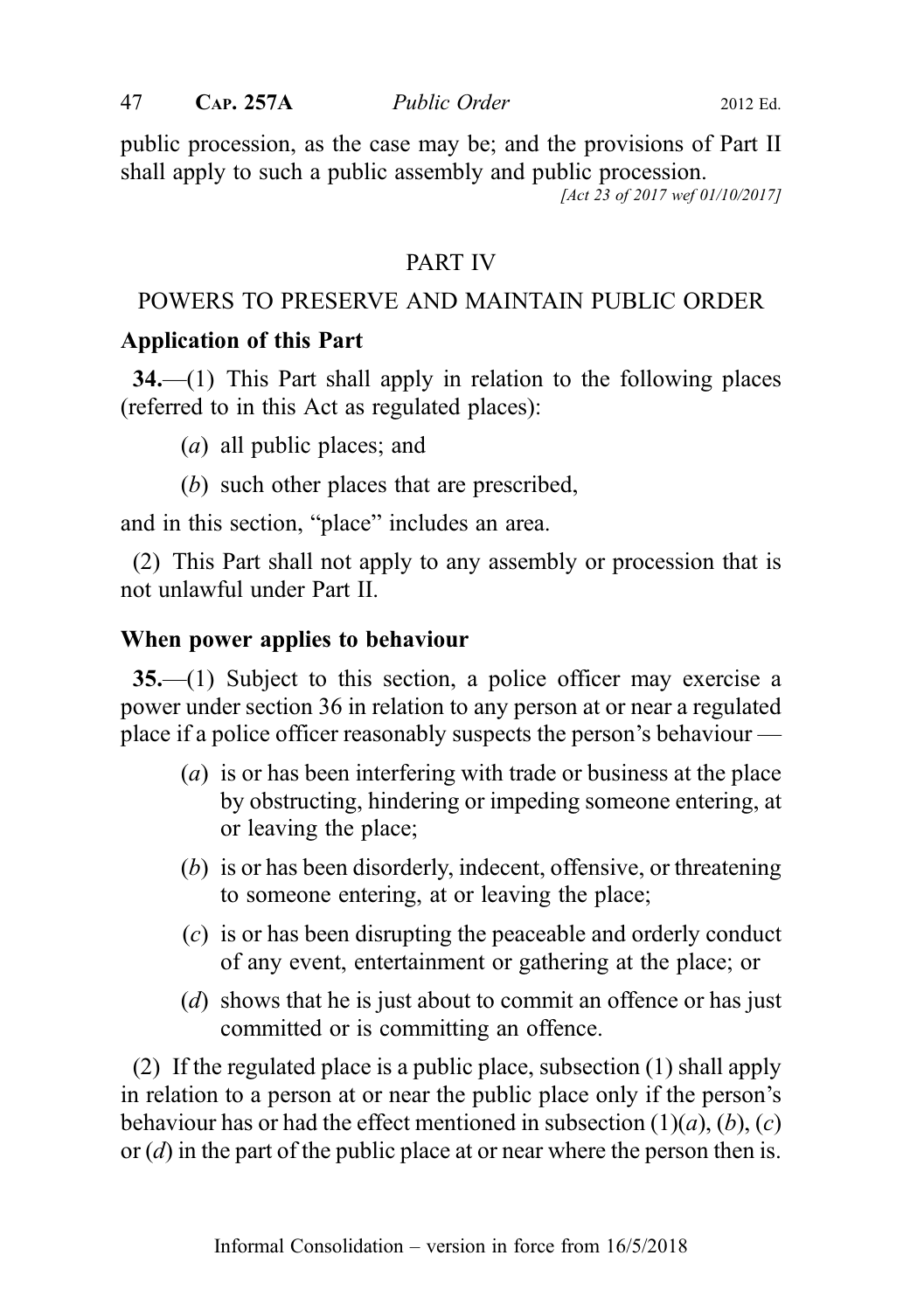public procession, as the case may be; and the provisions of Part II shall apply to such a public assembly and public procession.

[Act 23 of 2017 wef 01/10/2017]

## PART IV

## POWERS TO PRESERVE AND MAINTAIN PUBLIC ORDER

## Application of this Part

34.—(1) This Part shall apply in relation to the following places (referred to in this Act as regulated places):

- (a) all public places; and
- (b) such other places that are prescribed,

and in this section, "place" includes an area.

(2) This Part shall not apply to any assembly or procession that is not unlawful under Part II.

## When power applies to behaviour

35.—(1) Subject to this section, a police officer may exercise a power under section 36 in relation to any person at or near a regulated place if a police officer reasonably suspects the person's behaviour —

- (a) is or has been interfering with trade or business at the place by obstructing, hindering or impeding someone entering, at or leaving the place;
- (b) is or has been disorderly, indecent, offensive, or threatening to someone entering, at or leaving the place;
- (c) is or has been disrupting the peaceable and orderly conduct of any event, entertainment or gathering at the place; or
- (d) shows that he is just about to commit an offence or has just committed or is committing an offence.

(2) If the regulated place is a public place, subsection (1) shall apply in relation to a person at or near the public place only if the person's behaviour has or had the effect mentioned in subsection  $(1)(a)$ ,  $(b)$ ,  $(c)$ or  $(d)$  in the part of the public place at or near where the person then is.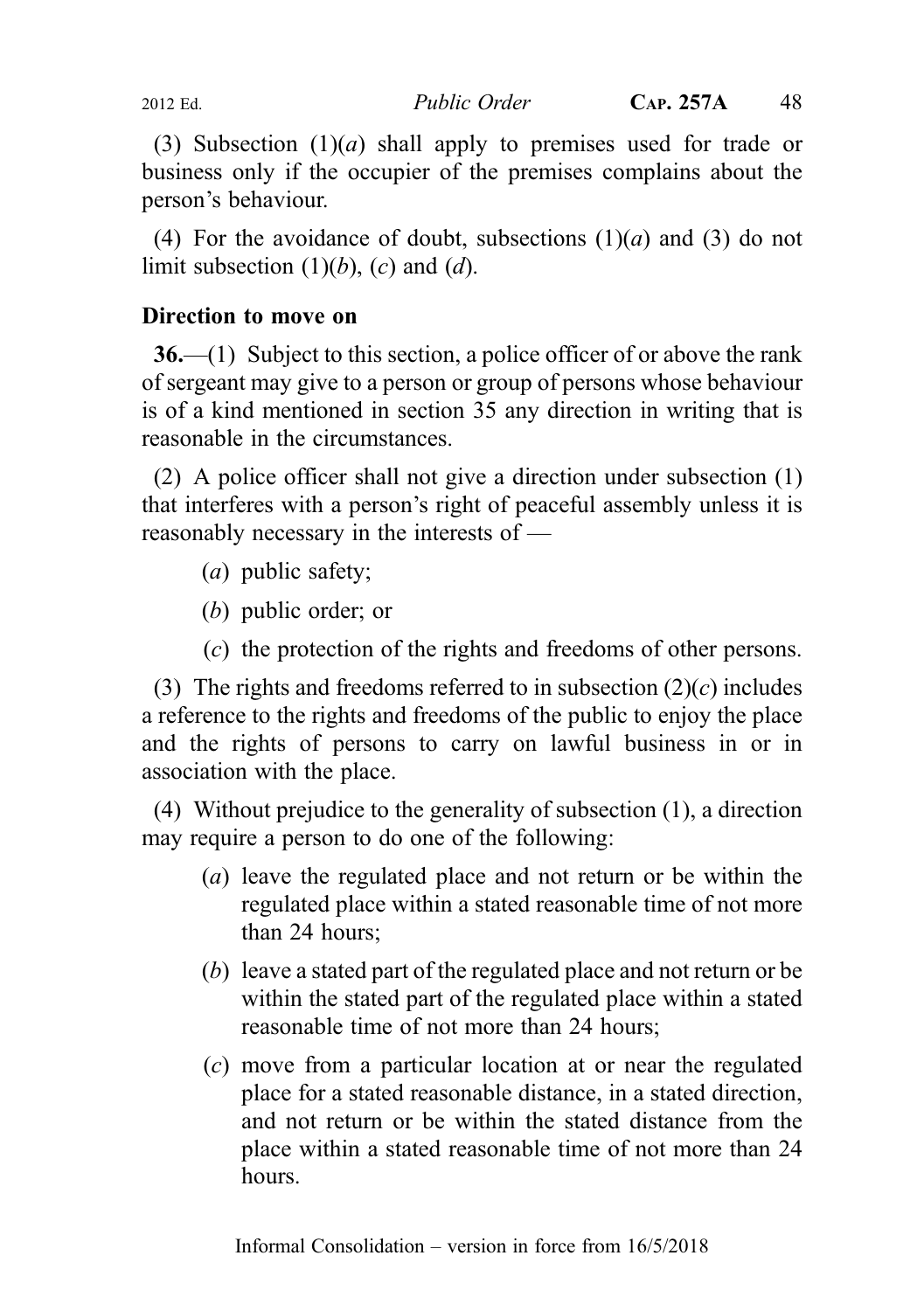(3) Subsection  $(1)(a)$  shall apply to premises used for trade or business only if the occupier of the premises complains about the person's behaviour.

(4) For the avoidance of doubt, subsections  $(1)(a)$  and  $(3)$  do not limit subsection  $(1)(b)$ ,  $(c)$  and  $(d)$ .

## Direction to move on

 $36$ —(1) Subject to this section, a police officer of or above the rank of sergeant may give to a person or group of persons whose behaviour is of a kind mentioned in section 35 any direction in writing that is reasonable in the circumstances.

(2) A police officer shall not give a direction under subsection (1) that interferes with a person's right of peaceful assembly unless it is reasonably necessary in the interests of —

- (a) public safety;
- (b) public order; or
- (c) the protection of the rights and freedoms of other persons.

(3) The rights and freedoms referred to in subsection  $(2)(c)$  includes a reference to the rights and freedoms of the public to enjoy the place and the rights of persons to carry on lawful business in or in association with the place.

(4) Without prejudice to the generality of subsection (1), a direction may require a person to do one of the following:

- (a) leave the regulated place and not return or be within the regulated place within a stated reasonable time of not more than 24 hours;
- (b) leave a stated part of the regulated place and not return or be within the stated part of the regulated place within a stated reasonable time of not more than 24 hours;
- (c) move from a particular location at or near the regulated place for a stated reasonable distance, in a stated direction, and not return or be within the stated distance from the place within a stated reasonable time of not more than 24 hours.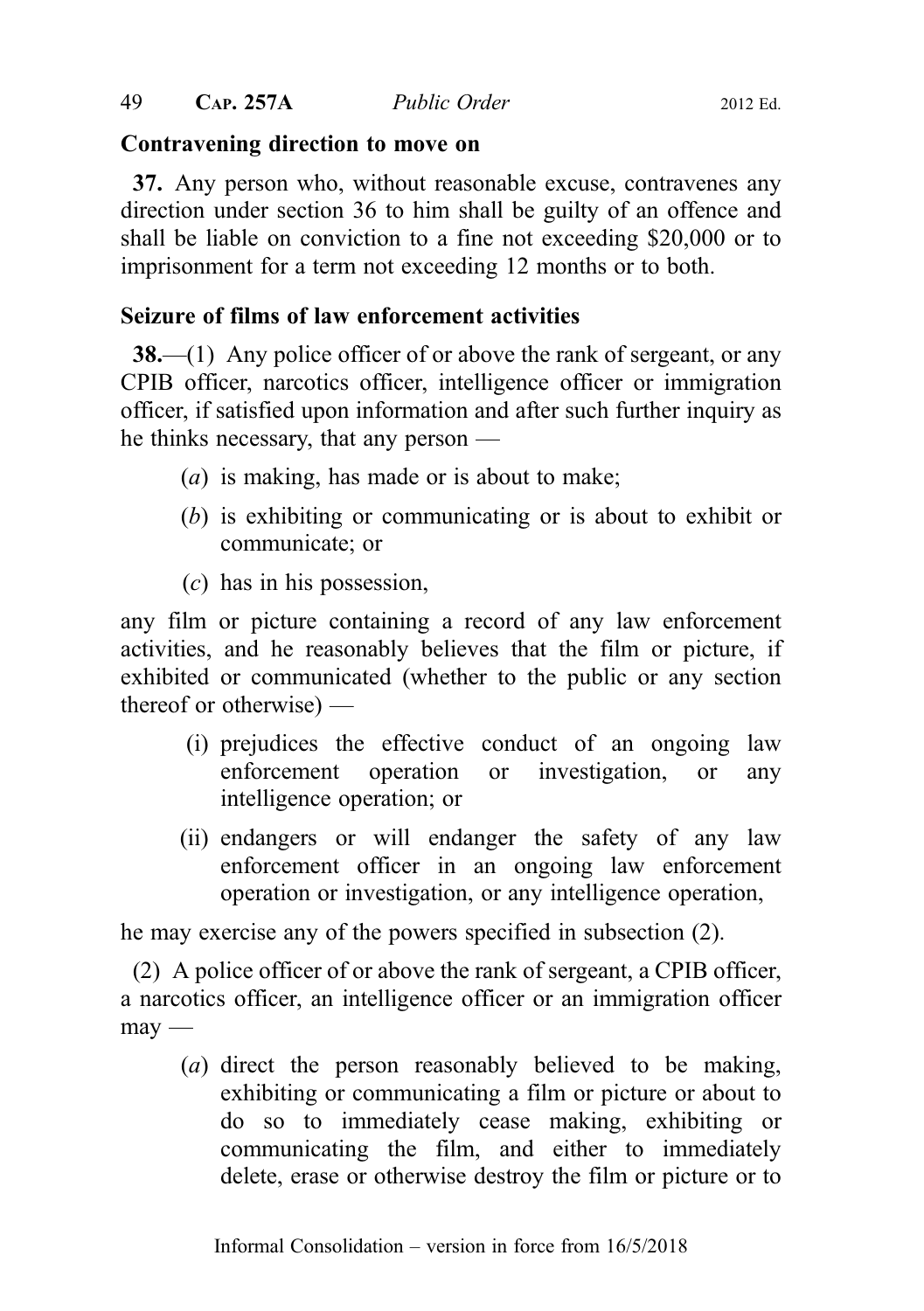### Contravening direction to move on

37. Any person who, without reasonable excuse, contravenes any direction under section 36 to him shall be guilty of an offence and shall be liable on conviction to a fine not exceeding \$20,000 or to imprisonment for a term not exceeding 12 months or to both.

## Seizure of films of law enforcement activities

**38.—(1)** Any police officer of or above the rank of sergeant, or any CPIB officer, narcotics officer, intelligence officer or immigration officer, if satisfied upon information and after such further inquiry as he thinks necessary, that any person —

- (a) is making, has made or is about to make;
- (b) is exhibiting or communicating or is about to exhibit or communicate; or
- (c) has in his possession,

any film or picture containing a record of any law enforcement activities, and he reasonably believes that the film or picture, if exhibited or communicated (whether to the public or any section thereof or otherwise) —

- (i) prejudices the effective conduct of an ongoing law enforcement operation or investigation, or any intelligence operation; or
- (ii) endangers or will endanger the safety of any law enforcement officer in an ongoing law enforcement operation or investigation, or any intelligence operation,

he may exercise any of the powers specified in subsection (2).

(2) A police officer of or above the rank of sergeant, a CPIB officer, a narcotics officer, an intelligence officer or an immigration officer may —

(a) direct the person reasonably believed to be making, exhibiting or communicating a film or picture or about to do so to immediately cease making, exhibiting or communicating the film, and either to immediately delete, erase or otherwise destroy the film or picture or to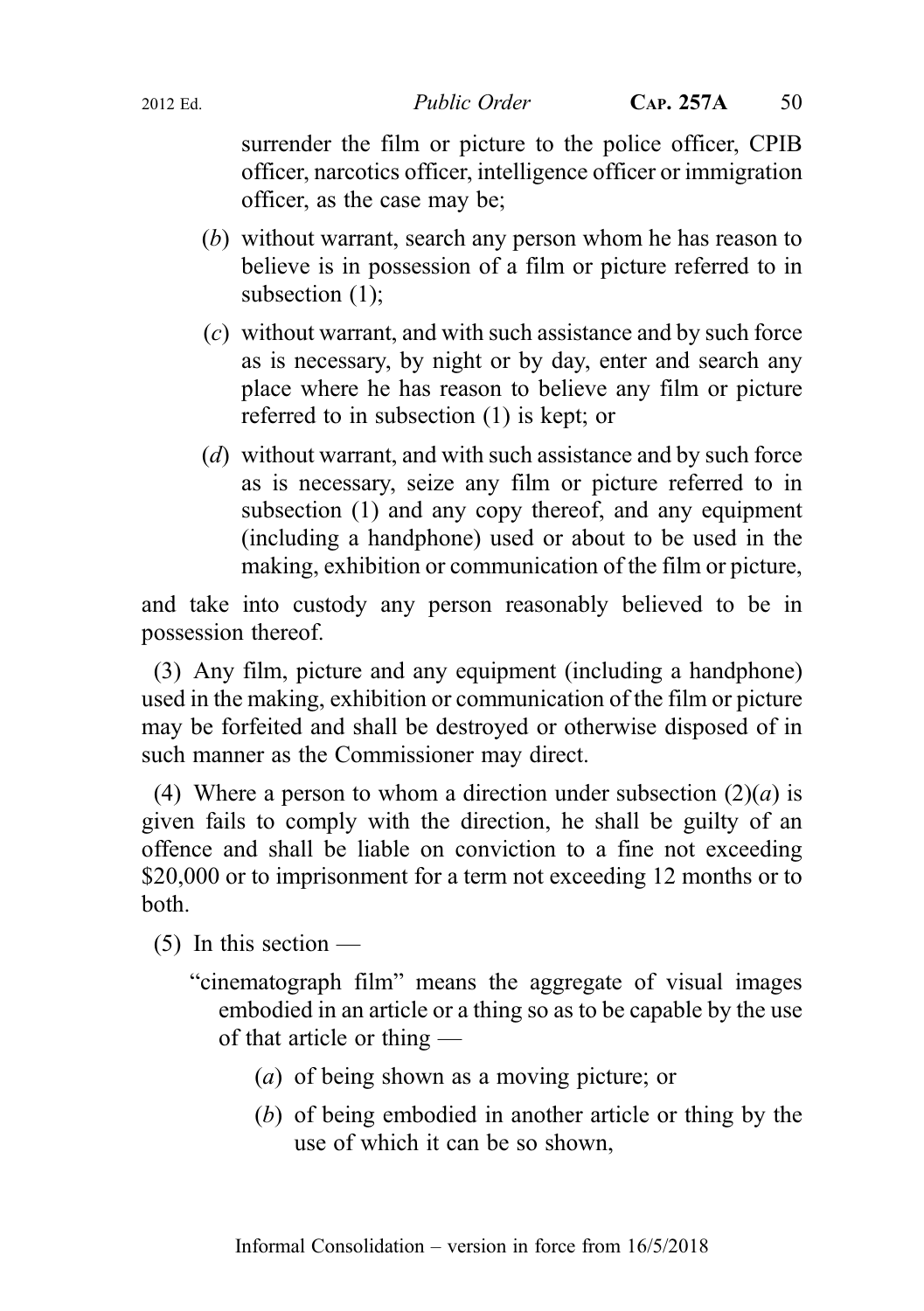surrender the film or picture to the police officer, CPIB officer, narcotics officer, intelligence officer or immigration officer, as the case may be;

- (b) without warrant, search any person whom he has reason to believe is in possession of a film or picture referred to in subsection (1);
- (c) without warrant, and with such assistance and by such force as is necessary, by night or by day, enter and search any place where he has reason to believe any film or picture referred to in subsection (1) is kept; or
- (d) without warrant, and with such assistance and by such force as is necessary, seize any film or picture referred to in subsection (1) and any copy thereof, and any equipment (including a handphone) used or about to be used in the making, exhibition or communication of the film or picture,

and take into custody any person reasonably believed to be in possession thereof.

(3) Any film, picture and any equipment (including a handphone) used in the making, exhibition or communication of the film or picture may be forfeited and shall be destroyed or otherwise disposed of in such manner as the Commissioner may direct.

(4) Where a person to whom a direction under subsection  $(2)(a)$  is given fails to comply with the direction, he shall be guilty of an offence and shall be liable on conviction to a fine not exceeding \$20,000 or to imprisonment for a term not exceeding 12 months or to both.

 $(5)$  In this section —

- "cinematograph film" means the aggregate of visual images embodied in an article or a thing so as to be capable by the use of that article or thing —
	- (a) of being shown as a moving picture; or
	- (b) of being embodied in another article or thing by the use of which it can be so shown,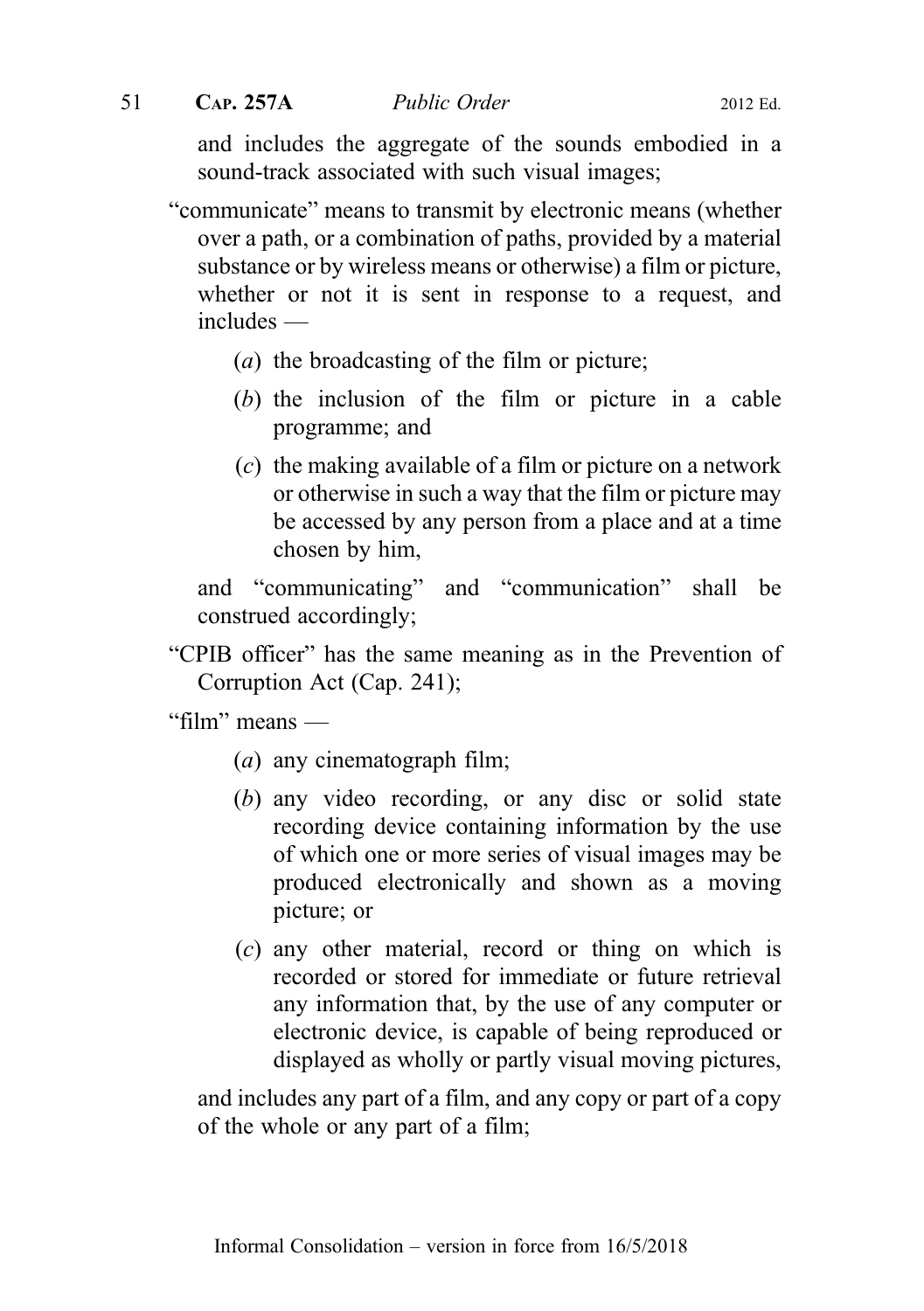and includes the aggregate of the sounds embodied in a sound-track associated with such visual images;

"communicate" means to transmit by electronic means (whether over a path, or a combination of paths, provided by a material substance or by wireless means or otherwise) a film or picture, whether or not it is sent in response to a request, and includes —

- (a) the broadcasting of the film or picture;
- (b) the inclusion of the film or picture in a cable programme; and
- (c) the making available of a film or picture on a network or otherwise in such a way that the film or picture may be accessed by any person from a place and at a time chosen by him,

and "communicating" and "communication" shall be construed accordingly;

"CPIB officer" has the same meaning as in the Prevention of Corruption Act (Cap. 241);

"film" means —

- $(a)$  any cinematograph film;
- (b) any video recording, or any disc or solid state recording device containing information by the use of which one or more series of visual images may be produced electronically and shown as a moving picture; or
- (c) any other material, record or thing on which is recorded or stored for immediate or future retrieval any information that, by the use of any computer or electronic device, is capable of being reproduced or displayed as wholly or partly visual moving pictures,

and includes any part of a film, and any copy or part of a copy of the whole or any part of a film;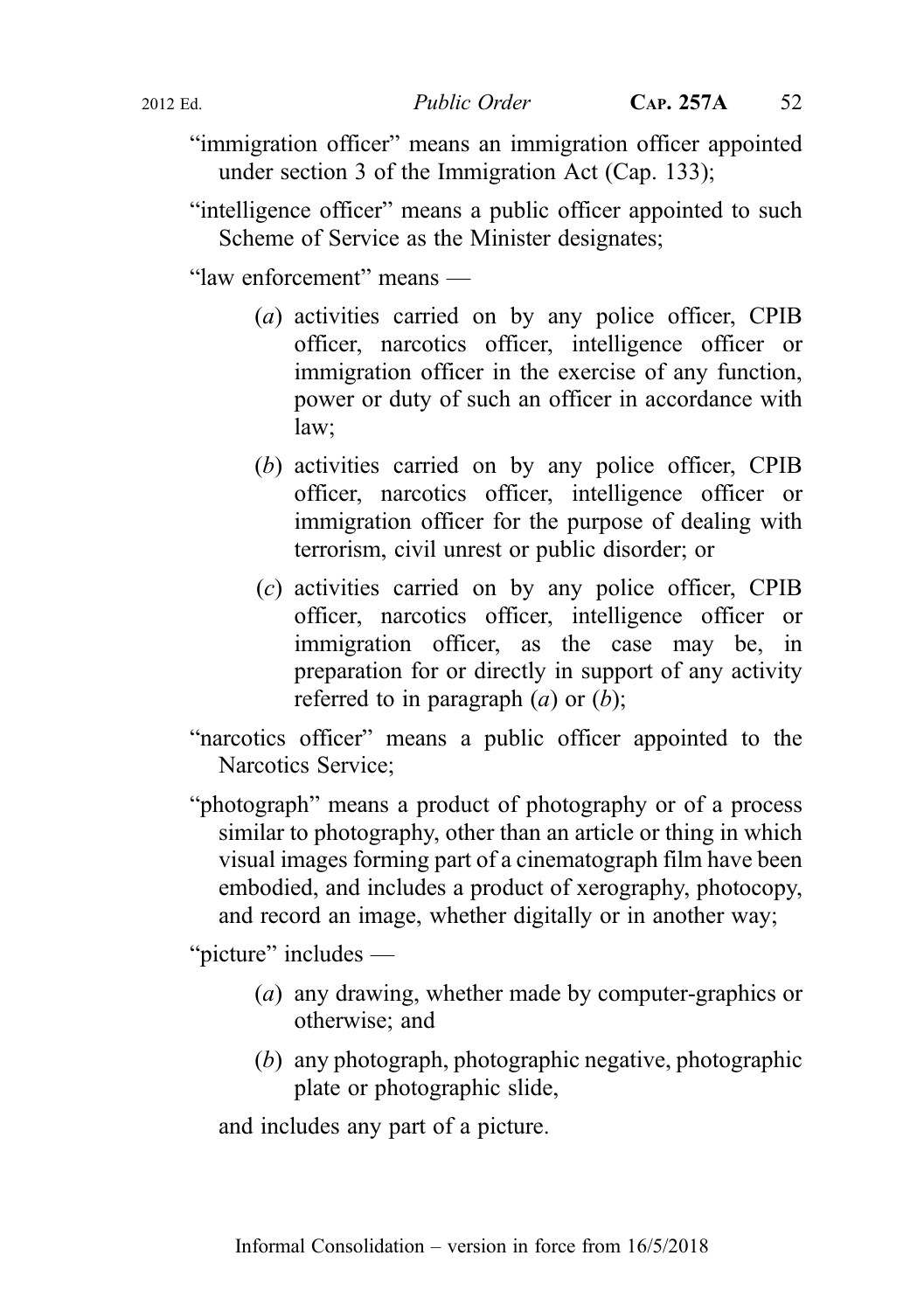- "immigration officer" means an immigration officer appointed under section 3 of the Immigration Act (Cap. 133);
- "intelligence officer" means a public officer appointed to such Scheme of Service as the Minister designates;

"law enforcement" means —

- (a) activities carried on by any police officer, CPIB officer, narcotics officer, intelligence officer or immigration officer in the exercise of any function, power or duty of such an officer in accordance with law;
- (b) activities carried on by any police officer, CPIB officer, narcotics officer, intelligence officer or immigration officer for the purpose of dealing with terrorism, civil unrest or public disorder; or
- (c) activities carried on by any police officer, CPIB officer, narcotics officer, intelligence officer or immigration officer, as the case may be, in preparation for or directly in support of any activity referred to in paragraph  $(a)$  or  $(b)$ ;
- "narcotics officer" means a public officer appointed to the Narcotics Service;
- "photograph" means a product of photography or of a process similar to photography, other than an article or thing in which visual images forming part of a cinematograph film have been embodied, and includes a product of xerography, photocopy, and record an image, whether digitally or in another way;

"picture" includes —

- (a) any drawing, whether made by computer-graphics or otherwise; and
- (b) any photograph, photographic negative, photographic plate or photographic slide,

and includes any part of a picture.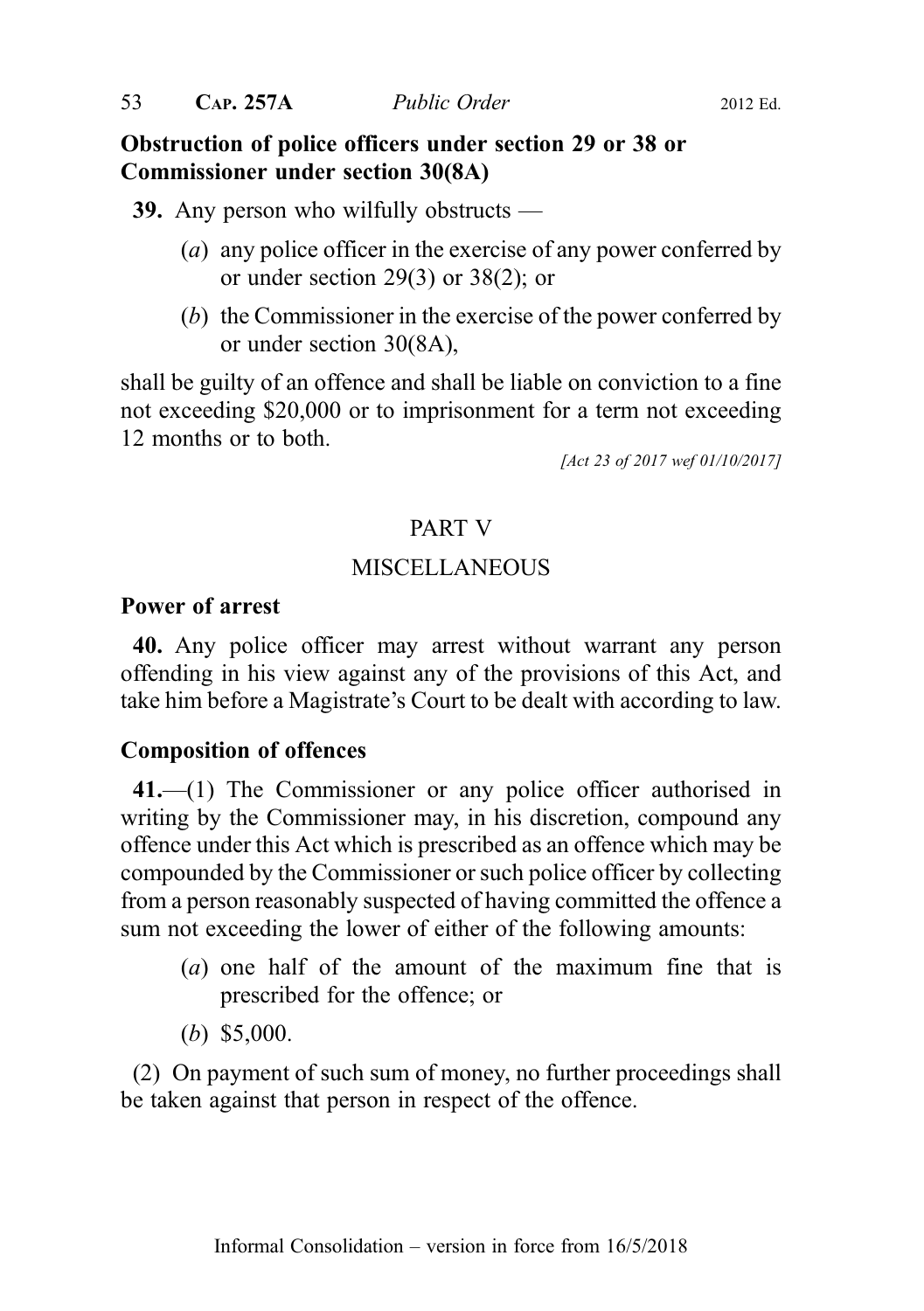## Obstruction of police officers under section 29 or 38 or Commissioner under section 30(8A)

39. Any person who wilfully obstructs —

- (a) any police officer in the exercise of any power conferred by or under section 29(3) or 38(2); or
- (b) the Commissioner in the exercise of the power conferred by or under section 30(8A),

shall be guilty of an offence and shall be liable on conviction to a fine not exceeding \$20,000 or to imprisonment for a term not exceeding 12 months or to both.

[Act 23 of 2017 wef 01/10/2017]

## PART V

## MISCELLANEOUS

### Power of arrest

40. Any police officer may arrest without warrant any person offending in his view against any of the provisions of this Act, and take him before a Magistrate's Court to be dealt with according to law.

## Composition of offences

41.—(1) The Commissioner or any police officer authorised in writing by the Commissioner may, in his discretion, compound any offence under this Act which is prescribed as an offence which may be compounded by the Commissioner or such police officer by collecting from a person reasonably suspected of having committed the offence a sum not exceeding the lower of either of the following amounts:

- (a) one half of the amount of the maximum fine that is prescribed for the offence; or
- (b) \$5,000.

(2) On payment of such sum of money, no further proceedings shall be taken against that person in respect of the offence.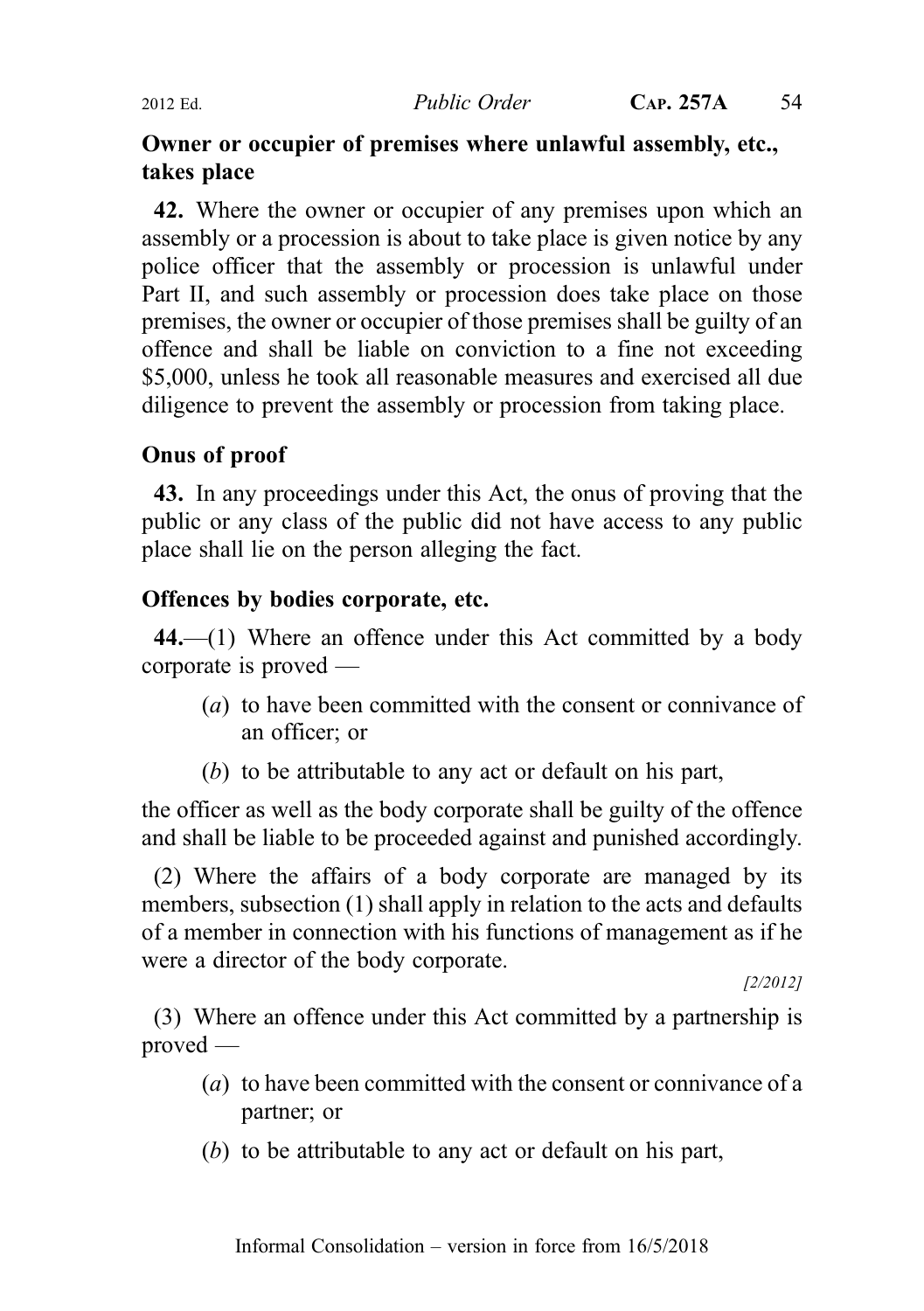## Owner or occupier of premises where unlawful assembly, etc., takes place

42. Where the owner or occupier of any premises upon which an assembly or a procession is about to take place is given notice by any police officer that the assembly or procession is unlawful under Part II, and such assembly or procession does take place on those premises, the owner or occupier of those premises shall be guilty of an offence and shall be liable on conviction to a fine not exceeding \$5,000, unless he took all reasonable measures and exercised all due diligence to prevent the assembly or procession from taking place.

## Onus of proof

43. In any proceedings under this Act, the onus of proving that the public or any class of the public did not have access to any public place shall lie on the person alleging the fact.

## Offences by bodies corporate, etc.

44.—(1) Where an offence under this Act committed by a body corporate is proved —

- (a) to have been committed with the consent or connivance of an officer; or
- (b) to be attributable to any act or default on his part,

the officer as well as the body corporate shall be guilty of the offence and shall be liable to be proceeded against and punished accordingly.

(2) Where the affairs of a body corporate are managed by its members, subsection (1) shall apply in relation to the acts and defaults of a member in connection with his functions of management as if he were a director of the body corporate.

[2/2012]

(3) Where an offence under this Act committed by a partnership is proved —

- (a) to have been committed with the consent or connivance of a partner; or
- (b) to be attributable to any act or default on his part,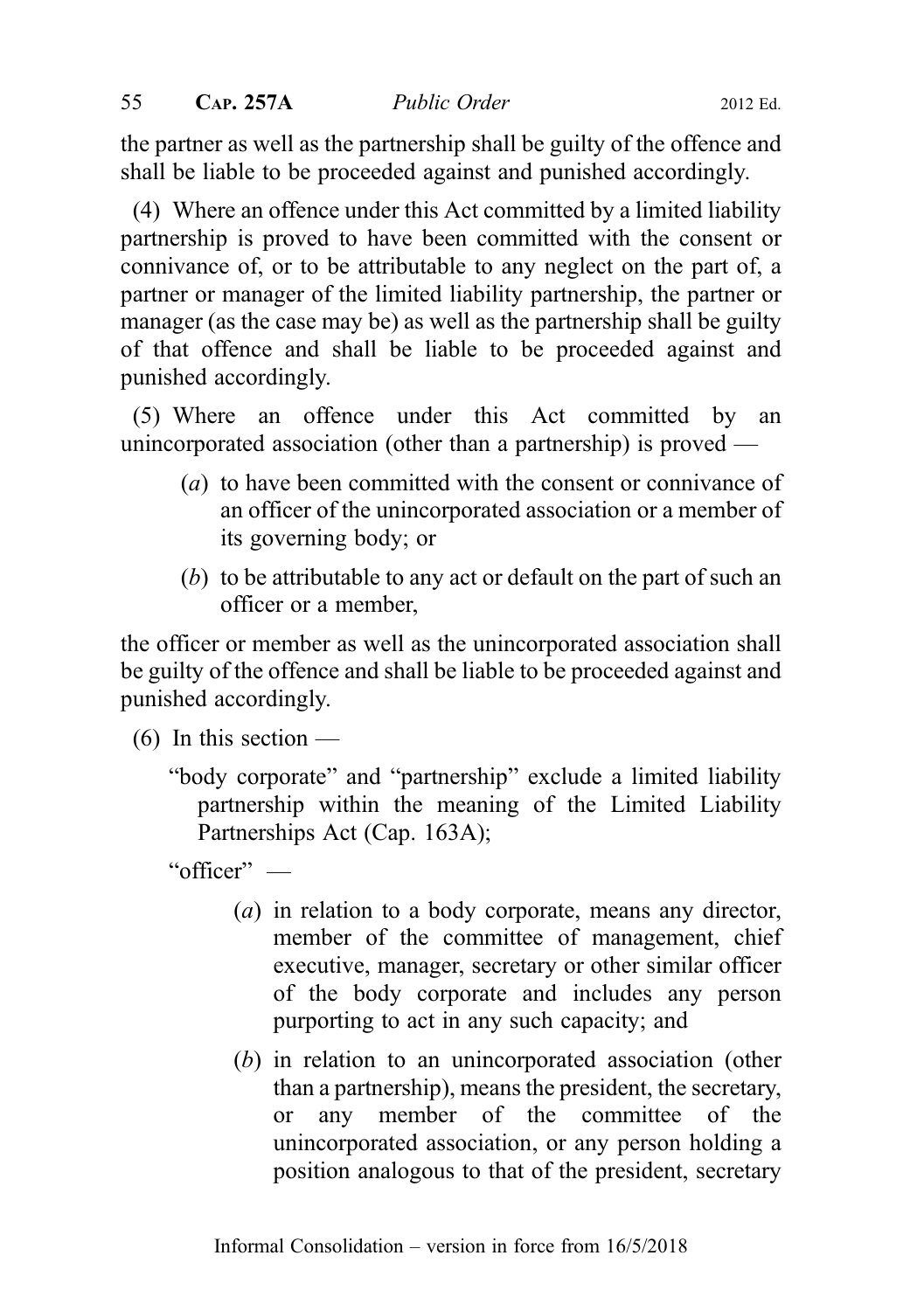the partner as well as the partnership shall be guilty of the offence and shall be liable to be proceeded against and punished accordingly.

(4) Where an offence under this Act committed by a limited liability partnership is proved to have been committed with the consent or connivance of, or to be attributable to any neglect on the part of, a partner or manager of the limited liability partnership, the partner or manager (as the case may be) as well as the partnership shall be guilty of that offence and shall be liable to be proceeded against and punished accordingly.

(5) Where an offence under this Act committed by an unincorporated association (other than a partnership) is proved —

- (a) to have been committed with the consent or connivance of an officer of the unincorporated association or a member of its governing body; or
- (b) to be attributable to any act or default on the part of such an officer or a member,

the officer or member as well as the unincorporated association shall be guilty of the offence and shall be liable to be proceeded against and punished accordingly.

 $(6)$  In this section —

"body corporate" and "partnership" exclude a limited liability partnership within the meaning of the Limited Liability Partnerships Act (Cap. 163A);

"officer" —

- (a) in relation to a body corporate, means any director, member of the committee of management, chief executive, manager, secretary or other similar officer of the body corporate and includes any person purporting to act in any such capacity; and
- (b) in relation to an unincorporated association (other than a partnership), means the president, the secretary, or any member of the committee of the unincorporated association, or any person holding a position analogous to that of the president, secretary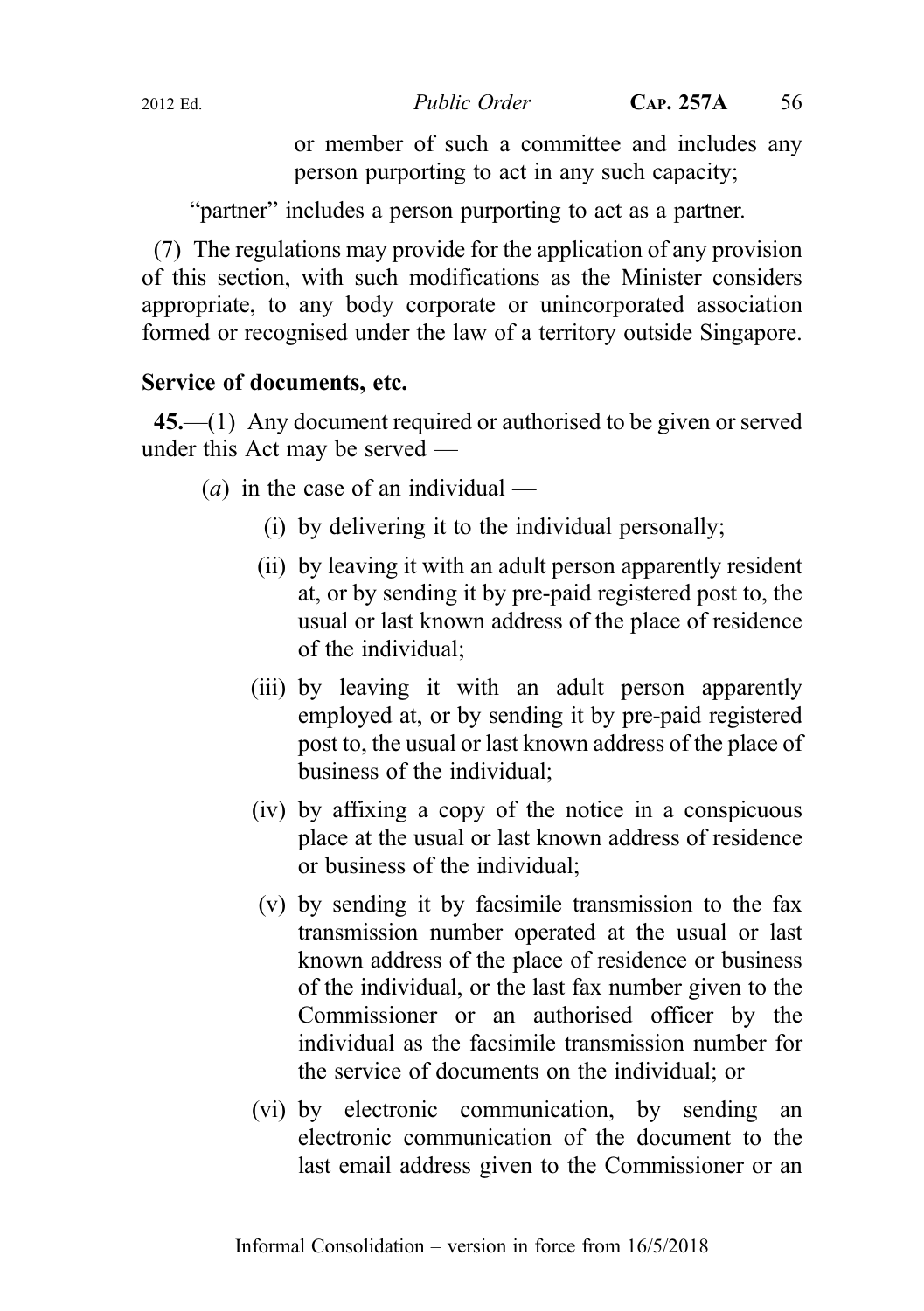or member of such a committee and includes any person purporting to act in any such capacity;

"partner" includes a person purporting to act as a partner.

(7) The regulations may provide for the application of any provision of this section, with such modifications as the Minister considers appropriate, to any body corporate or unincorporated association formed or recognised under the law of a territory outside Singapore.

## Service of documents, etc.

45.—(1) Any document required or authorised to be given or served under this Act may be served —

- (*a*) in the case of an individual
	- (i) by delivering it to the individual personally;
	- (ii) by leaving it with an adult person apparently resident at, or by sending it by pre-paid registered post to, the usual or last known address of the place of residence of the individual;
	- (iii) by leaving it with an adult person apparently employed at, or by sending it by pre-paid registered post to, the usual or last known address of the place of business of the individual;
	- (iv) by affixing a copy of the notice in a conspicuous place at the usual or last known address of residence or business of the individual;
	- (v) by sending it by facsimile transmission to the fax transmission number operated at the usual or last known address of the place of residence or business of the individual, or the last fax number given to the Commissioner or an authorised officer by the individual as the facsimile transmission number for the service of documents on the individual; or
	- (vi) by electronic communication, by sending an electronic communication of the document to the last email address given to the Commissioner or an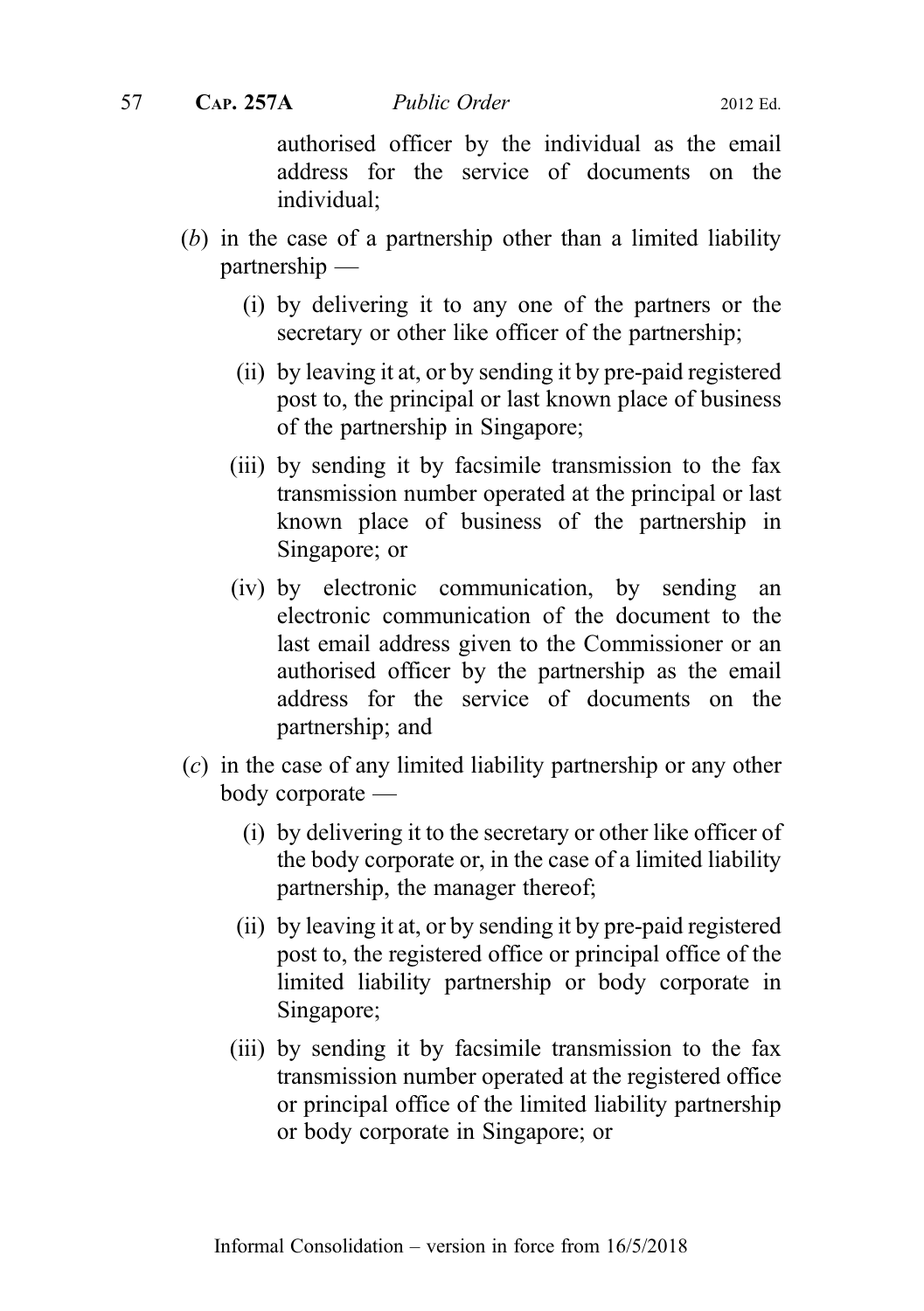authorised officer by the individual as the email address for the service of documents on the individual;

- (b) in the case of a partnership other than a limited liability partnership —
	- (i) by delivering it to any one of the partners or the secretary or other like officer of the partnership;
	- (ii) by leaving it at, or by sending it by pre-paid registered post to, the principal or last known place of business of the partnership in Singapore;
	- (iii) by sending it by facsimile transmission to the fax transmission number operated at the principal or last known place of business of the partnership in Singapore; or
	- (iv) by electronic communication, by sending an electronic communication of the document to the last email address given to the Commissioner or an authorised officer by the partnership as the email address for the service of documents on the partnership; and
- (c) in the case of any limited liability partnership or any other body corporate —
	- (i) by delivering it to the secretary or other like officer of the body corporate or, in the case of a limited liability partnership, the manager thereof;
	- (ii) by leaving it at, or by sending it by pre-paid registered post to, the registered office or principal office of the limited liability partnership or body corporate in Singapore;
	- (iii) by sending it by facsimile transmission to the fax transmission number operated at the registered office or principal office of the limited liability partnership or body corporate in Singapore; or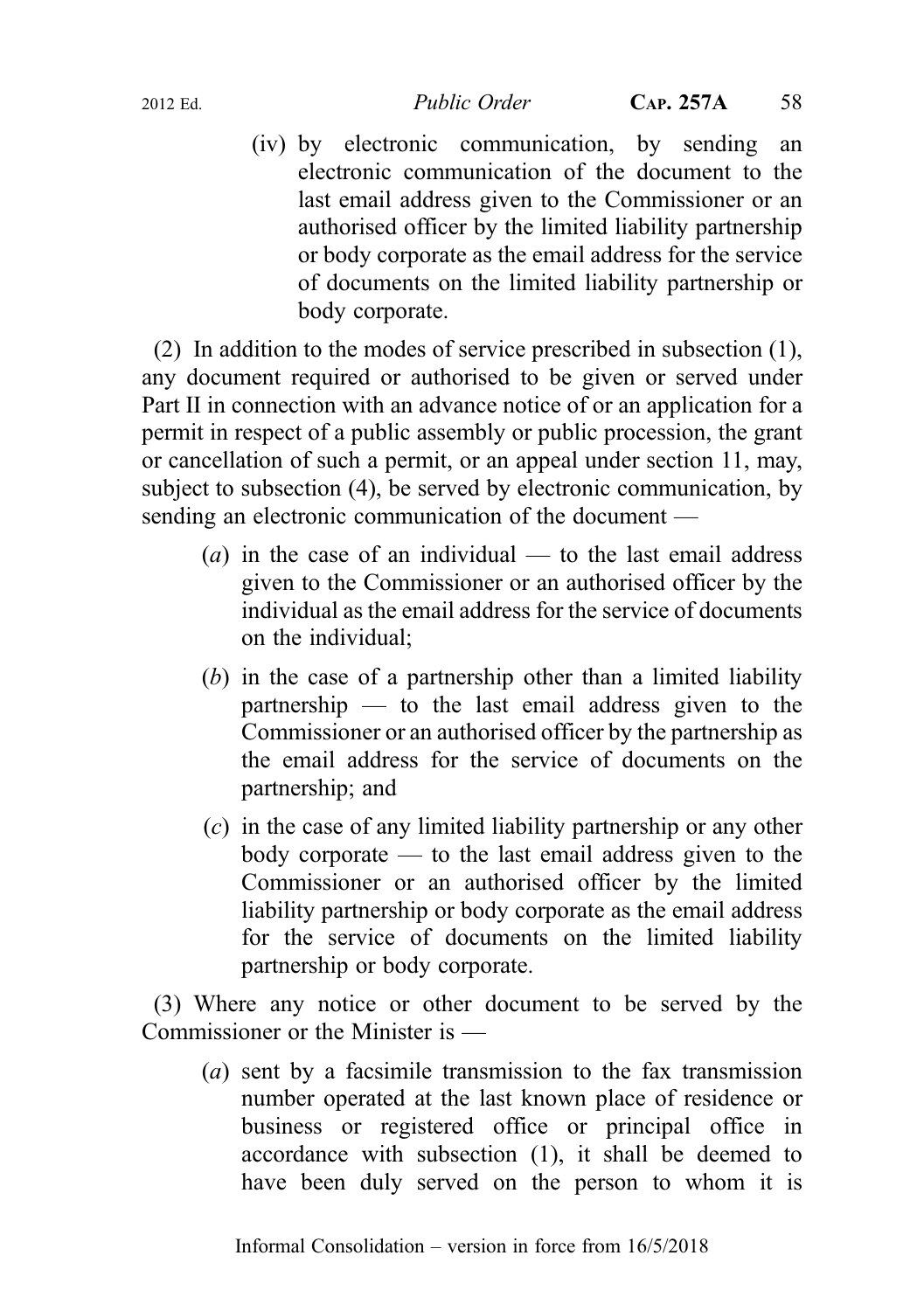(iv) by electronic communication, by sending an electronic communication of the document to the last email address given to the Commissioner or an authorised officer by the limited liability partnership or body corporate as the email address for the service of documents on the limited liability partnership or body corporate.

(2) In addition to the modes of service prescribed in subsection (1), any document required or authorised to be given or served under Part II in connection with an advance notice of or an application for a permit in respect of a public assembly or public procession, the grant or cancellation of such a permit, or an appeal under section 11, may, subject to subsection (4), be served by electronic communication, by sending an electronic communication of the document —

- (*a*) in the case of an individual to the last email address given to the Commissioner or an authorised officer by the individual as the email address for the service of documents on the individual;
- (b) in the case of a partnership other than a limited liability partnership — to the last email address given to the Commissioner or an authorised officer by the partnership as the email address for the service of documents on the partnership; and
- (c) in the case of any limited liability partnership or any other body corporate — to the last email address given to the Commissioner or an authorised officer by the limited liability partnership or body corporate as the email address for the service of documents on the limited liability partnership or body corporate.

(3) Where any notice or other document to be served by the Commissioner or the Minister is —

(a) sent by a facsimile transmission to the fax transmission number operated at the last known place of residence or business or registered office or principal office in accordance with subsection (1), it shall be deemed to have been duly served on the person to whom it is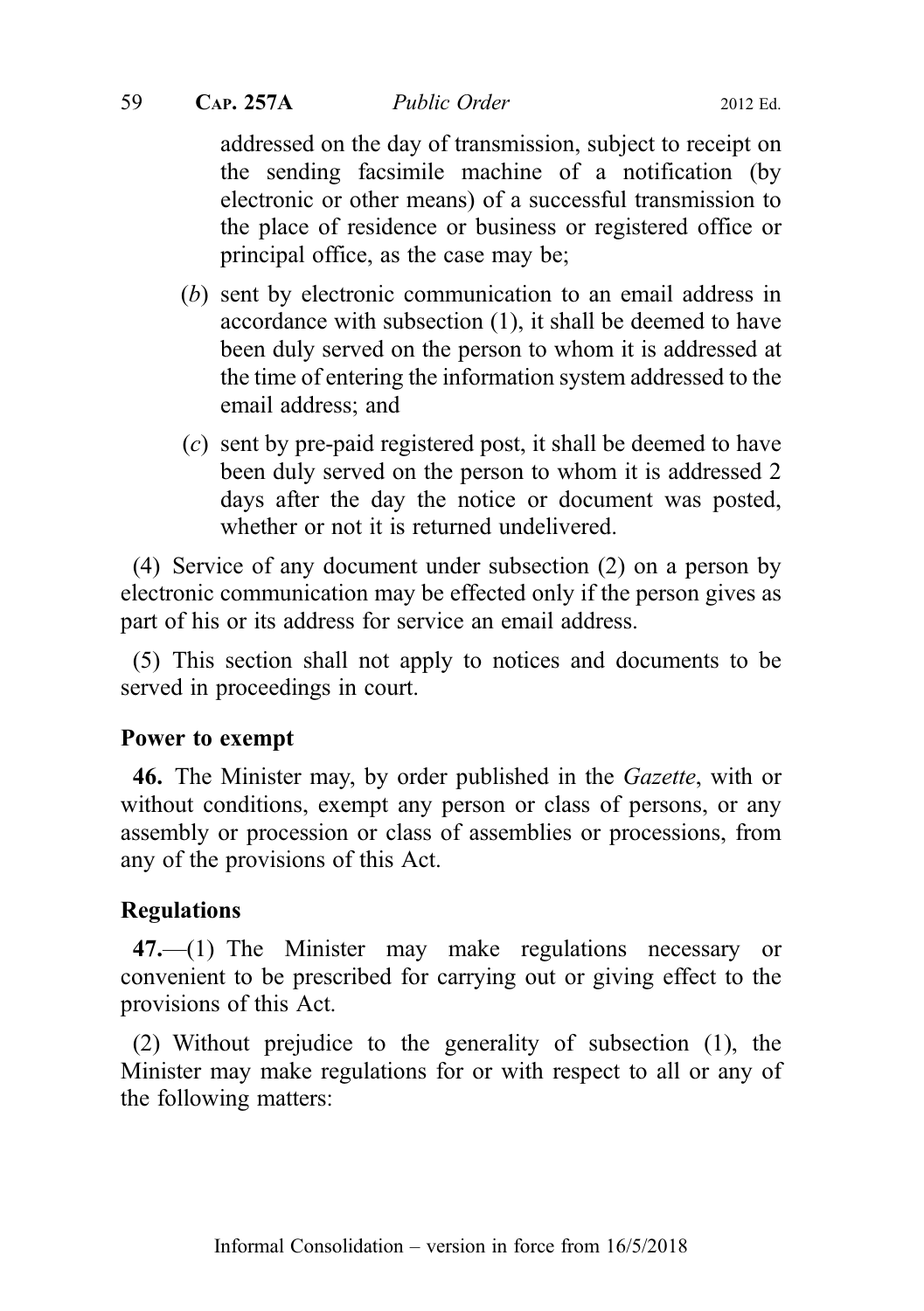## 59 CAP. 257A Public Order 2012 Ed.

addressed on the day of transmission, subject to receipt on the sending facsimile machine of a notification (by electronic or other means) of a successful transmission to the place of residence or business or registered office or principal office, as the case may be;

- (b) sent by electronic communication to an email address in accordance with subsection (1), it shall be deemed to have been duly served on the person to whom it is addressed at the time of entering the information system addressed to the email address; and
- (c) sent by pre-paid registered post, it shall be deemed to have been duly served on the person to whom it is addressed 2 days after the day the notice or document was posted, whether or not it is returned undelivered.

(4) Service of any document under subsection (2) on a person by electronic communication may be effected only if the person gives as part of his or its address for service an email address.

(5) This section shall not apply to notices and documents to be served in proceedings in court.

## Power to exempt

46. The Minister may, by order published in the Gazette, with or without conditions, exempt any person or class of persons, or any assembly or procession or class of assemblies or processions, from any of the provisions of this Act.

## Regulations

47.—(1) The Minister may make regulations necessary or convenient to be prescribed for carrying out or giving effect to the provisions of this Act.

(2) Without prejudice to the generality of subsection (1), the Minister may make regulations for or with respect to all or any of the following matters: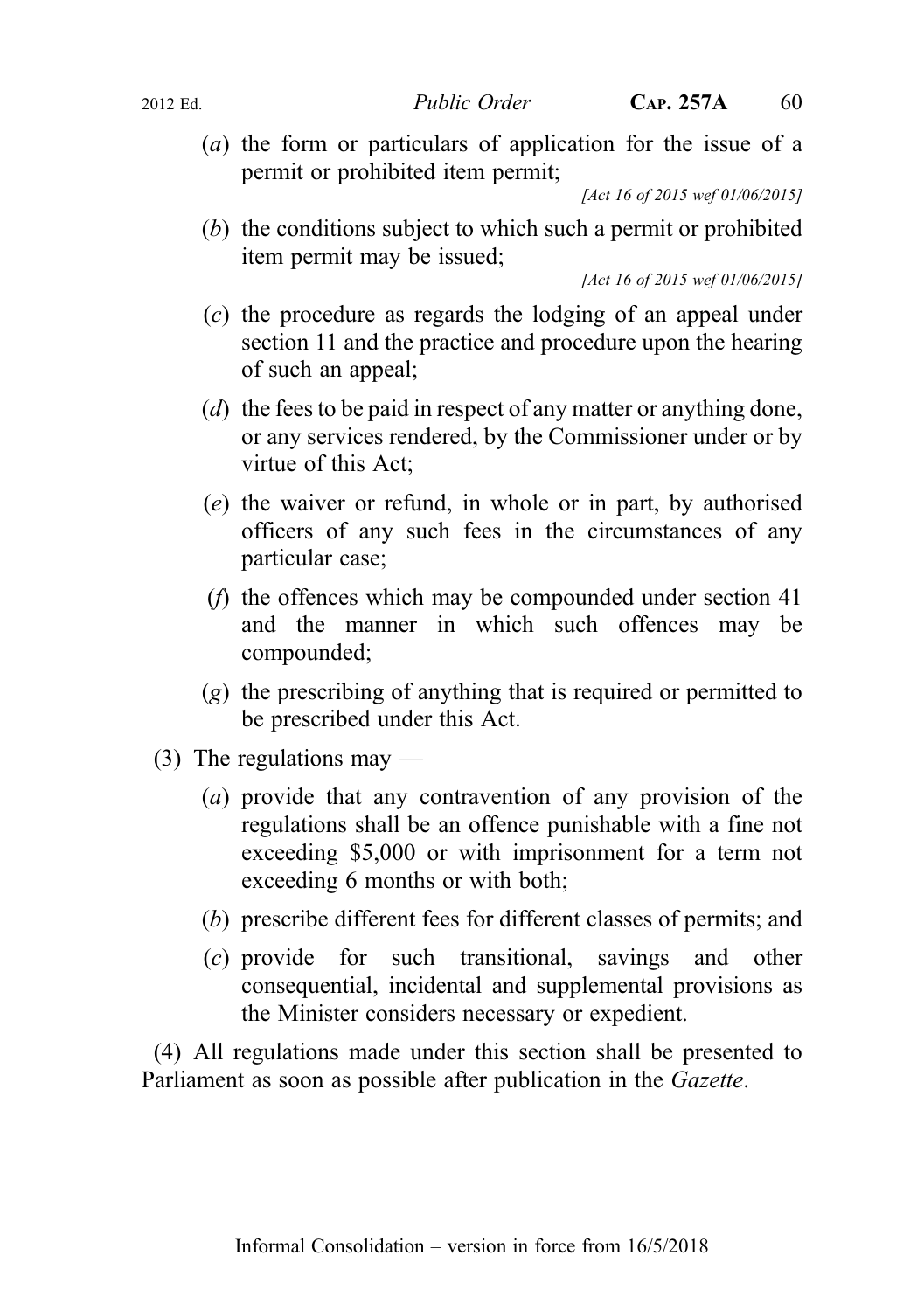(a) the form or particulars of application for the issue of a permit or prohibited item permit;

[Act 16 of 2015 wef 01/06/2015]

(b) the conditions subject to which such a permit or prohibited item permit may be issued;

[Act 16 of 2015 wef 01/06/2015]

- (c) the procedure as regards the lodging of an appeal under section 11 and the practice and procedure upon the hearing of such an appeal;
- (d) the fees to be paid in respect of any matter or anything done, or any services rendered, by the Commissioner under or by virtue of this Act;
- (e) the waiver or refund, in whole or in part, by authorised officers of any such fees in the circumstances of any particular case;
- (f) the offences which may be compounded under section 41 and the manner in which such offences may be compounded;
- (g) the prescribing of anything that is required or permitted to be prescribed under this Act.
- $(3)$  The regulations may
	- (a) provide that any contravention of any provision of the regulations shall be an offence punishable with a fine not exceeding \$5,000 or with imprisonment for a term not exceeding 6 months or with both;
	- (b) prescribe different fees for different classes of permits; and
	- (c) provide for such transitional, savings and other consequential, incidental and supplemental provisions as the Minister considers necessary or expedient.

(4) All regulations made under this section shall be presented to Parliament as soon as possible after publication in the Gazette.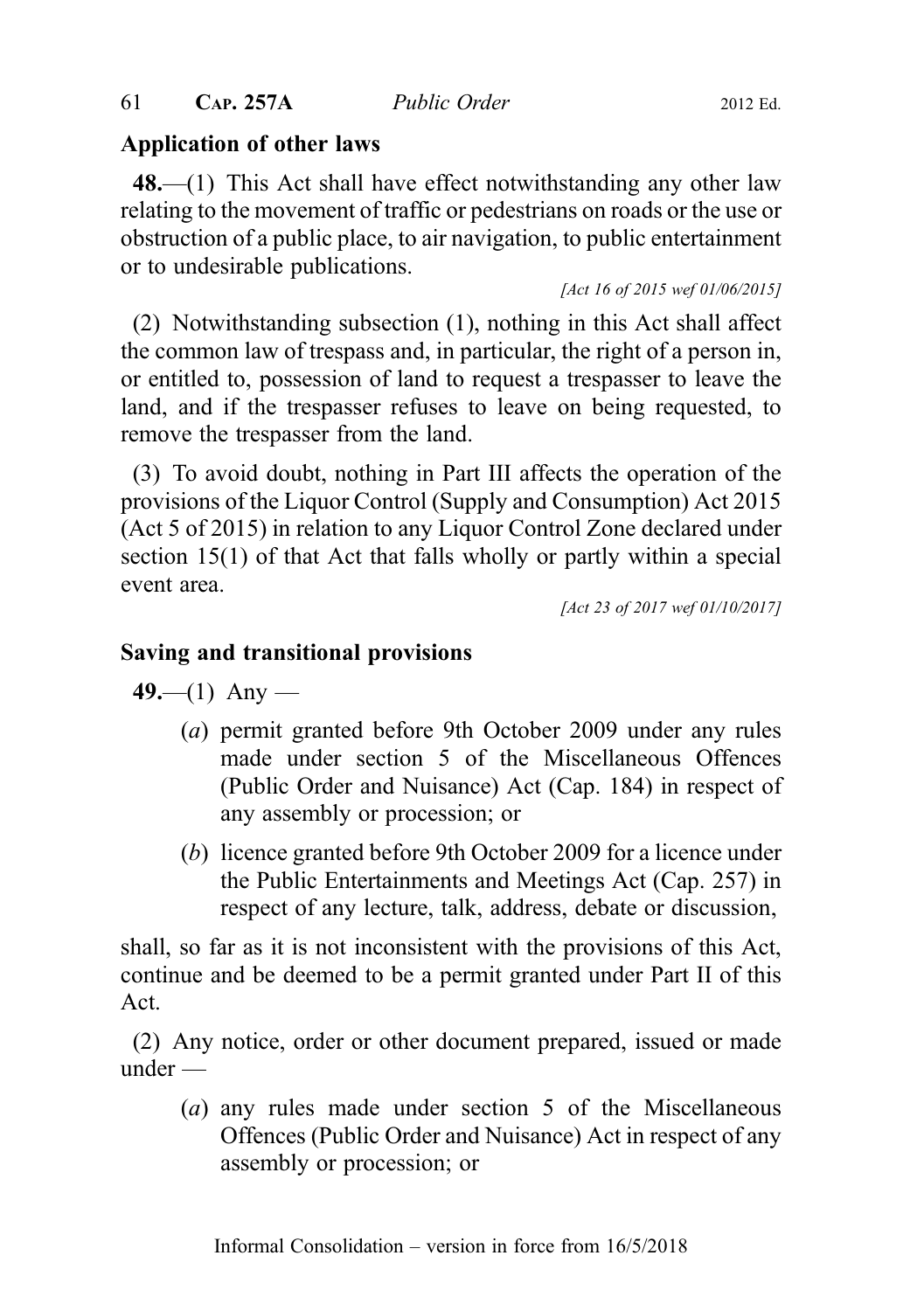## Application of other laws

48.—(1) This Act shall have effect notwithstanding any other law relating to the movement of traffic or pedestrians on roads or the use or obstruction of a public place, to air navigation, to public entertainment or to undesirable publications.

[Act 16 of 2015 wef 01/06/2015]

(2) Notwithstanding subsection (1), nothing in this Act shall affect the common law of trespass and, in particular, the right of a person in, or entitled to, possession of land to request a trespasser to leave the land, and if the trespasser refuses to leave on being requested, to remove the trespasser from the land.

(3) To avoid doubt, nothing in Part III affects the operation of the provisions of the Liquor Control (Supply and Consumption) Act 2015 (Act 5 of 2015) in relation to any Liquor Control Zone declared under section 15(1) of that Act that falls wholly or partly within a special event area.

[Act 23 of 2017 wef 01/10/2017]

## Saving and transitional provisions

 $49$ —(1) Any —

- (a) permit granted before 9th October 2009 under any rules made under section 5 of the Miscellaneous Offences (Public Order and Nuisance) Act (Cap. 184) in respect of any assembly or procession; or
- (b) licence granted before 9th October 2009 for a licence under the Public Entertainments and Meetings Act (Cap. 257) in respect of any lecture, talk, address, debate or discussion,

shall, so far as it is not inconsistent with the provisions of this Act, continue and be deemed to be a permit granted under Part II of this Act.

(2) Any notice, order or other document prepared, issued or made under —

(a) any rules made under section 5 of the Miscellaneous Offences (Public Order and Nuisance) Act in respect of any assembly or procession; or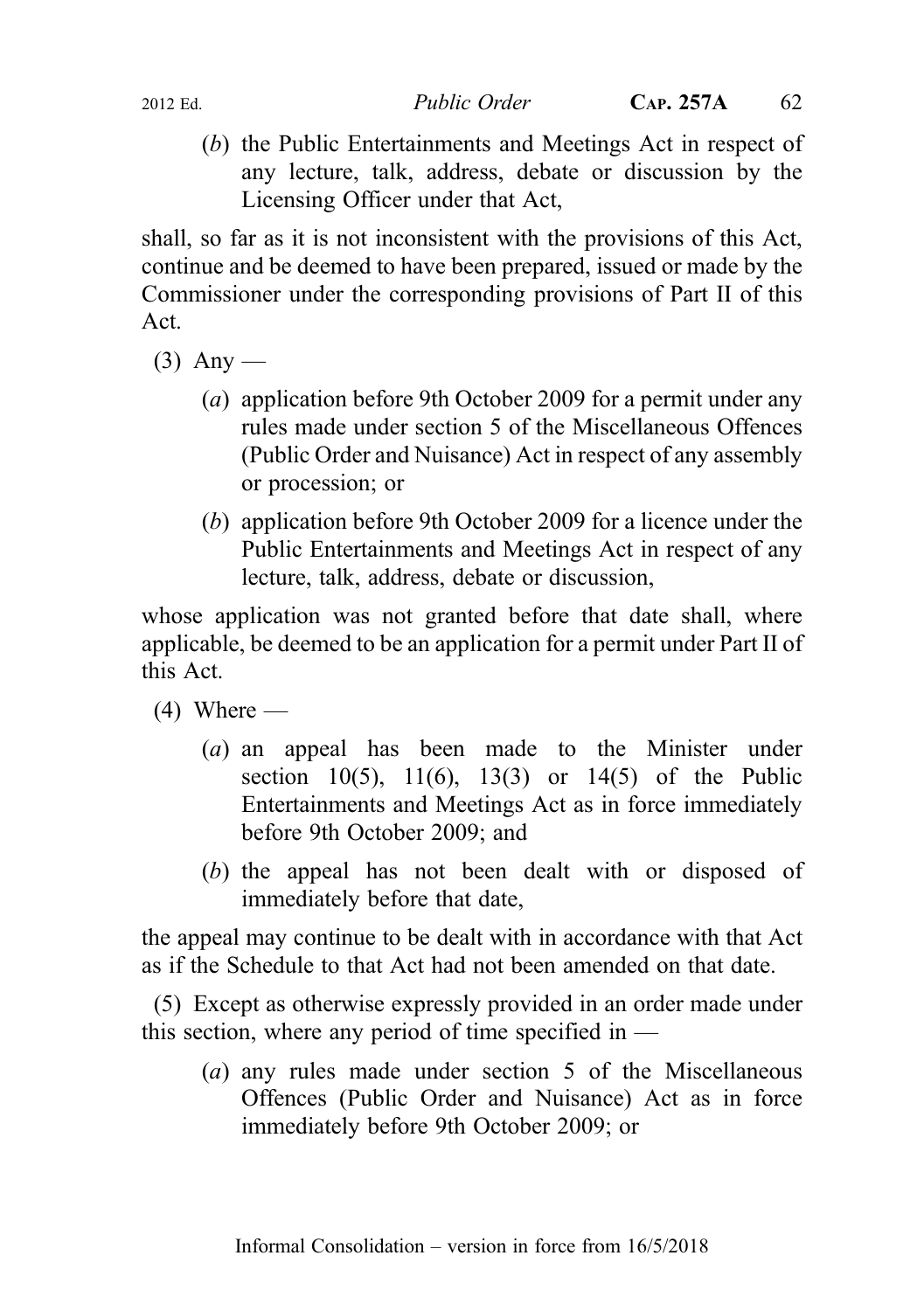(b) the Public Entertainments and Meetings Act in respect of any lecture, talk, address, debate or discussion by the Licensing Officer under that Act,

shall, so far as it is not inconsistent with the provisions of this Act, continue and be deemed to have been prepared, issued or made by the Commissioner under the corresponding provisions of Part II of this Act.

- $(3)$  Any
	- (a) application before 9th October 2009 for a permit under any rules made under section 5 of the Miscellaneous Offences (Public Order and Nuisance) Act in respect of any assembly or procession; or
	- (b) application before 9th October 2009 for a licence under the Public Entertainments and Meetings Act in respect of any lecture, talk, address, debate or discussion,

whose application was not granted before that date shall, where applicable, be deemed to be an application for a permit under Part II of this Act.

 $(4)$  Where —

- (a) an appeal has been made to the Minister under section 10(5), 11(6), 13(3) or 14(5) of the Public Entertainments and Meetings Act as in force immediately before 9th October 2009; and
- (b) the appeal has not been dealt with or disposed of immediately before that date,

the appeal may continue to be dealt with in accordance with that Act as if the Schedule to that Act had not been amended on that date.

(5) Except as otherwise expressly provided in an order made under this section, where any period of time specified in  $-$ 

(a) any rules made under section 5 of the Miscellaneous Offences (Public Order and Nuisance) Act as in force immediately before 9th October 2009; or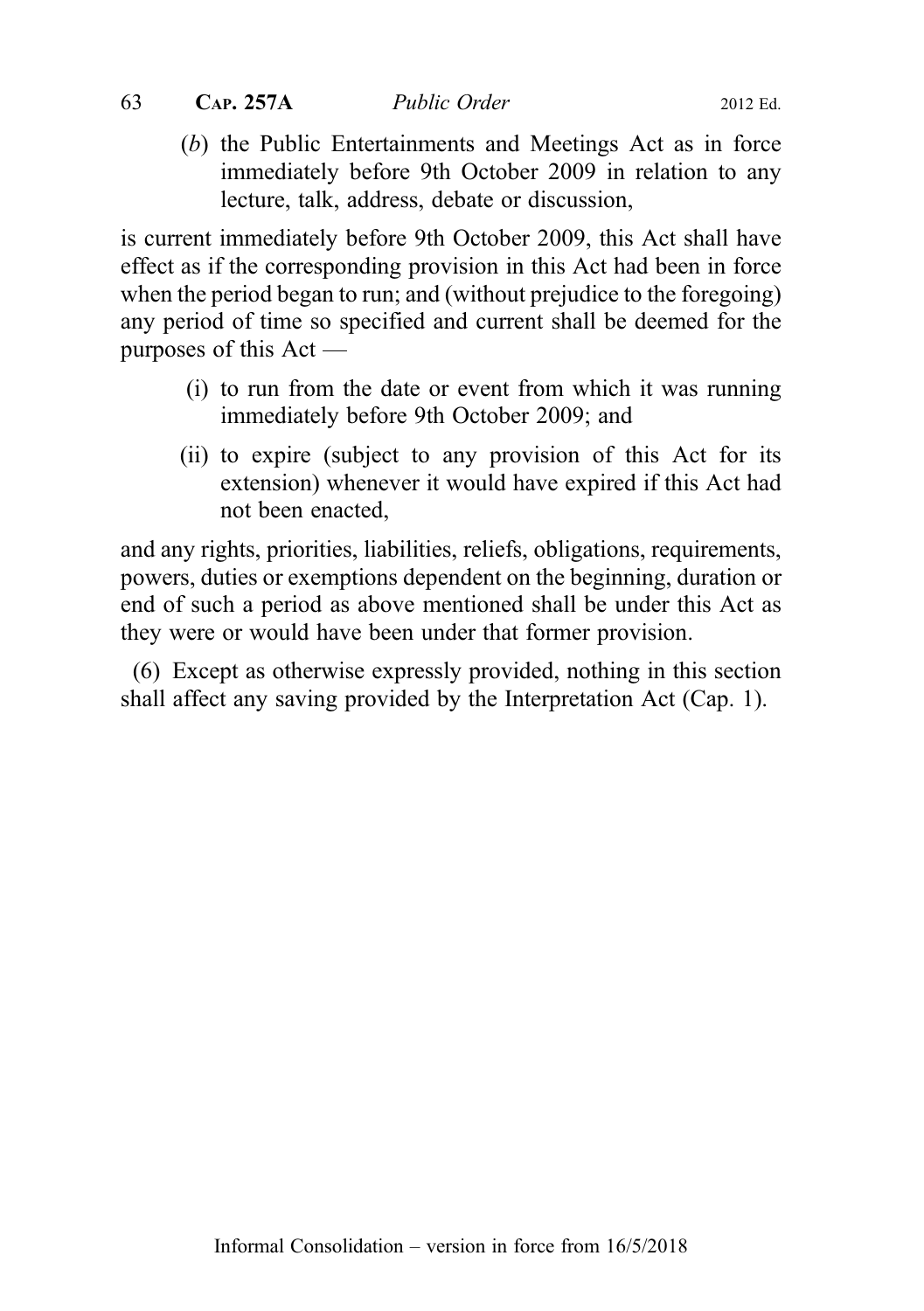- 
- (b) the Public Entertainments and Meetings Act as in force immediately before 9th October 2009 in relation to any lecture, talk, address, debate or discussion,

is current immediately before 9th October 2009, this Act shall have effect as if the corresponding provision in this Act had been in force when the period began to run; and (without prejudice to the foregoing) any period of time so specified and current shall be deemed for the purposes of this Act —

- (i) to run from the date or event from which it was running immediately before 9th October 2009; and
- (ii) to expire (subject to any provision of this Act for its extension) whenever it would have expired if this Act had not been enacted,

and any rights, priorities, liabilities, reliefs, obligations, requirements, powers, duties or exemptions dependent on the beginning, duration or end of such a period as above mentioned shall be under this Act as they were or would have been under that former provision.

(6) Except as otherwise expressly provided, nothing in this section shall affect any saving provided by the Interpretation Act (Cap. 1).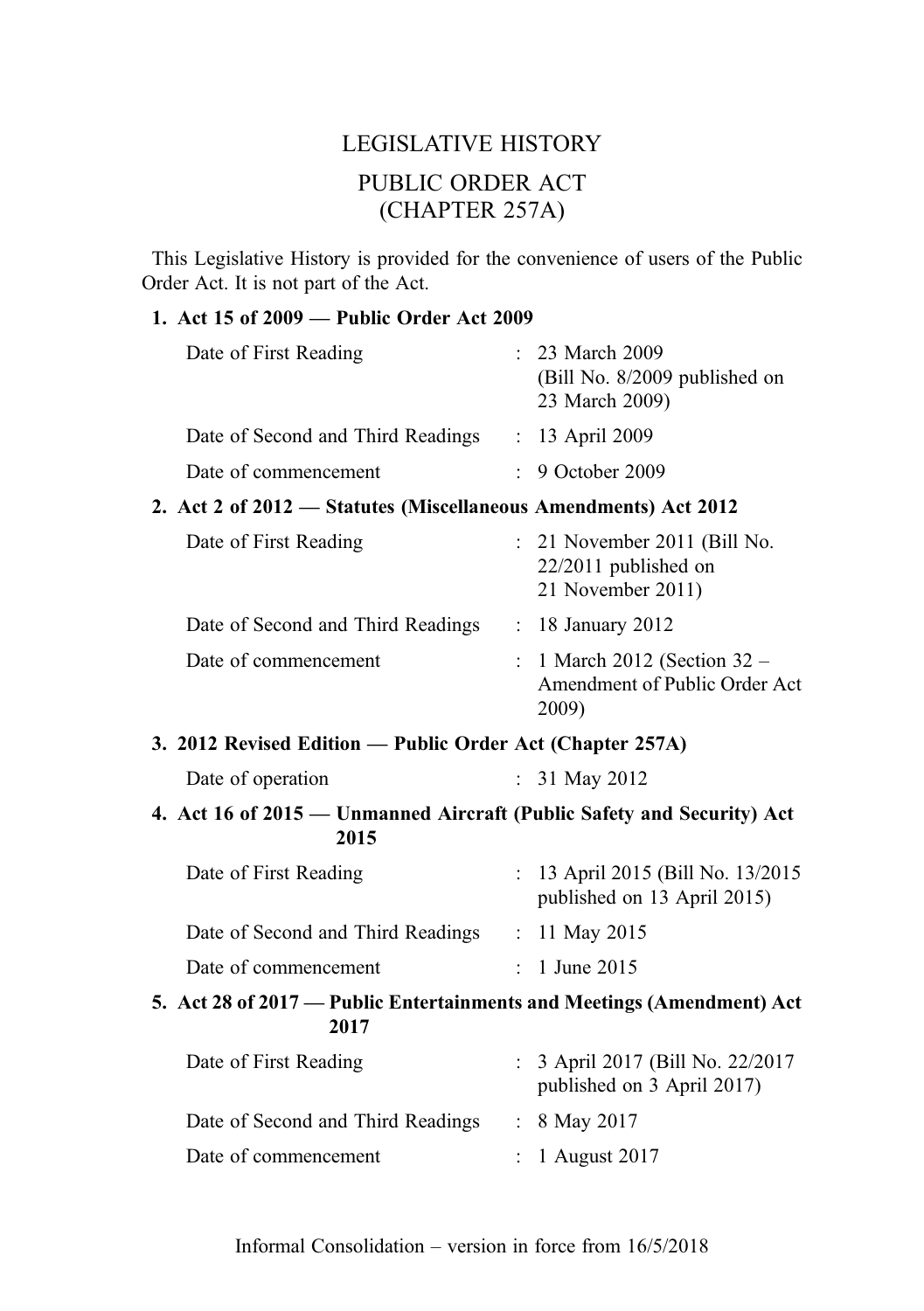## LEGISLATIVE HISTORY PUBLIC ORDER ACT (CHAPTER 257A)

This Legislative History is provided for the convenience of users of the Public Order Act. It is not part of the Act.

## 1. Act 15 of 2009 — Public Order Act 2009

| Date of First Reading                                                          |  | : 23 March 2009<br>(Bill No. 8/2009 published on<br>23 March 2009)          |  |
|--------------------------------------------------------------------------------|--|-----------------------------------------------------------------------------|--|
| Date of Second and Third Readings                                              |  | : 13 April 2009                                                             |  |
| Date of commencement                                                           |  | : 9 October 2009                                                            |  |
| 2. Act 2 of 2012 - Statutes (Miscellaneous Amendments) Act 2012                |  |                                                                             |  |
| Date of First Reading                                                          |  | : 21 November 2011 (Bill No.<br>$22/2011$ published on<br>21 November 2011) |  |
| Date of Second and Third Readings                                              |  | : 18 January 2012                                                           |  |
| Date of commencement                                                           |  | 1 March 2012 (Section 32 –<br>Amendment of Public Order Act<br>2009)        |  |
| 3. 2012 Revised Edition — Public Order Act (Chapter 257A)                      |  |                                                                             |  |
| Date of operation                                                              |  | : $31$ May 2012                                                             |  |
| 4. Act 16 of 2015 — Unmanned Aircraft (Public Safety and Security) Act<br>2015 |  |                                                                             |  |
| Date of First Reading                                                          |  | : 13 April 2015 (Bill No. 13/2015)<br>published on 13 April 2015)           |  |
| Date of Second and Third Readings : 11 May 2015                                |  |                                                                             |  |
| Date of commencement                                                           |  | : 1 June 2015                                                               |  |
| 5. Act 28 of 2017 - Public Entertainments and Meetings (Amendment) Act<br>2017 |  |                                                                             |  |
| Date of First Reading                                                          |  | : 3 April 2017 (Bill No. 22/2017<br>published on 3 April 2017)              |  |
| Date of Second and Third Readings                                              |  | : 8 May 2017                                                                |  |
| Date of commencement                                                           |  | 1 August 2017                                                               |  |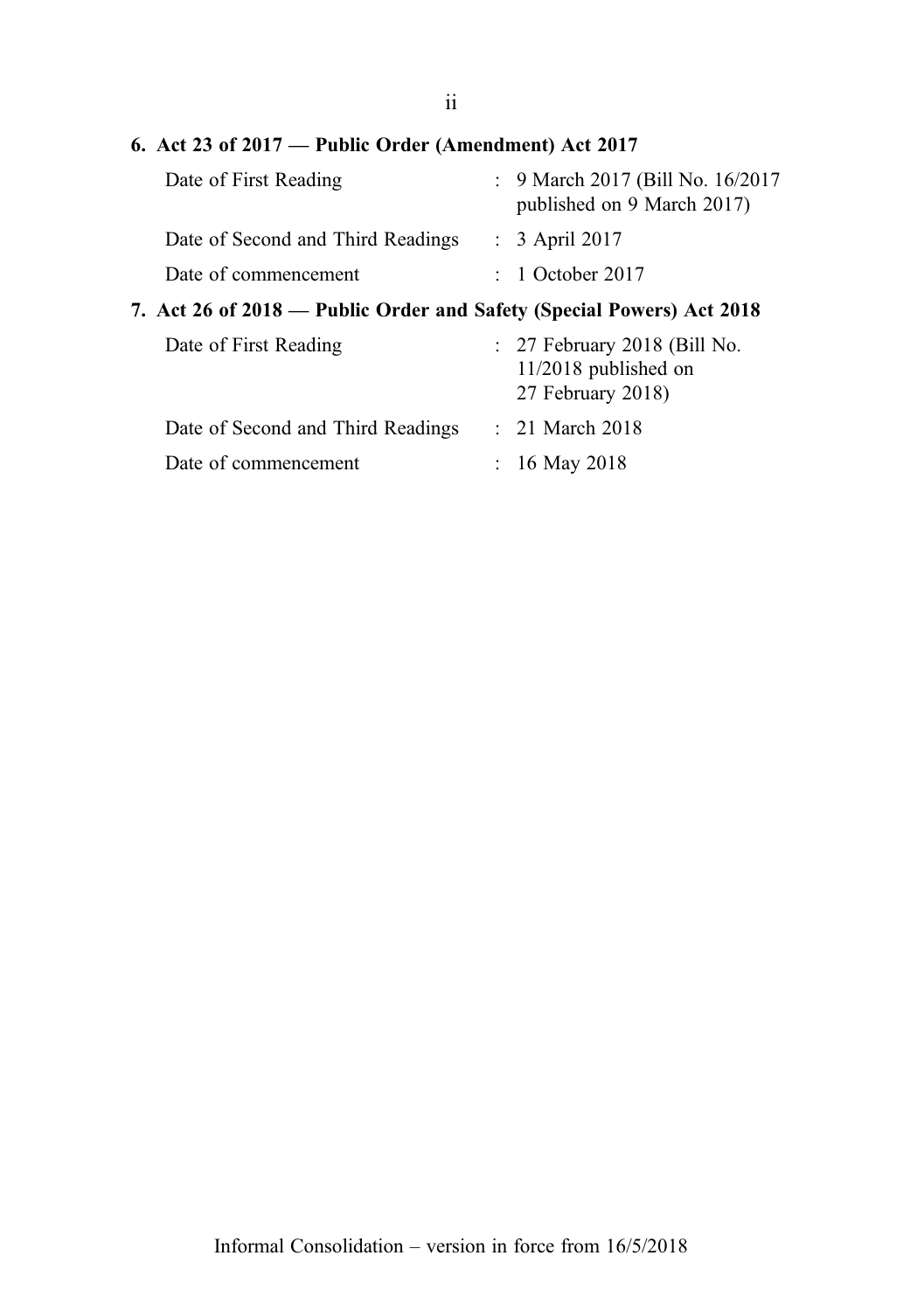#### 6. Act 23 of 2017 — Public Order (Amendment) Act 2017

| Date of First Reading             | : 9 March 2017 (Bill No. 16/2017)<br>published on 9 March 2017) |  |
|-----------------------------------|-----------------------------------------------------------------|--|
| Date of Second and Third Readings | $\therefore$ 3 April 2017                                       |  |
| Date of commencement              | $\therefore$ 1 October 2017                                     |  |

### 7. Act 26 of 2018 — Public Order and Safety (Special Powers) Act 2018

| Date of First Reading             | $: 27$ February 2018 (Bill No.<br>$11/2018$ published on<br>27 February 2018) |
|-----------------------------------|-------------------------------------------------------------------------------|
| Date of Second and Third Readings | $\therefore$ 21 March 2018                                                    |
| Date of commencement              | : 16 May 2018                                                                 |